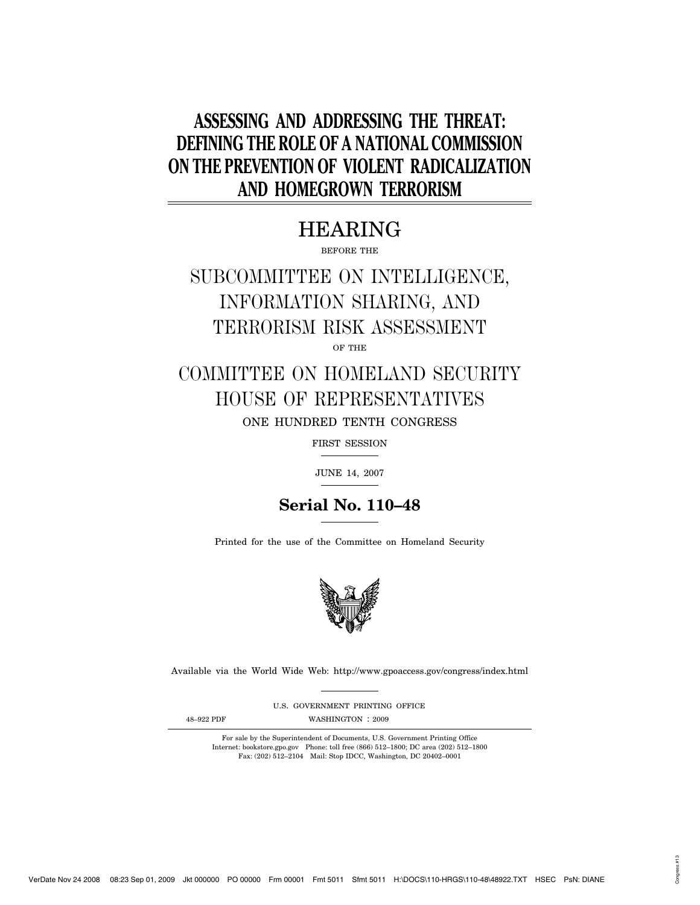# **ASSESSING AND ADDRESSING THE THREAT: DEFINING THE ROLE OF A NATIONAL COMMISSION ON THE PREVENTION OF VIOLENT RADICALIZATION AND HOMEGROWN TERRORISM**

## HEARING

BEFORE THE

# SUBCOMMITTEE ON INTELLIGENCE, INFORMATION SHARING, AND TERRORISM RISK ASSESSMENT

OF THE

# COMMITTEE ON HOMELAND SECURITY HOUSE OF REPRESENTATIVES ONE HUNDRED TENTH CONGRESS

FIRST SESSION

JUNE 14, 2007

## **Serial No. 110–48**

Printed for the use of the Committee on Homeland Security



Available via the World Wide Web: http://www.gpoaccess.gov/congress/index.html

U.S. GOVERNMENT PRINTING OFFICE

48-922 PDF WASHINGTON : 2009

For sale by the Superintendent of Documents, U.S. Government Printing Office Internet: bookstore.gpo.gov Phone: toll free (866) 512–1800; DC area (202) 512–1800 Fax: (202) 512–2104 Mail: Stop IDCC, Washington, DC 20402–0001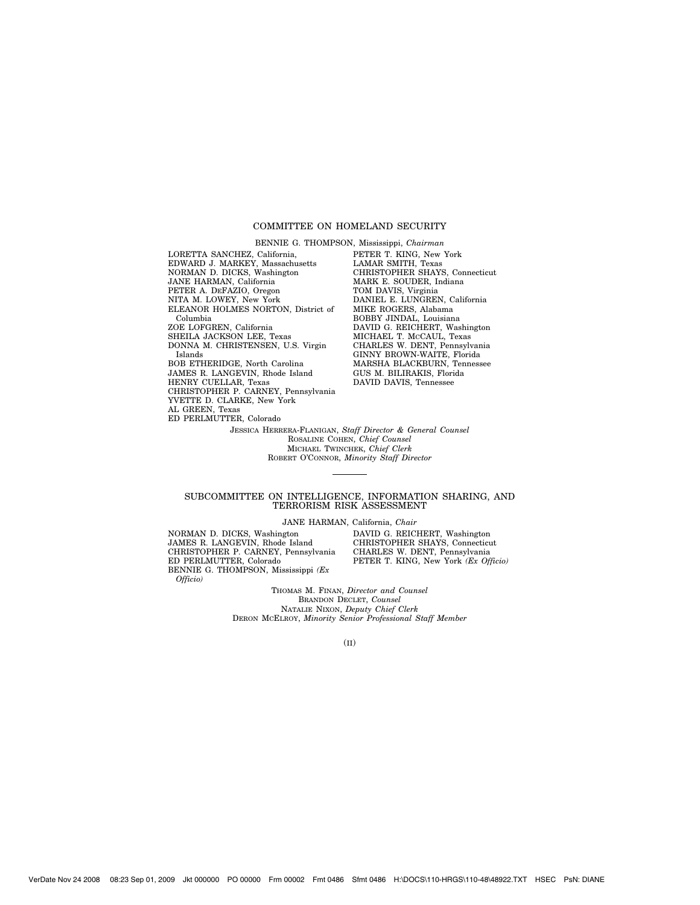### COMMITTEE ON HOMELAND SECURITY

BENNIE G. THOMPSON, Mississippi, *Chairman* 

LORETTA SANCHEZ, California, EDWARD J. MARKEY, Massachusetts NORMAN D. DICKS, Washington JANE HARMAN, California PETER A. DEFAZIO, Oregon NITA M. LOWEY, New York ELEANOR HOLMES NORTON, District of Columbia ZOE LOFGREN, California SHEILA JACKSON LEE, Texas DONNA M. CHRISTENSEN, U.S. Virgin Islands BOB ETHERIDGE, North Carolina JAMES R. LANGEVIN, Rhode Island HENRY CUELLAR, Texas CHRISTOPHER P. CARNEY, Pennsylvania YVETTE D. CLARKE, New York AL GREEN, Texas ED PERLMUTTER, Colorado

PETER T. KING, New York LAMAR SMITH, Texas CHRISTOPHER SHAYS, Connecticut MARK E. SOUDER, Indiana TOM DAVIS, Virginia DANIEL E. LUNGREN, California MIKE ROGERS, Alabama BOBBY JINDAL, Louisiana DAVID G. REICHERT, Washington MICHAEL T. MCCAUL, Texas CHARLES W. DENT, Pennsylvania GINNY BROWN-WAITE, Florida MARSHA BLACKBURN, Tennessee GUS M. BILIRAKIS, Florida DAVID DAVIS, Tennessee

JESSICA HERRERA-FLANIGAN, *Staff Director & General Counsel*  ROSALINE COHEN, *Chief Counsel*  MICHAEL TWINCHEK, *Chief Clerk*  ROBERT O'CONNOR, *Minority Staff Director* 

### SUBCOMMITTEE ON INTELLIGENCE, INFORMATION SHARING, AND TERRORISM RISK ASSESSMENT

JANE HARMAN, California, *Chair* 

NORMAN D. DICKS, Washington JAMES R. LANGEVIN, Rhode Island CHRISTOPHER P. CARNEY, Pennsylvania ED PERLMUTTER, Colorado BENNIE G. THOMPSON, Mississippi *(Ex Officio)* 

DAVID G. REICHERT, Washington CHRISTOPHER SHAYS, Connecticut CHARLES W. DENT, Pennsylvania PETER T. KING, New York *(Ex Officio)* 

THOMAS M. FINAN, *Director and Counsel*  BRANDON DECLET, *Counsel*  NATALIE NIXON, *Deputy Chief Clerk*  DERON MCELROY, *Minority Senior Professional Staff Member* 

(II)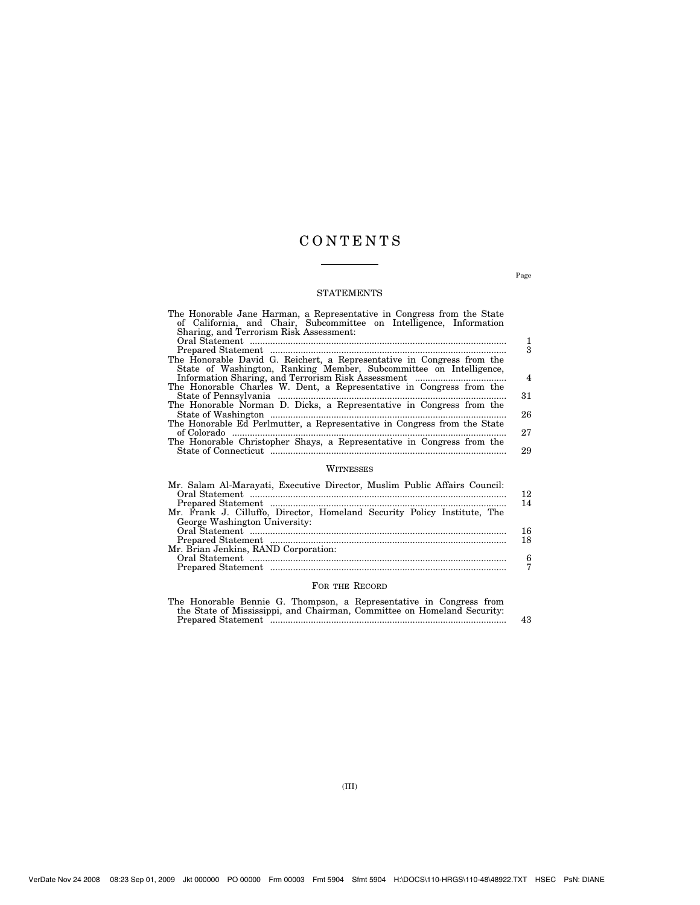## C O N T E N T S

## STATEMENTS

Page

| The Honorable Jane Harman, a Representative in Congress from the State<br>of California, and Chair, Subcommittee on Intelligence, Information |    |
|-----------------------------------------------------------------------------------------------------------------------------------------------|----|
| Sharing, and Terrorism Risk Assessment:                                                                                                       | 1  |
|                                                                                                                                               | 3  |
| The Honorable David G. Reichert, a Representative in Congress from the                                                                        |    |
| State of Washington, Ranking Member, Subcommittee on Intelligence,                                                                            | 4  |
| The Honorable Charles W. Dent, a Representative in Congress from the                                                                          |    |
| The Honorable Norman D. Dicks, a Representative in Congress from the                                                                          | 31 |
|                                                                                                                                               | 26 |
| The Honorable Ed Perlmutter, a Representative in Congress from the State                                                                      |    |
| of Colorado<br>The Honorable Christopher Shays, a Representative in Congress from the                                                         | 27 |
|                                                                                                                                               | 29 |
| WITNESSES                                                                                                                                     |    |
| Mr. Salam Al-Marayati, Executive Director, Muslim Public Affairs Council:                                                                     | 12 |
|                                                                                                                                               | 14 |
| Mr. Frank J. Cilluffo, Director, Homeland Security Policy Institute, The<br>George Washington University:                                     |    |
|                                                                                                                                               |    |

| Mr. Brian Jenkins, RAND Corporation: |   |
|--------------------------------------|---|
|                                      | 6 |
|                                      |   |
|                                      |   |

## FOR THE RECORD

| The Honorable Bennie G. Thompson, a Representative in Congress from     |     |
|-------------------------------------------------------------------------|-----|
| the State of Mississippi, and Chairman, Committee on Homeland Security: |     |
|                                                                         | 43. |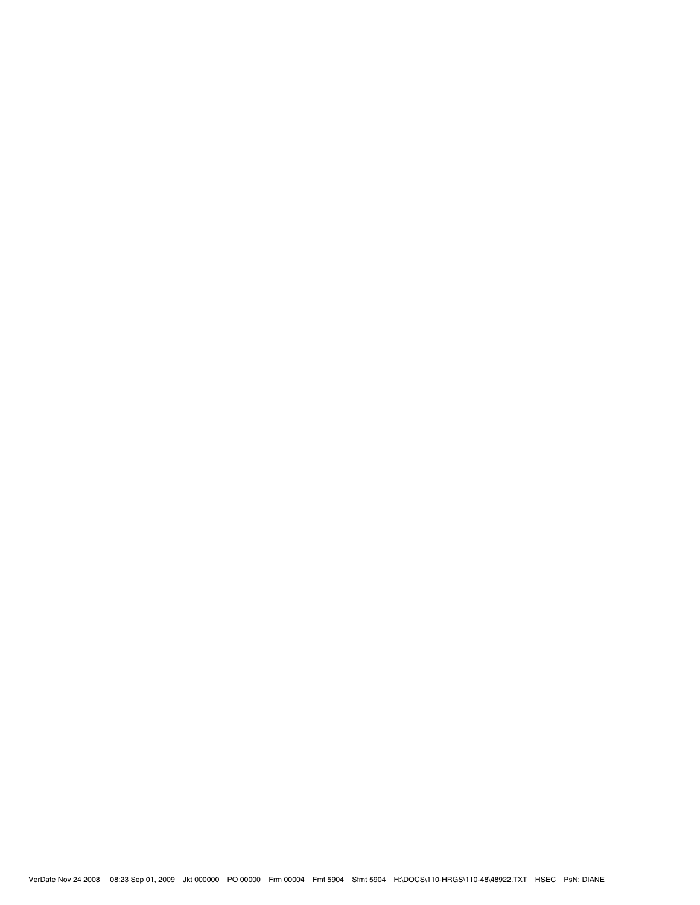VerDate Nov 24 2008 08:23 Sep 01, 2009 Jkt 000000 PO 00000 Frm 00004 Fmt 5904 Sfmt 5904 H:\DOCS\110-HRGS\110-48\48922.TXT HSEC PsN: DIANE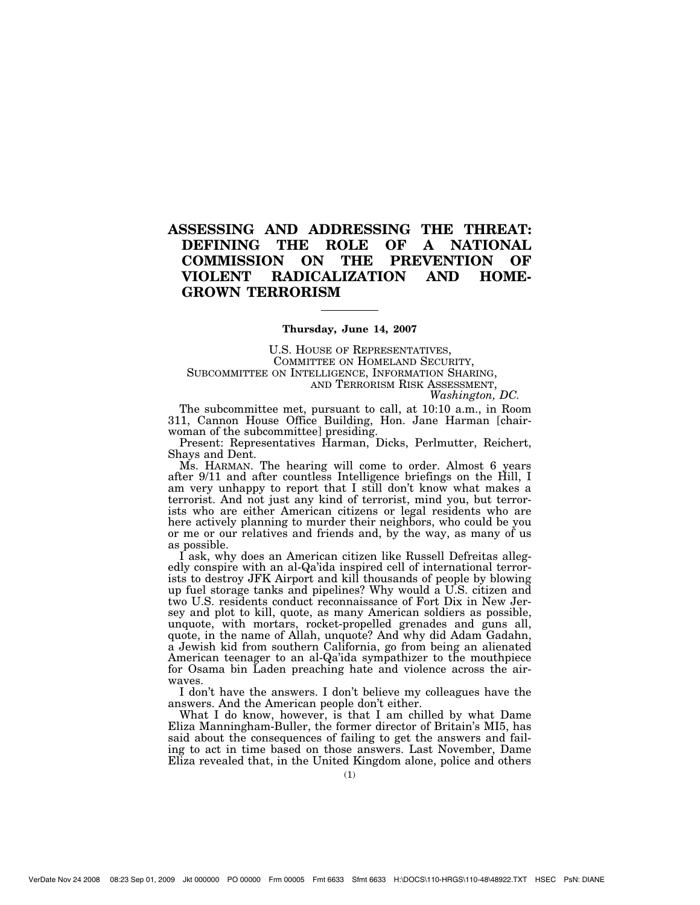## **ASSESSING AND ADDRESSING THE THREAT: DEFINING THE ROLE OF A NATIONAL COMMISSION ON THE PREVENTION OF VIOLENT RADICALIZATION AND HOME-GROWN TERRORISM**

#### **Thursday, June 14, 2007**

U.S. HOUSE OF REPRESENTATIVES,<br>COMMITTEE ON HOMELAND SECURITY,<br>SUBCOMMITTEE ON INTELLIGENCE, INFORMATION SHARING,<br>AND TERRORISM RISK ASSESSMENT,<br>*Washington, DC.* 

The subcommittee met, pursuant to call, at 10:10 a.m., in Room 311, Cannon House Office Building, Hon. Jane Harman [chairwoman of the subcommittee] presiding.

Present: Representatives Harman, Dicks, Perlmutter, Reichert, Shays and Dent.

Ms. HARMAN. The hearing will come to order. Almost 6 years after 9/11 and after countless Intelligence briefings on the Hill, I am very unhappy to report that I still don't know what makes a terrorist. And not just any kind of terrorist, mind you, but terrorists who are either American citizens or legal residents who are here actively planning to murder their neighbors, who could be you or me or our relatives and friends and, by the way, as many of us as possible.

I ask, why does an American citizen like Russell Defreitas allegedly conspire with an al-Qa'ida inspired cell of international terrorists to destroy JFK Airport and kill thousands of people by blowing up fuel storage tanks and pipelines? Why would a U.S. citizen and two U.S. residents conduct reconnaissance of Fort Dix in New Jersey and plot to kill, quote, as many American soldiers as possible, unquote, with mortars, rocket-propelled grenades and guns all, quote, in the name of Allah, unquote? And why did Adam Gadahn, a Jewish kid from southern California, go from being an alienated American teenager to an al-Qa'ida sympathizer to the mouthpiece for Osama bin Laden preaching hate and violence across the airwaves.

I don't have the answers. I don't believe my colleagues have the answers. And the American people don't either.

What I do know, however, is that I am chilled by what Dame Eliza Manningham-Buller, the former director of Britain's MI5, has said about the consequences of failing to get the answers and failing to act in time based on those answers. Last November, Dame Eliza revealed that, in the United Kingdom alone, police and others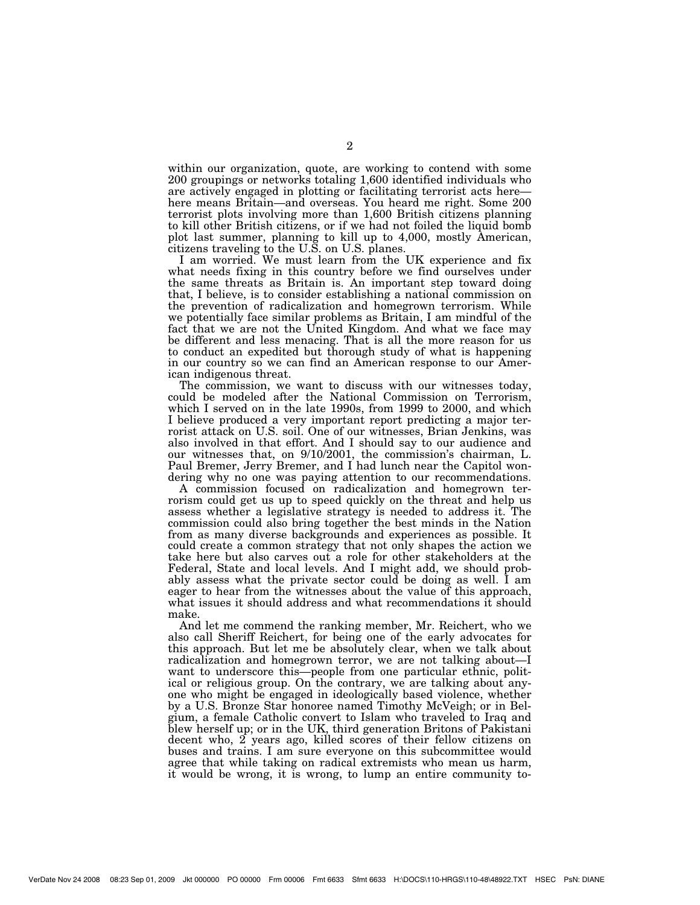within our organization, quote, are working to contend with some 200 groupings or networks totaling 1,600 identified individuals who are actively engaged in plotting or facilitating terrorist acts here here means Britain—and overseas. You heard me right. Some 200 terrorist plots involving more than 1,600 British citizens planning to kill other British citizens, or if we had not foiled the liquid bomb plot last summer, planning to kill up to 4,000, mostly American, citizens traveling to the U.S. on U.S. planes.

I am worried. We must learn from the UK experience and fix what needs fixing in this country before we find ourselves under the same threats as Britain is. An important step toward doing that, I believe, is to consider establishing a national commission on the prevention of radicalization and homegrown terrorism. While we potentially face similar problems as Britain, I am mindful of the fact that we are not the United Kingdom. And what we face may be different and less menacing. That is all the more reason for us to conduct an expedited but thorough study of what is happening in our country so we can find an American response to our American indigenous threat.

The commission, we want to discuss with our witnesses today, could be modeled after the National Commission on Terrorism, which I served on in the late 1990s, from 1999 to 2000, and which I believe produced a very important report predicting a major terrorist attack on U.S. soil. One of our witnesses, Brian Jenkins, was also involved in that effort. And I should say to our audience and our witnesses that, on 9/10/2001, the commission's chairman, L. Paul Bremer, Jerry Bremer, and I had lunch near the Capitol wondering why no one was paying attention to our recommendations.

A commission focused on radicalization and homegrown terrorism could get us up to speed quickly on the threat and help us assess whether a legislative strategy is needed to address it. The commission could also bring together the best minds in the Nation from as many diverse backgrounds and experiences as possible. It could create a common strategy that not only shapes the action we take here but also carves out a role for other stakeholders at the Federal, State and local levels. And I might add, we should probably assess what the private sector could be doing as well. I am eager to hear from the witnesses about the value of this approach, what issues it should address and what recommendations it should make.

And let me commend the ranking member, Mr. Reichert, who we also call Sheriff Reichert, for being one of the early advocates for this approach. But let me be absolutely clear, when we talk about radicalization and homegrown terror, we are not talking about—I want to underscore this—people from one particular ethnic, political or religious group. On the contrary, we are talking about anyone who might be engaged in ideologically based violence, whether by a U.S. Bronze Star honoree named Timothy McVeigh; or in Belgium, a female Catholic convert to Islam who traveled to Iraq and blew herself up; or in the UK, third generation Britons of Pakistani decent who, 2 years ago, killed scores of their fellow citizens on buses and trains. I am sure everyone on this subcommittee would agree that while taking on radical extremists who mean us harm, it would be wrong, it is wrong, to lump an entire community to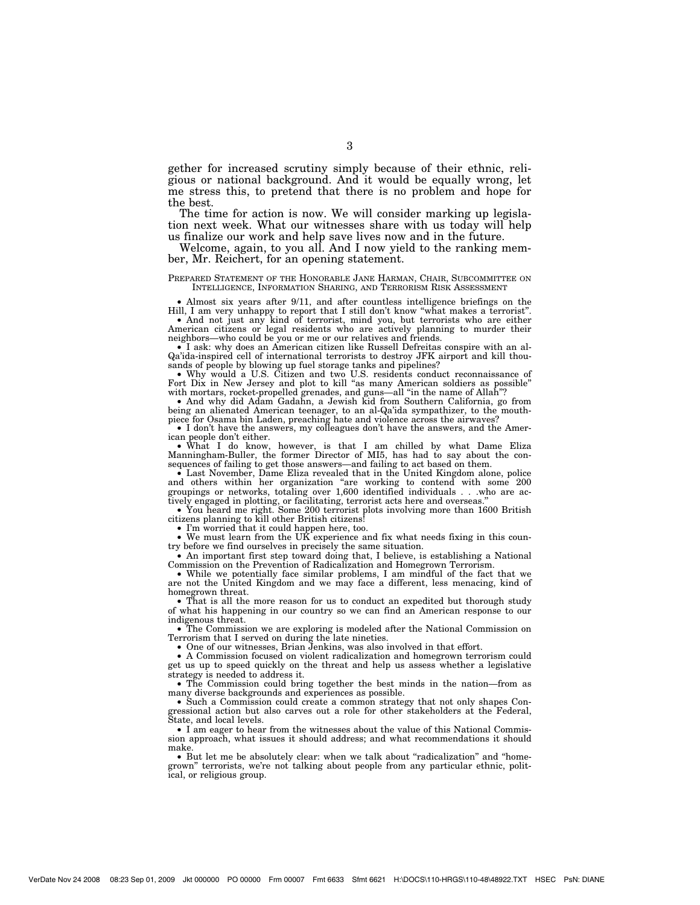gether for increased scrutiny simply because of their ethnic, religious or national background. And it would be equally wrong, let me stress this, to pretend that there is no problem and hope for the best.

The time for action is now. We will consider marking up legislation next week. What our witnesses share with us today will help us finalize our work and help save lives now and in the future.

Welcome, again, to you all. And I now yield to the ranking member, Mr. Reichert, for an opening statement.

#### PREPARED STATEMENT OF THE HONORABLE JANE HARMAN, CHAIR, SUBCOMMITTEE ON INTELLIGENCE, INFORMATION SHARING, AND TERRORISM RISK ASSESSMENT

• Almost six years after 9/11, and after countless intelligence briefings on the Hill, I am very unhappy to report that I still don't know "what makes a terrorist".

Hill, I am very unhappy to report that I still don't know "what makes a terrorist".<br>• And not just any kind of terrorist, mind you, but terrorists who are either<br>American citizens or legal residents who are actively planni neighbors—who could be you or me or our relatives and friends. • I ask: why does an American citizen like Russell Defreitas conspire with an al-

Qa'ida-inspired cell of international terrorists to destroy JFK airport and kill thou-

sands of people by blowing up fuel storage tanks and pipelines?<br>
• Why would a U.S. Citizen and two U.S. residents conduct reconnaissance of<br>
Fort Dix in New Jersey and plot to kill "as many American soldiers as possible"<br>

being an alienated American teenager, to an al-Qa'ida sympathizer, to the mouth-<br>piece for Osama bin Laden, preaching hate and violence across the airwaves?

• I don't have the answers, my colleagues don't have the answers, and the American people don't either. • What I do know, however, is that I am chilled by what Dame Eliza

Manningham-Buller, the former Director of MI5, has had to say about the consequences of failing to get those answers—and failing to act based on them. • Last November, Dame Eliza revealed that in the United Kingdom alone, police

and others within her organization ''are working to contend with some 200 groupings or networks, totaling over 1,600 identified individuals . . .who are actively engaged in plotting, or facilitating, terrorist acts here and overseas.''

• You heard me right. Some 200 terrorist plots involving more than 1600 British citizens planning to kill other British citizens!

• I'm worried that it could happen here, too.

• We must learn from the UK experience and fix what needs fixing in this country before we find ourselves in precisely the same situation.

• An important first step toward doing that, I believe, is establishing a National Commission on the Prevention of Radicalization and Homegrown Terrorism.

• While we potentially face similar problems, I am mindful of the fact that we are not the United Kingdom and we may face a different, less menacing, kind of homegrown threat.

• That is all the more reason for us to conduct an expedited but thorough study of what his happening in our country so we can find an American response to our indigenous threat.

• The Commission we are exploring is modeled after the National Commission on Terrorism that I served on during the late nineties.

• One of our witnesses, Brian Jenkins, was also involved in that effort.

• A Commission focused on violent radicalization and homegrown terrorism could get us up to speed quickly on the threat and help us assess whether a legislative strategy is needed to address it.

• The Commission could bring together the best minds in the nation—from as many diverse backgrounds and experiences as possible.

• Such a Commission could create a common strategy that not only shapes Congressional action but also carves out a role for other stakeholders at the Federal, State, and local levels.

• I am eager to hear from the witnesses about the value of this National Commission approach, what issues it should address; and what recommendations it should make.

• But let me be absolutely clear: when we talk about "radicalization" and "homegrown'' terrorists, we're not talking about people from any particular ethnic, political, or religious group.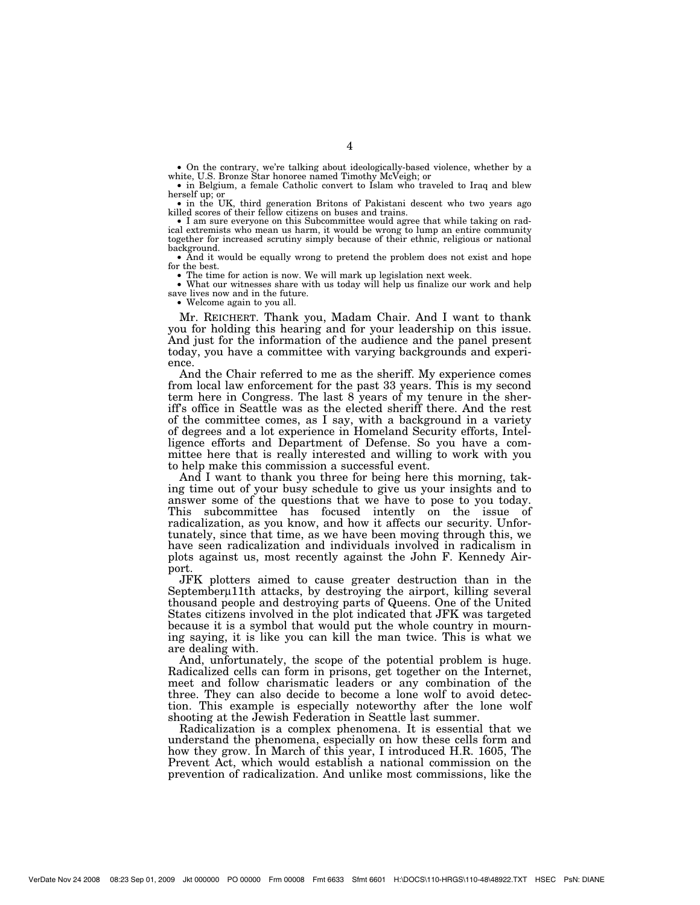• On the contrary, we're talking about ideologically-based violence, whether by a white, U.S. Bronze Star honoree named Timothy McVeigh; or • in Belgium, a female Catholic convert to Islam who traveled to Iraq and blew

herself up; or • in the UK, third generation Britons of Pakistani descent who two years ago

killed scores of their fellow citizens on buses and trains. • I am sure everyone on this Subcommittee would agree that while taking on rad-

ical extremists who mean us harm, it would be wrong to lump an entire community together for increased scrutiny simply because of their ethnic, religious or national

• And it would be equally wrong to pretend the problem does not exist and hope

for the best.<br>• The time for action is now. We will mark up legislation next week.<br>• What our witnesses share with us today will help us finalize our work and help<br>save lives now and in the future.

• Welcome again to you all.

Mr. REICHERT. Thank you, Madam Chair. And I want to thank you for holding this hearing and for your leadership on this issue. And just for the information of the audience and the panel present today, you have a committee with varying backgrounds and experience.

And the Chair referred to me as the sheriff. My experience comes from local law enforcement for the past 33 years. This is my second term here in Congress. The last 8 years of my tenure in the sheriff's office in Seattle was as the elected sheriff there. And the rest of the committee comes, as I say, with a background in a variety of degrees and a lot experience in Homeland Security efforts, Intelligence efforts and Department of Defense. So you have a committee here that is really interested and willing to work with you to help make this commission a successful event.

And I want to thank you three for being here this morning, taking time out of your busy schedule to give us your insights and to answer some of the questions that we have to pose to you today. This subcommittee has focused intently on the issue of radicalization, as you know, and how it affects our security. Unfortunately, since that time, as we have been moving through this, we have seen radicalization and individuals involved in radicalism in plots against us, most recently against the John F. Kennedy Airport.

JFK plotters aimed to cause greater destruction than in the Septemberμ11th attacks, by destroying the airport, killing several thousand people and destroying parts of Queens. One of the United States citizens involved in the plot indicated that JFK was targeted because it is a symbol that would put the whole country in mourning saying, it is like you can kill the man twice. This is what we are dealing with.

And, unfortunately, the scope of the potential problem is huge. Radicalized cells can form in prisons, get together on the Internet, meet and follow charismatic leaders or any combination of the three. They can also decide to become a lone wolf to avoid detection. This example is especially noteworthy after the lone wolf shooting at the Jewish Federation in Seattle last summer.

Radicalization is a complex phenomena. It is essential that we understand the phenomena, especially on how these cells form and how they grow. In March of this year, I introduced H.R. 1605, The Prevent Act, which would establish a national commission on the prevention of radicalization. And unlike most commissions, like the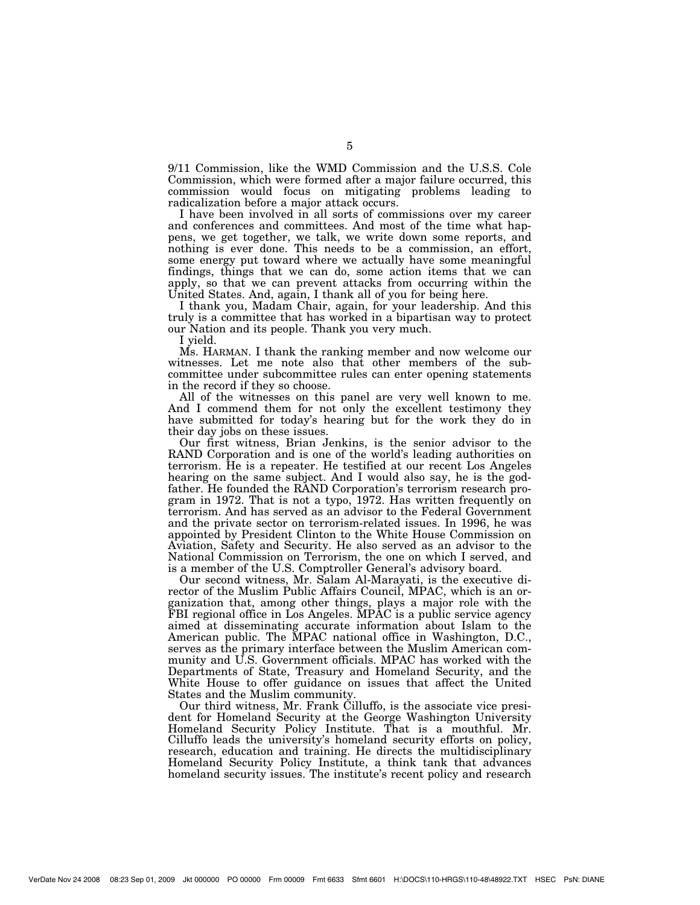9/11 Commission, like the WMD Commission and the U.S.S. Cole Commission, which were formed after a major failure occurred, this commission would focus on mitigating problems leading to radicalization before a major attack occurs.

I have been involved in all sorts of commissions over my career and conferences and committees. And most of the time what happens, we get together, we talk, we write down some reports, and nothing is ever done. This needs to be a commission, an effort, some energy put toward where we actually have some meaningful findings, things that we can do, some action items that we can apply, so that we can prevent attacks from occurring within the United States. And, again, I thank all of you for being here.

I thank you, Madam Chair, again, for your leadership. And this truly is a committee that has worked in a bipartisan way to protect our Nation and its people. Thank you very much.

I yield.

Ms. HARMAN. I thank the ranking member and now welcome our witnesses. Let me note also that other members of the subcommittee under subcommittee rules can enter opening statements in the record if they so choose.

All of the witnesses on this panel are very well known to me. And I commend them for not only the excellent testimony they have submitted for today's hearing but for the work they do in their day jobs on these issues.

Our first witness, Brian Jenkins, is the senior advisor to the RAND Corporation and is one of the world's leading authorities on terrorism. He is a repeater. He testified at our recent Los Angeles hearing on the same subject. And I would also say, he is the godfather. He founded the RAND Corporation's terrorism research program in 1972. That is not a typo, 1972. Has written frequently on terrorism. And has served as an advisor to the Federal Government and the private sector on terrorism-related issues. In 1996, he was appointed by President Clinton to the White House Commission on Aviation, Safety and Security. He also served as an advisor to the National Commission on Terrorism, the one on which I served, and is a member of the U.S. Comptroller General's advisory board.

Our second witness, Mr. Salam Al-Marayati, is the executive director of the Muslim Public Affairs Council, MPAC, which is an organization that, among other things, plays a major role with the FBI regional office in Los Angeles. MPAC is a public service agency aimed at disseminating accurate information about Islam to the American public. The MPAC national office in Washington, D.C., serves as the primary interface between the Muslim American community and U.S. Government officials. MPAC has worked with the Departments of State, Treasury and Homeland Security, and the White House to offer guidance on issues that affect the United States and the Muslim community.

Our third witness, Mr. Frank Cilluffo, is the associate vice president for Homeland Security at the George Washington University Homeland Security Policy Institute. That is a mouthful. Mr. Cilluffo leads the university's homeland security efforts on policy, research, education and training. He directs the multidisciplinary Homeland Security Policy Institute, a think tank that advances homeland security issues. The institute's recent policy and research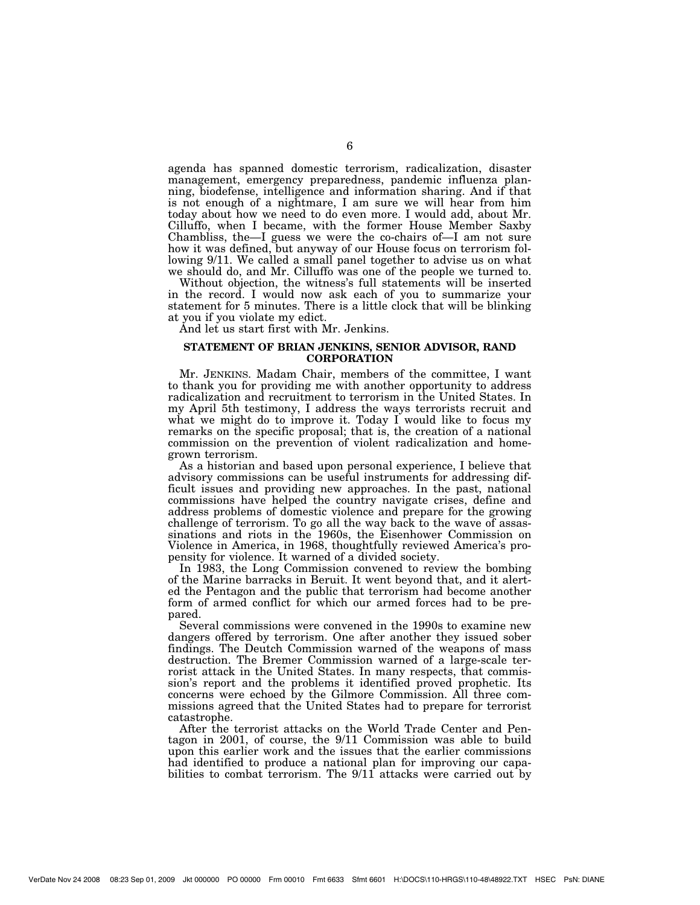agenda has spanned domestic terrorism, radicalization, disaster management, emergency preparedness, pandemic influenza planning, biodefense, intelligence and information sharing. And if that is not enough of a nightmare, I am sure we will hear from him today about how we need to do even more. I would add, about Mr. Cilluffo, when I became, with the former House Member Saxby Chambliss, the—I guess we were the co-chairs of—I am not sure how it was defined, but anyway of our House focus on terrorism following 9/11. We called a small panel together to advise us on what we should do, and Mr. Cilluffo was one of the people we turned to.

Without objection, the witness's full statements will be inserted in the record. I would now ask each of you to summarize your statement for 5 minutes. There is a little clock that will be blinking at you if you violate my edict.

And let us start first with Mr. Jenkins.

## **STATEMENT OF BRIAN JENKINS, SENIOR ADVISOR, RAND CORPORATION**

Mr. JENKINS. Madam Chair, members of the committee, I want to thank you for providing me with another opportunity to address radicalization and recruitment to terrorism in the United States. In my April 5th testimony, I address the ways terrorists recruit and what we might do to improve it. Today I would like to focus my remarks on the specific proposal; that is, the creation of a national commission on the prevention of violent radicalization and homegrown terrorism.

As a historian and based upon personal experience, I believe that advisory commissions can be useful instruments for addressing difficult issues and providing new approaches. In the past, national commissions have helped the country navigate crises, define and address problems of domestic violence and prepare for the growing challenge of terrorism. To go all the way back to the wave of assassinations and riots in the 1960s, the Eisenhower Commission on Violence in America, in 1968, thoughtfully reviewed America's propensity for violence. It warned of a divided society.

In 1983, the Long Commission convened to review the bombing of the Marine barracks in Beruit. It went beyond that, and it alerted the Pentagon and the public that terrorism had become another form of armed conflict for which our armed forces had to be prepared.

Several commissions were convened in the 1990s to examine new dangers offered by terrorism. One after another they issued sober findings. The Deutch Commission warned of the weapons of mass destruction. The Bremer Commission warned of a large-scale terrorist attack in the United States. In many respects, that commission's report and the problems it identified proved prophetic. Its concerns were echoed by the Gilmore Commission. All three commissions agreed that the United States had to prepare for terrorist catastrophe.

After the terrorist attacks on the World Trade Center and Pentagon in 2001, of course, the 9/11 Commission was able to build upon this earlier work and the issues that the earlier commissions had identified to produce a national plan for improving our capabilities to combat terrorism. The 9/11 attacks were carried out by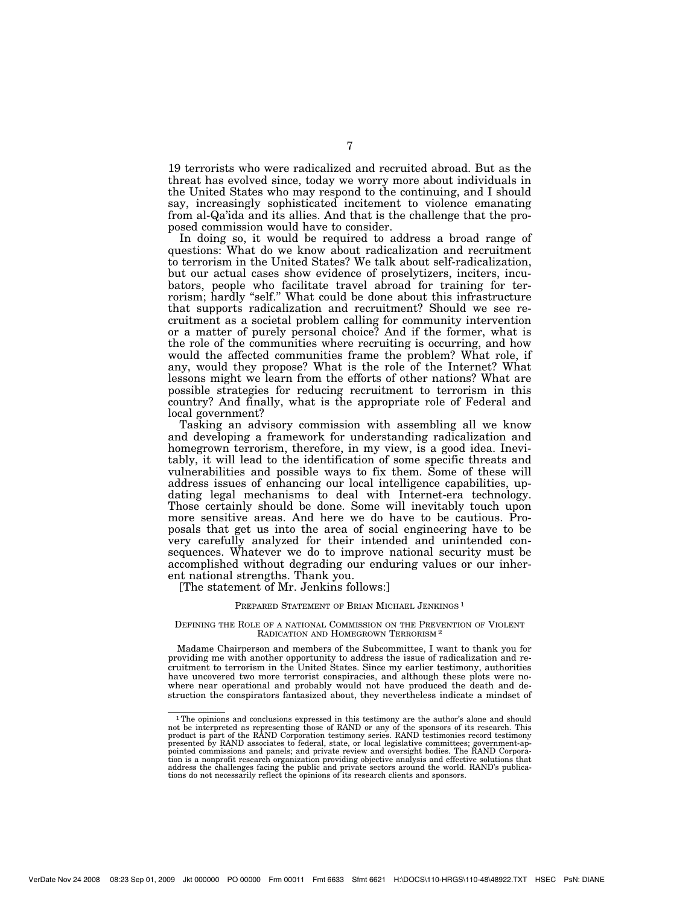19 terrorists who were radicalized and recruited abroad. But as the threat has evolved since, today we worry more about individuals in the United States who may respond to the continuing, and I should say, increasingly sophisticated incitement to violence emanating from al-Qa'ida and its allies. And that is the challenge that the proposed commission would have to consider.

In doing so, it would be required to address a broad range of questions: What do we know about radicalization and recruitment to terrorism in the United States? We talk about self-radicalization, but our actual cases show evidence of proselytizers, inciters, incubators, people who facilitate travel abroad for training for terrorism; hardly "self." What could be done about this infrastructure that supports radicalization and recruitment? Should we see recruitment as a societal problem calling for community intervention or a matter of purely personal choice? And if the former, what is the role of the communities where recruiting is occurring, and how would the affected communities frame the problem? What role, if any, would they propose? What is the role of the Internet? What lessons might we learn from the efforts of other nations? What are possible strategies for reducing recruitment to terrorism in this country? And finally, what is the appropriate role of Federal and local government?

Tasking an advisory commission with assembling all we know and developing a framework for understanding radicalization and homegrown terrorism, therefore, in my view, is a good idea. Inevitably, it will lead to the identification of some specific threats and vulnerabilities and possible ways to fix them. Some of these will address issues of enhancing our local intelligence capabilities, updating legal mechanisms to deal with Internet-era technology. Those certainly should be done. Some will inevitably touch upon more sensitive areas. And here we do have to be cautious. Proposals that get us into the area of social engineering have to be very carefully analyzed for their intended and unintended consequences. Whatever we do to improve national security must be accomplished without degrading our enduring values or our inherent national strengths. Thank you.

[The statement of Mr. Jenkins follows:]

#### PREPARED STATEMENT OF BRIAN MICHAEL JENKINGS<sup>1</sup>

#### DEFINING THE ROLE OF A NATIONAL COMMISSION ON THE PREVENTION OF VIOLENT RADICATION AND HOMEGROWN TERRORISM<sup>2</sup>

Madame Chairperson and members of the Subcommittee, I want to thank you for providing me with another opportunity to address the issue of radicalization and recruitment to terrorism in the United States. Since my earlier testimony, authorities have uncovered two more terrorist conspiracies, and although these plots were nowhere near operational and probably would not have produced the death and destruction the conspirators fantasized about, they nevertheless indicate a mindset of

 $^{1}$  The opinions and conclusions expressed in this testimony are the author's alone and should not be interpreted as representing those of RAND or any of the sponsors of its research. This product is part of the RAND Co presented by RAND associates to federal, state, or local legislative committees; government-ap-pointed commissions and panels; and private review and oversight bodies. The RAND Corporation is a nonprofit research organization providing objective analysis and effective solutions that address the challenges facing the public and private sectors around the world. RAND's publica-tions do not necessarily reflect the opinions of its research clients and sponsors.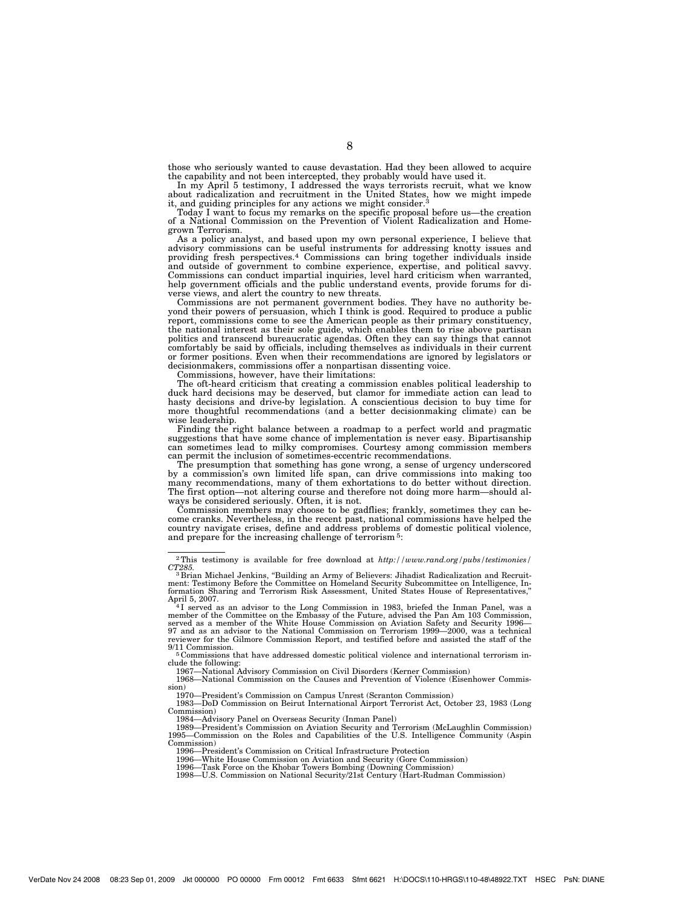those who seriously wanted to cause devastation. Had they been allowed to acquire the capability and not been intercepted, they probably would have used it.

In my April 5 testimony, I addressed the ways terrorists recruit, what we know about radicalization and recruitment in the United States, how we might impede it, and guiding principles for any actions we might consider.3 Today I want to focus my remarks on the specific proposal before us—the creation

of a National Commission on the Prevention of Violent Radicalization and Homegrown Terrorism.

As a policy analyst, and based upon my own personal experience, I believe that advisory commissions can be useful instruments for addressing knotty issues and providing fresh perspectives.4 Commissions can bring together individuals inside and outside of government to combine experience, expertise, and political savvy. Commissions can conduct impartial inquiries, level hard criticism when warranted, help government officials and the public understand events, provide forums for diverse views, and alert the country to new threats.

Commissions are not permanent government bodies. They have no authority be-yond their powers of persuasion, which I think is good. Required to produce a public report, commissions come to see the American people as their primary constituency, the national interest as their sole guide, which enables them to rise above partisan politics and transcend bureaucratic agendas. Often they can say things that cannot comfortably be said by officials, including themselves as individuals in their current or former positions. Even when their recommendations are ignored by legislators or decisionmakers, commissions offer a nonpartisan dissenting voice.

Commissions, however, have their limitations: The oft-heard criticism that creating a commission enables political leadership to duck hard decisions may be deserved, but clamor for immediate action can lead to hasty decisions and drive-by legislation. A conscientious decision to buy time for more thoughtful recommendations (and a better decisionmaking climate) can be wise leadership.

Finding the right balance between a roadmap to a perfect world and pragmatic suggestions that have some chance of implementation is never easy. Bipartisanship can sometimes lead to milky compromises. Courtesy among commission members can permit the inclusion of sometimes-eccentric recommendations.

The presumption that something has gone wrong, a sense of urgency underscored by a commission's own limited life span, can drive commissions into making too many recommendations, many of them exhortations to do better without direction. The first option—not altering course and therefore not doing more harm—should al-ways be considered seriously. Often, it is not.

Commission members may choose to be gadflies; frankly, sometimes they can become cranks. Nevertheless, in the recent past, national commissions have helped the country navigate crises, define and address problems of domestic political violence, and prepare for the increasing challenge of terrorism 5:

<sup>2</sup>This testimony is available for free download at *http://www.rand.org/pubs/testimonies/* 

<sup>&</sup>lt;sup>3</sup> Brian Michael Jenkins, "Building an Army of Believers: Jihadist Radicalization and Recruitment: Testimony Before the Committee on Homeland Security Subcommittee on Intelligence, In-formation Sharing and Terrorism Risk Assessment, United States House of Representatives,''

April 5, 2007. 4 I served as an advisor to the Long Commission in 1983, briefed the Inman Panel, was a member of the Committee on the Embassy of the Future, advised the Pan Am 103 Commission, served as a member of the White House Commission on Aviation Safety and Security 1996—<br>97 and as an advisor to the National Commission on Terrorism 1999—2000, was a technical<br>reviewer for the Gilmore Commission Report, and 9/11 Commission. 5 Commissions that have addressed domestic political violence and international terrorism in-

clude the following:

<sup>1967—</sup>National Advisory Commission on Civil Disorders (Kerner Commission) 1968—National Commission on the Causes and Prevention of Violence (Eisenhower Commis-

sion)

<sup>1970—</sup>President's Commission on Campus Unrest (Scranton Commission) 1983—DoD Commission on Beirut International Airport Terrorist Act, October 23, 1983 (Long Commission)

<sup>1984—</sup>Advisory Panel on Overseas Security (Inman Panel)<br>1989—President's Commission on Aviation Security and Terrorism (McLaughlin Commission)<br>1995—Commission on the Roles and Capabilities of the U.S. Intelligence Community Commission)

<sup>1996—</sup>President's Commission on Critical Infrastructure Protection 1996—White House Commission on Aviation and Security (Gore Commission)

<sup>1996—</sup>Task Force on the Khobar Towers Bombing (Downing Commission) 1998—U.S. Commission on National Security/21st Century (Hart-Rudman Commission)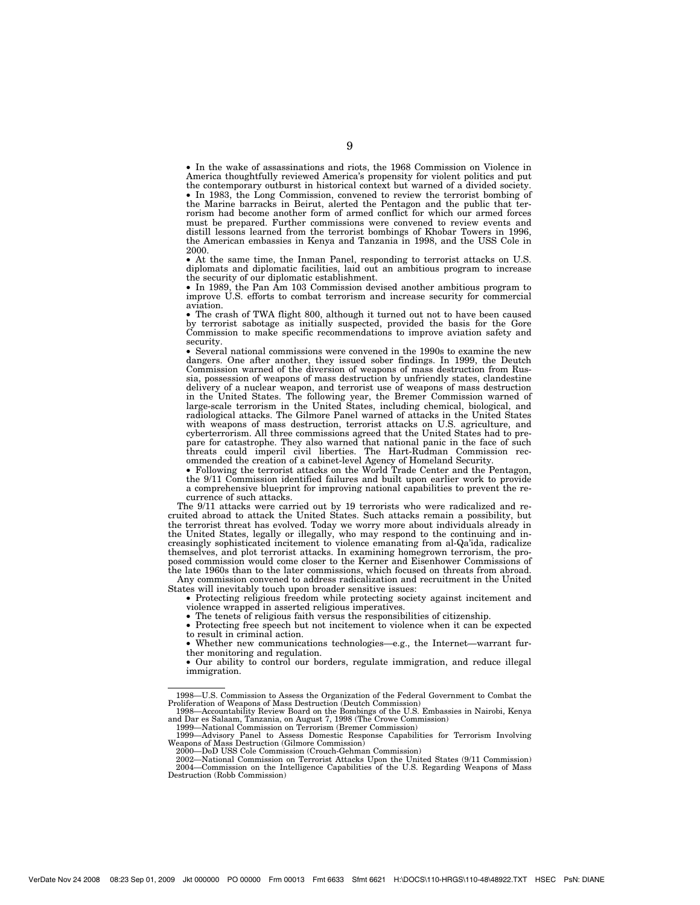• In the wake of assassinations and riots, the 1968 Commission on Violence in America thoughtfully reviewed America's propensity for violent politics and put the contemporary outburst in historical context but warned of a divided society. • In 1983, the Long Commission, convened to review the terrorist bombing of the Marine barracks in Beirut, alerted the Pentagon and the public that terrorism had become another form of armed conflict for which our armed forces must be prepared. Further commissions were convened to review events and distill lessons learned from the terrorist bombings of Khobar Towers in 1996, the American embassies in Kenya and Tanzania in 1998, and the USS Cole in 2000.

• At the same time, the Inman Panel, responding to terrorist attacks on U.S. diplomats and diplomatic facilities, laid out an ambitious program to increase the security of our diplomatic establishment.

• In 1989, the Pan Am 103 Commission devised another ambitious program to improve U.S. efforts to combat terrorism and increase security for commercial aviation.

• The crash of TWA flight 800, although it turned out not to have been caused by terrorist sabotage as initially suspected, provided the basis for the Gore Commission to make specific recommendations to improve aviation safety and security.

• Several national commissions were convened in the 1990s to examine the new dangers. One after another, they issued sober findings. In 1999, the Deutch Commission warned of the diversion of weapons of mass destruction from Russia, possession of weapons of mass destruction by unfriendly states, clandestine delivery of a nuclear weapon, and terrorist use of weapons of mass destruction in the United States. The following year, the Bremer Commission warned of large-scale terrorism in the United States, including chemical, biological, and radiological attacks. The Gilmore Panel warned of attacks in the United States with weapons of mass destruction, terrorist attacks on U.S. agriculture, and cyberterrorism. All three commissions agreed that the United States had to prepare for catastrophe. They also warned that national panic in the face of such threats could imperil civil liberties. The Hart-Rudman Commission recommended the creation of a cabinet-level Agency of Homeland Security.

• Following the terrorist attacks on the World Trade Center and the Pentagon, the 9/11 Commission identified failures and built upon earlier work to provide a comprehensive blueprint for improving national capabilities to prevent the recurrence of such attacks.

The 9/11 attacks were carried out by 19 terrorists who were radicalized and recruited abroad to attack the United States. Such attacks remain a possibility, but the terrorist threat has evolved. Today we worry more about individuals already in the United States, legally or illegally, who may respond to the continuing and increasingly sophisticated incitement to violence emanating from al-Qa'ida, radicalize themselves, and plot terrorist attacks. In examining homegrown terrorism, the proposed commission would come closer to the Kerner and Eisenhower Commissions of the late 1960s than to the later commissions, which focused on threats from abroad.

Any commission convened to address radicalization and recruitment in the United States will inevitably touch upon broader sensitive issues:

• Protecting religious freedom while protecting society against incitement and violence wrapped in asserted religious imperatives.

• The tenets of religious faith versus the responsibilities of citizenship.

• Protecting free speech but not incitement to violence when it can be expected to result in criminal action.

<sup>•</sup> Whether new communications technologies—e.g., the Internet—warrant further monitoring and regulation.

<sup>•</sup> Our ability to control our borders, regulate immigration, and reduce illegal immigration.

<sup>1998—</sup>U.S. Commission to Assess the Organization of the Federal Government to Combat the Proliferation of Weapons of Mass Destruction (Deutch Commission)

<sup>1998—</sup>Accountability Review Board on the Bombings of the U.S. Embassies in Nairobi, Kenya

and Dar es Salaam, Tanzania, on August 7, 1998 (The Crowe Commission)<br>1999—National Commission on Terrorism (Bremer Commission)<br>1999—Advisory Panel to Assess Domestic Response Capabilities for Terrorism Involving<br>Weapons o

<sup>2004—</sup>Commission on the Intelligence Capabilities of the U.S. Regarding Weapons of Mass Destruction (Robb Commission)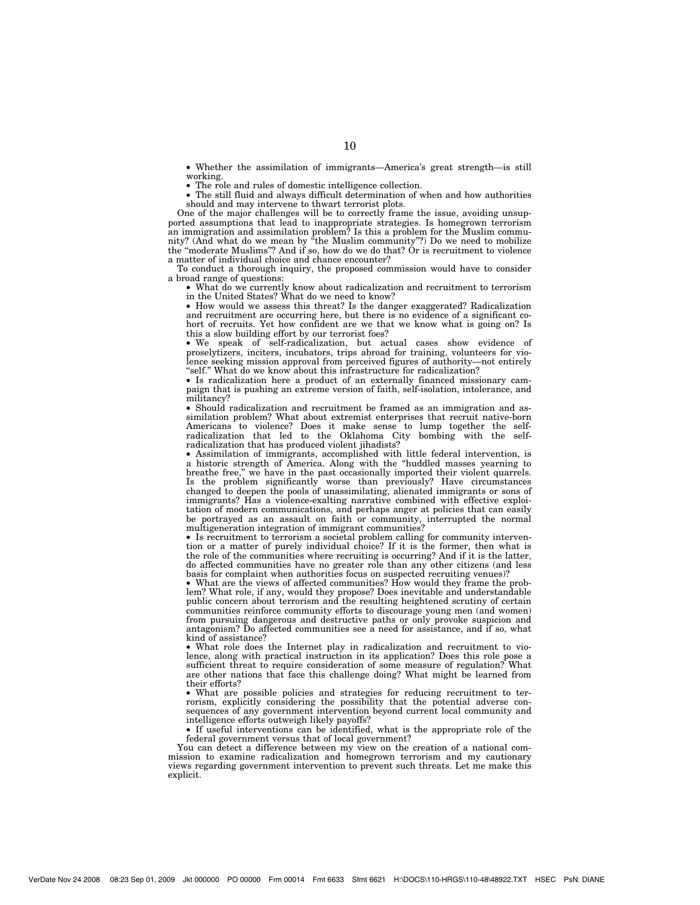• Whether the assimilation of immigrants—America's great strength—is still working.

• The role and rules of domestic intelligence collection.

• The still fluid and always difficult determination of when and how authorities should and may intervene to thwart terrorist plots.

One of the major challenges will be to correctly frame the issue, avoiding unsupported assumptions that lead to inappropriate strategies. Is homegrown terrorism an immigration and assimilation problem? Is this a problem for the Muslim community? (And what do we mean by ''the Muslim community''?) Do we need to mobilize the ''moderate Muslims''? And if so, how do we do that? Or is recruitment to violence a matter of individual choice and chance encounter?

To conduct a thorough inquiry, the proposed commission would have to consider a broad range of questions:

• What do we currently know about radicalization and recruitment to terrorism in the United States? What do we need to know?

• How would we assess this threat? Is the danger exaggerated? Radicalization and recruitment are occurring here, but there is no evidence of a significant cohort of recruits. Yet how confident are we that we know what is going on? Is this a slow building effort by our terrorist foes?

• We speak of self-radicalization, but actual cases show evidence of proselytizers, inciters, incubators, trips abroad for training, volunteers for violence seeking mission approval from perceived figures of authority—not entirely "self." What do we know about this infrastructure for radicalization?

• Is radicalization here a product of an externally financed missionary campaign that is pushing an extreme version of faith, self-isolation, intolerance, and militancy?

• Should radicalization and recruitment be framed as an immigration and assimilation problem? What about extremist enterprises that recruit native-born Americans to violence? Does it make sense to lump together the selfradicalization that led to the Oklahoma City bombing with the selfradicalization that has produced violent jihadists?

• Assimilation of immigrants, accomplished with little federal intervention, is a historic strength of America. Along with the ''huddled masses yearning to breathe free,'' we have in the past occasionally imported their violent quarrels. Is the problem significantly worse than previously? Have circumstances changed to deepen the pools of unassimilating, alienated immigrants or sons of immigrants? Has a violence-exalting narrative combined with effective exploitation of modern communications, and perhaps anger at policies that can easily be portrayed as an assault on faith or community, interrupted the normal multigeneration integration of immigrant communities?

• Is recruitment to terrorism a societal problem calling for community interven-tion or a matter of purely individual choice? If it is the former, then what is the role of the communities where recruiting is occurring? And if it is the latter, do affected communities have no greater role than any other citizens (and less basis for complaint when authorities focus on suspected recruiting venues)?

• What are the views of affected communities? How would they frame the problem? What role, if any, would they propose? Does inevitable and understandable public concern about terrorism and the resulting heightened scrutiny of certain communities reinforce community efforts to discourage young men (and women) from pursuing dangerous and destructive paths or only provoke suspicion and antagonism? Do affected communities see a need for assistance, and if so, what kind of assistance?

What role does the Internet play in radicalization and recruitment to violence, along with practical instruction in its application? Does this role pose a sufficient threat to require consideration of some measure of regulation? What are other nations that face this challenge doing? What might be learned from their efforts?

• What are possible policies and strategies for reducing recruitment to terrorism, explicitly considering the possibility that the potential adverse consequences of any government intervention beyond current local community and intelligence efforts outweigh likely payoffs?

• If useful interventions can be identified, what is the appropriate role of the federal government versus that of local government?

You can detect a difference between my view on the creation of a national commission to examine radicalization and homegrown terrorism and my cautionary views regarding government intervention to prevent such threats. Let me make this explicit.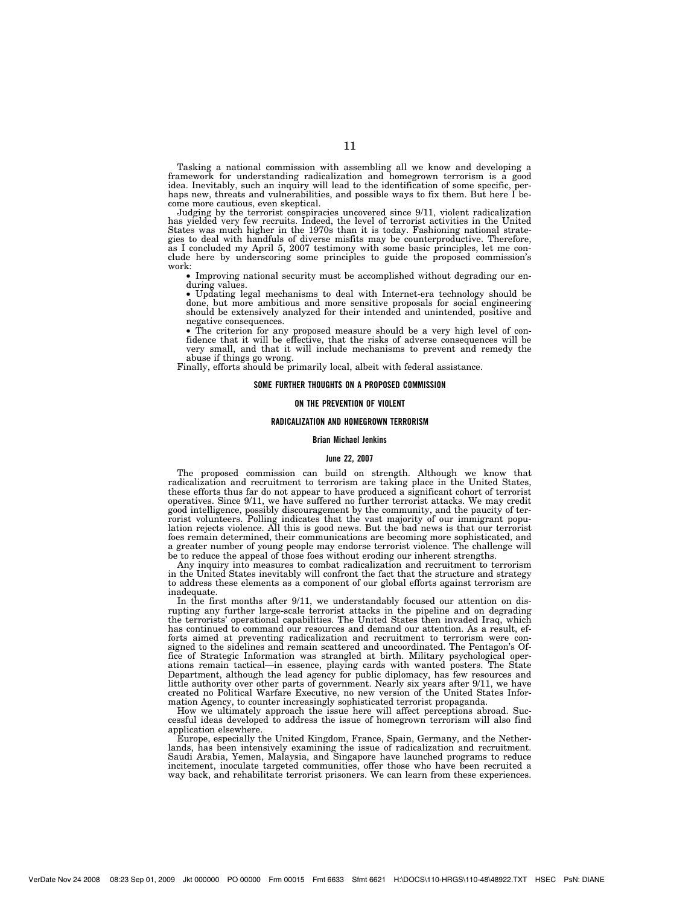Tasking a national commission with assembling all we know and developing a framework for understanding radicalization and homegrown terrorism is a good idea. Inevitably, such an inquiry will lead to the identification of some specific, per-haps new, threats and vulnerabilities, and possible ways to fix them. But here I become more cautious, even skeptical.

Judging by the terrorist conspiracies uncovered since 9/11, violent radicalization has yielded very few recruits. Indeed, the level of terrorist activities in the United States was much higher in the 1970s than it is today. Fashioning national strategies to deal with handfuls of diverse misfits may be counterproductive. Therefore, as I concluded my April 5, 2007 testimony with some basic principles, let me conclude here by underscoring some principles to guide the proposed commission's work:

• Improving national security must be accomplished without degrading our enduring values.

• Updating legal mechanisms to deal with Internet-era technology should be done, but more ambitious and more sensitive proposals for social engineering should be extensively analyzed for their intended and unintended, positive and negative consequences.

The criterion for any proposed measure should be a very high level of confidence that it will be effective, that the risks of adverse consequences will be very small, and that it will include mechanisms to prevent and remedy the abuse if things go wrong.

Finally, efforts should be primarily local, albeit with federal assistance.

#### **SOME FURTHER THOUGHTS ON A PROPOSED COMMISSION**

#### **ON THE PREVENTION OF VIOLENT**

#### **RADICALIZATION AND HOMEGROWN TERRORISM**

#### **Brian Michael Jenkins**

#### **June 22, 2007**

The proposed commission can build on strength. Although we know that radicalization and recruitment to terrorism are taking place in the United States, these efforts thus far do not appear to have produced a significant cohort of terrorist operatives. Since 9/11, we have suffered no further terrorist attacks. We may credit good intelligence, possibly discouragement by the community, and the paucity of terrorist volunteers. Polling indicates that the vast majority of our immigrant population rejects violence. All this is good news. But the bad news is that our terrorist foes remain determined, their communications are becoming more sophisticated, and a greater number of young people may endorse terrorist violence. The challenge will be to reduce the appeal of those foes without eroding our inherent strengths.

Any inquiry into measures to combat radicalization and recruitment to terrorism in the United States inevitably will confront the fact that the structure and strategy to address these elements as a component of our global efforts against terrorism are inadequate.

In the first months after 9/11, we understandably focused our attention on disrupting any further large-scale terrorist attacks in the pipeline and on degrading the terrorists' operational capabilities. The United States then invaded Iraq, which has continued to command our resources and demand our attention. As a result, efforts aimed at preventing radicalization and recruitment to terrorism were consigned to the sidelines and remain scattered and uncoordinated. The Pentagon's Office of Strategic Information was strangled at birth. Military psychological operations remain tactical—in essence, playing cards with wanted posters. The State Department, although the lead agency for public diplomacy, has few resources and little authority over other parts of government. Nearly six years after 9/11, we have created no Political Warfare Executive, no new version of the United States Information Agency, to counter increasingly sophisticated terrorist propaganda.

How we ultimately approach the issue here will affect perceptions abroad. Successful ideas developed to address the issue of homegrown terrorism will also find application elsewhere.

Europe, especially the United Kingdom, France, Spain, Germany, and the Netherlands, has been intensively examining the issue of radicalization and recruitment. Saudi Arabia, Yemen, Malaysia, and Singapore have launched programs to reduce incitement, inoculate targeted communities, offer those who have been recruited a way back, and rehabilitate terrorist prisoners. We can learn from these experiences.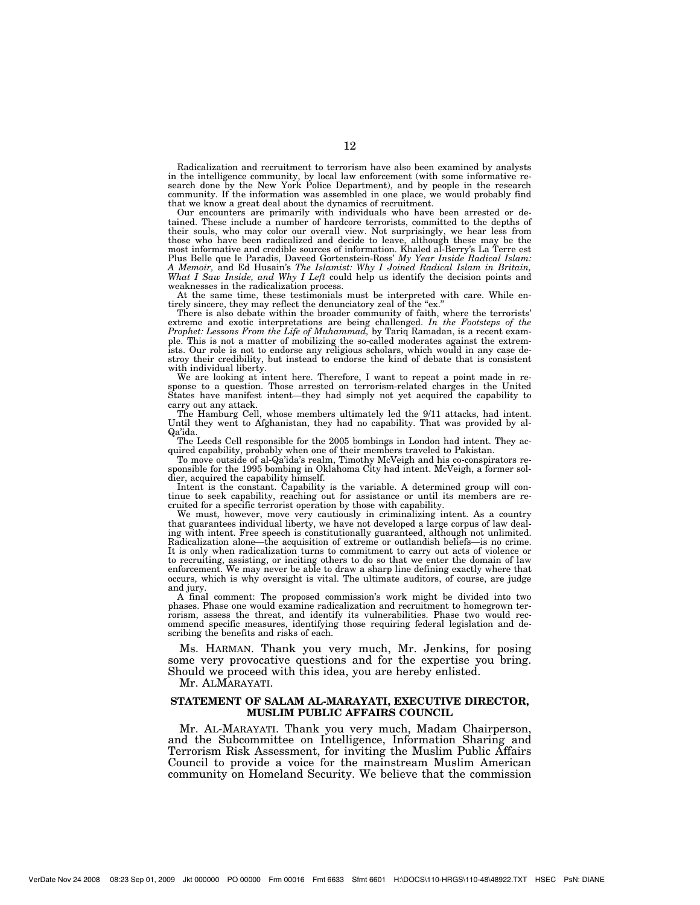Radicalization and recruitment to terrorism have also been examined by analysts in the intelligence community, by local law enforcement (with some informative research done by the New York Police Department), and by people in the research community. If the information was assembled in one place, we would probably find that we know a great deal about the dynamics of recruitment.

Our encounters are primarily with individuals who have been arrested or detained. These include a number of hardcore terrorists, committed to the depths of their souls, who may color our overall view. Not surprisingly, we hear less from those who have been radicalized and decide to leave, although these may be the most informative and credible sources of information. Khaled al-Berry's La Terre est Plus Belle que le Paradis, Daveed Gortenstein-Ross' *My Year Inside Radical Islam: A Memoir,* and Ed Husain's *The Islamist: Why I Joined Radical Islam in Britain, What I Saw Inside, and Why I Left* could help us identify the decision points and weaknesses in the radicalization process.

At the same time, these testimonials must be interpreted with care. While entirely sincere, they may reflect the denunciatory zeal of the "ex."

There is also debate within the broader community of faith, where the terrorists' extreme and exotic interpretations are being challenged. *In the Footsteps of the Prophet: Lessons From the Life of Muhammad,* by Tariq Ramadan, is a recent example. This is not a matter of mobilizing the so-called moderates against the extremists. Our role is not to endorse any religious scholars, which would in any case destroy their credibility, but instead to endorse the kind of debate that is consistent with individual liberty.

We are looking at intent here. Therefore, I want to repeat a point made in response to a question. Those arrested on terrorism-related charges in the United States have manifest intent—they had simply not yet acquired the capability to carry out any attack.

The Hamburg Cell, whose members ultimately led the 9/11 attacks, had intent. Until they went to Afghanistan, they had no capability. That was provided by al-Qa'ida.

The Leeds Cell responsible for the 2005 bombings in London had intent. They acquired capability, probably when one of their members traveled to Pakistan.

To move outside of al-Qa'ida's realm, Timothy McVeigh and his co-conspirators responsible for the 1995 bombing in Oklahoma City had intent. McVeigh, a former soldier, acquired the capability himself.

Intent is the constant. Capability is the variable. A determined group will continue to seek capability, reaching out for assistance or until its members are recruited for a specific terrorist operation by those with capability.

We must, however, move very cautiously in criminalizing intent. As a country that guarantees individual liberty, we have not developed a large corpus of law dealing with intent. Free speech is constitutionally guaranteed, although not unlimited. Radicalization alone—the acquisition of extreme or outlandish beliefs—is no crime. It is only when radicalization turns to commitment to carry out acts of violence or to recruiting, assisting, or inciting others to do so that we enter the domain of law enforcement. We may never be able to draw a sharp line defining exactly where that occurs, which is why oversight is vital. The ultimate auditors, of course, are judge and jury.

A final comment: The proposed commission's work might be divided into two phases. Phase one would examine radicalization and recruitment to homegrown terrorism, assess the threat, and identify its vulnerabilities. Phase two would recommend specific measures, identifying those requiring federal legislation and describing the benefits and risks of each.

Ms. HARMAN. Thank you very much, Mr. Jenkins, for posing some very provocative questions and for the expertise you bring. Should we proceed with this idea, you are hereby enlisted.

Mr. ALMARAYATI.

### **STATEMENT OF SALAM AL-MARAYATI, EXECUTIVE DIRECTOR, MUSLIM PUBLIC AFFAIRS COUNCIL**

Mr. AL-MARAYATI. Thank you very much, Madam Chairperson, and the Subcommittee on Intelligence, Information Sharing and Terrorism Risk Assessment, for inviting the Muslim Public Affairs Council to provide a voice for the mainstream Muslim American community on Homeland Security. We believe that the commission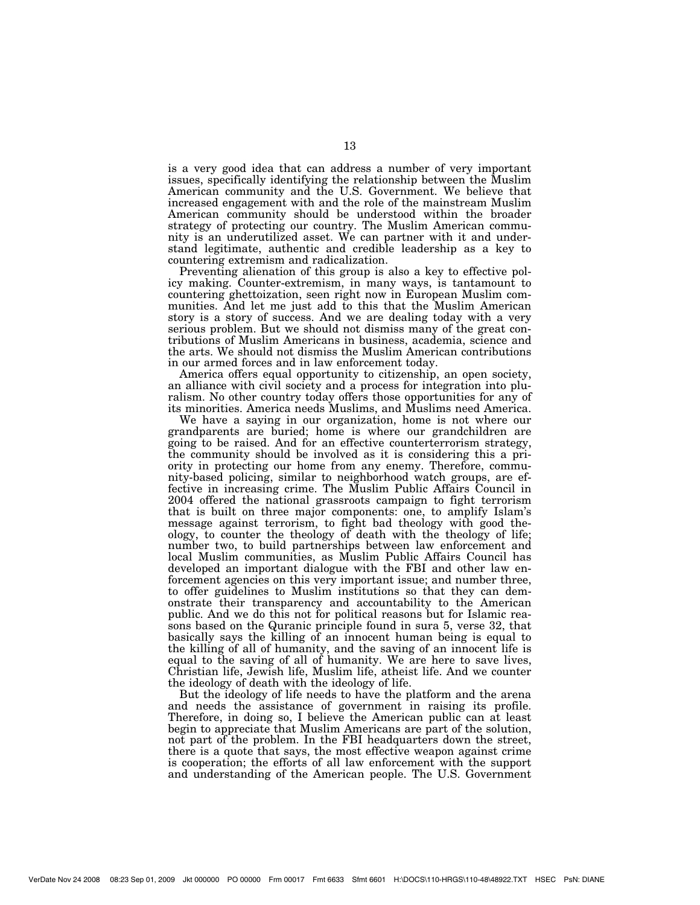is a very good idea that can address a number of very important issues, specifically identifying the relationship between the Muslim American community and the U.S. Government. We believe that increased engagement with and the role of the mainstream Muslim American community should be understood within the broader strategy of protecting our country. The Muslim American community is an underutilized asset. We can partner with it and understand legitimate, authentic and credible leadership as a key to countering extremism and radicalization.

Preventing alienation of this group is also a key to effective policy making. Counter-extremism, in many ways, is tantamount to countering ghettoization, seen right now in European Muslim communities. And let me just add to this that the Muslim American story is a story of success. And we are dealing today with a very serious problem. But we should not dismiss many of the great contributions of Muslim Americans in business, academia, science and the arts. We should not dismiss the Muslim American contributions in our armed forces and in law enforcement today.

America offers equal opportunity to citizenship, an open society, an alliance with civil society and a process for integration into pluralism. No other country today offers those opportunities for any of its minorities. America needs Muslims, and Muslims need America.

We have a saying in our organization, home is not where our grandparents are buried; home is where our grandchildren are going to be raised. And for an effective counterterrorism strategy, the community should be involved as it is considering this a priority in protecting our home from any enemy. Therefore, community-based policing, similar to neighborhood watch groups, are effective in increasing crime. The Muslim Public Affairs Council in 2004 offered the national grassroots campaign to fight terrorism that is built on three major components: one, to amplify Islam's message against terrorism, to fight bad theology with good theology, to counter the theology of death with the theology of life; number two, to build partnerships between law enforcement and local Muslim communities, as Muslim Public Affairs Council has developed an important dialogue with the FBI and other law enforcement agencies on this very important issue; and number three, to offer guidelines to Muslim institutions so that they can demonstrate their transparency and accountability to the American public. And we do this not for political reasons but for Islamic reasons based on the Quranic principle found in sura 5, verse 32, that basically says the killing of an innocent human being is equal to the killing of all of humanity, and the saving of an innocent life is equal to the saving of all of humanity. We are here to save lives, Christian life, Jewish life, Muslim life, atheist life. And we counter the ideology of death with the ideology of life.

But the ideology of life needs to have the platform and the arena and needs the assistance of government in raising its profile. Therefore, in doing so, I believe the American public can at least begin to appreciate that Muslim Americans are part of the solution, not part of the problem. In the FBI headquarters down the street, there is a quote that says, the most effective weapon against crime is cooperation; the efforts of all law enforcement with the support and understanding of the American people. The U.S. Government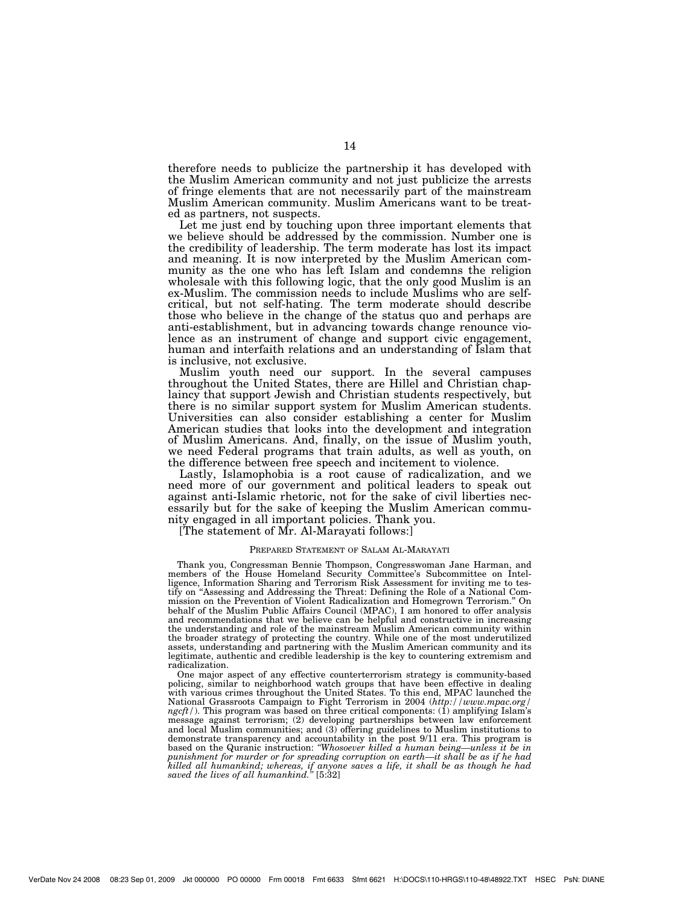therefore needs to publicize the partnership it has developed with the Muslim American community and not just publicize the arrests of fringe elements that are not necessarily part of the mainstream Muslim American community. Muslim Americans want to be treated as partners, not suspects.

Let me just end by touching upon three important elements that we believe should be addressed by the commission. Number one is the credibility of leadership. The term moderate has lost its impact and meaning. It is now interpreted by the Muslim American community as the one who has left Islam and condemns the religion wholesale with this following logic, that the only good Muslim is an ex-Muslim. The commission needs to include Muslims who are selfcritical, but not self-hating. The term moderate should describe those who believe in the change of the status quo and perhaps are anti-establishment, but in advancing towards change renounce violence as an instrument of change and support civic engagement, human and interfaith relations and an understanding of Islam that is inclusive, not exclusive.

Muslim youth need our support. In the several campuses throughout the United States, there are Hillel and Christian chaplaincy that support Jewish and Christian students respectively, but there is no similar support system for Muslim American students. Universities can also consider establishing a center for Muslim American studies that looks into the development and integration of Muslim Americans. And, finally, on the issue of Muslim youth, we need Federal programs that train adults, as well as youth, on the difference between free speech and incitement to violence.

Lastly, Islamophobia is a root cause of radicalization, and we need more of our government and political leaders to speak out against anti-Islamic rhetoric, not for the sake of civil liberties necessarily but for the sake of keeping the Muslim American community engaged in all important policies. Thank you.

[The statement of Mr. Al-Marayati follows:]

#### PREPARED STATEMENT OF SALAM AL-MARAYATI

Thank you, Congressman Bennie Thompson, Congresswoman Jane Harman, and members of the House Homeland Security Committee's Subcommittee on Intelligence, Information Sharing and Terrorism Risk Assessment for inviting me to testify on ''Assessing and Addressing the Threat: Defining the Role of a National Commission on the Prevention of Violent Radicalization and Homegrown Terrorism.'' On behalf of the Muslim Public Affairs Council (MPAC), I am honored to offer analysis and recommendations that we believe can be helpful and constructive in increasing the understanding and role of the mainstream Muslim American community within the broader strategy of protecting the country. While one of the most underutilized assets, understanding and partnering with the Muslim American community and its legitimate, authentic and credible leadership is the key to countering extremism and radicalization.

One major aspect of any effective counterterrorism strategy is community-based policing, similar to neighborhood watch groups that have been effective in dealing with various crimes throughout the United States. To this end, MPAC launched the National Grassroots Campaign to Fight Terrorism in 2004 (*http://www.mpac.org/*   $n\text{gcf}t$  ). This program was based on three critical components: (1) amplifying Islam's message against terrorism; (2) developing partnerships between law enforcement and local Muslim communities; and (3) offering guidelines to Muslim institutions to demonstrate transparency and accountability in the post 9/11 era. This program is based on the Quranic instruction: *''Whosoever killed a human being—unless it be in punishment for murder or for spreading corruption on earth—it shall be as if he had killed all humankind; whereas, if anyone saves a life, it shall be as though he had saved the lives of all humankind.''* [5:32]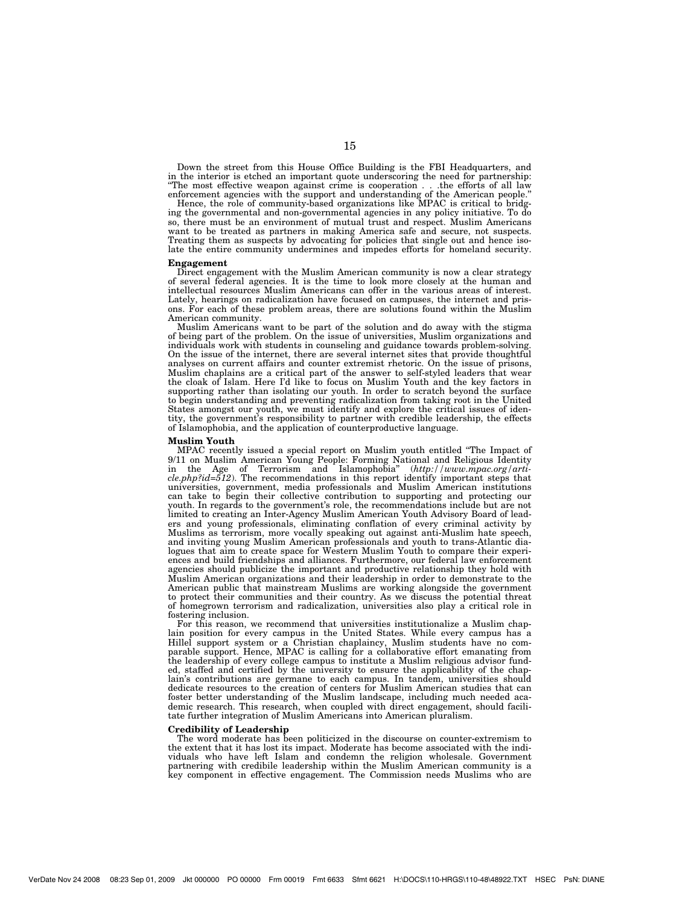Down the street from this House Office Building is the FBI Headquarters, and in the interior is etched an important quote underscoring the need for partnership: ''The most effective weapon against crime is cooperation . . .the efforts of all law enforcement agencies with the support and understanding of the American people.''

Hence, the role of community-based organizations like MPAC is critical to bridging the governmental and non-governmental agencies in any policy initiative. To do so, there must be an environment of mutual trust and respect. Muslim Americans want to be treated as partners in making America safe and secure, not suspects. Treating them as suspects by advocating for policies that single out and hence isolate the entire community undermines and impedes efforts for homeland security.

#### **Engagement**

Direct engagement with the Muslim American community is now a clear strategy of several federal agencies. It is the time to look more closely at the human and intellectual resources Muslim Americans can offer in the various areas of interest. Lately, hearings on radicalization have focused on campuses, the internet and prisons. For each of these problem areas, there are solutions found within the Muslim American community.

Muslim Americans want to be part of the solution and do away with the stigma of being part of the problem. On the issue of universities, Muslim organizations and individuals work with students in counseling and guidance towards problem-solving. On the issue of the internet, there are several internet sites that provide thoughtful analyses on current affairs and counter extremist rhetoric. On the issue of prisons, Muslim chaplains are a critical part of the answer to self-styled leaders that wear the cloak of Islam. Here I'd like to focus on Muslim Youth and the key factors in supporting rather than isolating our youth. In order to scratch beyond the surface to begin understanding and preventing radicalization from taking root in the United States amongst our youth, we must identify and explore the critical issues of identity, the government's responsibility to partner with credible leadership, the effects of Islamophobia, and the application of counterproductive language.

#### **Muslim Youth**

MPAC recently issued a special report on Muslim youth entitled ''The Impact of 9/11 on Muslim American Young People: Forming National and Religious Identity in the Age of Terrorism and Islamophobia'' (*http://www.mpac.org/article.php?id=512*). The recommendations in this report identify important steps that universities, government, media professionals and Muslim American institutions can take to begin their collective contribution to supporting and protecting our youth. In regards to the government's role, the recommendations include but are not limited to creating an Inter-Agency Muslim American Youth Advisory Board of leaders and young professionals, eliminating conflation of every criminal activity by Muslims as terrorism, more vocally speaking out against anti-Muslim hate speech, and inviting young Muslim American professionals and youth to trans-Atlantic dialogues that aim to create space for Western Muslim Youth to compare their experiences and build friendships and alliances. Furthermore, our federal law enforcement agencies should publicize the important and productive relationship they hold with Muslim American organizations and their leadership in order to demonstrate to the American public that mainstream Muslims are working alongside the government to protect their communities and their country. As we discuss the potential threat of homegrown terrorism and radicalization, universities also play a critical role in fostering inclusion.

For this reason, we recommend that universities institutionalize a Muslim chaplain position for every campus in the United States. While every campus has a Hillel support system or a Christian chaplaincy, Muslim students have no comparable support. Hence, MPAC is calling for a collaborative effort emanating from the leadership of every college campus to institute a Muslim religious advisor funded, staffed and certified by the university to ensure the applicability of the chaplain's contributions are germane to each campus. In tandem, universities should dedicate resources to the creation of centers for Muslim American studies that can foster better understanding of the Muslim landscape, including much needed academic research. This research, when coupled with direct engagement, should facilitate further integration of Muslim Americans into American pluralism.

#### **Credibility of Leadership**

The word moderate has been politicized in the discourse on counter-extremism to the extent that it has lost its impact. Moderate has become associated with the individuals who have left Islam and condemn the religion wholesale. Government partnering with credibile leadership within the Muslim American community is a key component in effective engagement. The Commission needs Muslims who are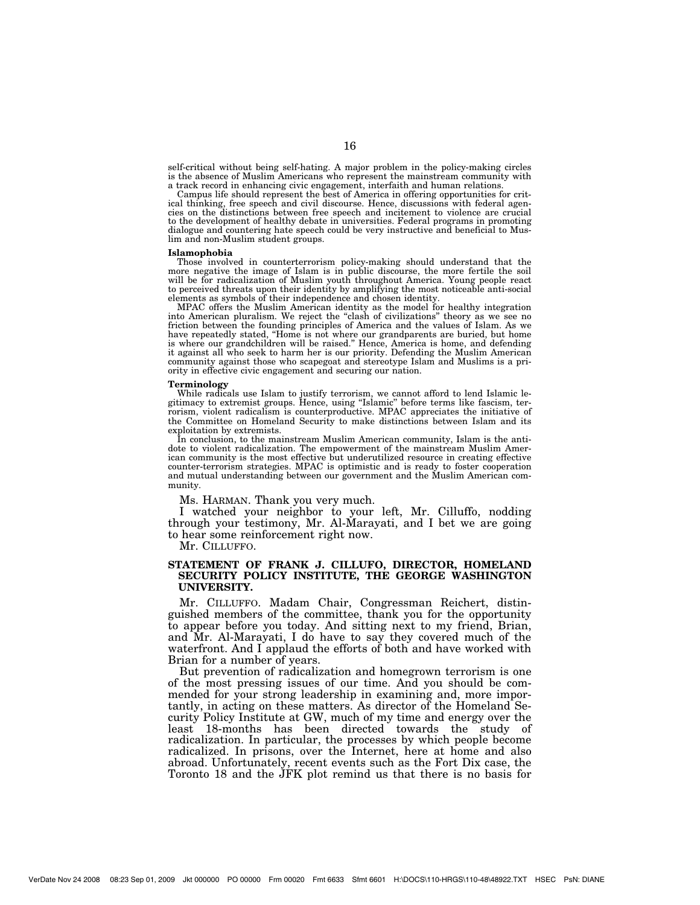self-critical without being self-hating. A major problem in the policy-making circles is the absence of Muslim Americans who represent the mainstream community with

a track record in enhancing civic engagement, interfaith and human relations. Campus life should represent the best of America in offering opportunities for critical thinking, free speech and civil discourse. Hence, discussions with federal agencies on the distinctions between free speech and incitement to violence are crucial to the development of healthy debate in universities. Federal programs in promoting dialogue and countering hate speech could be very instructive and beneficial to Muslim and non-Muslim student groups.

#### **Islamophobia**

Those involved in counterterrorism policy-making should understand that the more negative the image of Islam is in public discourse, the more fertile the soil will be for radicalization of Muslim youth throughout America. Young people react to perceived threats upon their identity by amplifying the most noticeable anti-social elements as symbols of their independence and chosen identity.

MPAC offers the Muslim American identity as the model for healthy integration into American pluralism. We reject the ''clash of civilizations'' theory as we see no friction between the founding principles of America and the values of Islam. As we have repeatedly stated, ''Home is not where our grandparents are buried, but home is where our grandchildren will be raised.'' Hence, America is home, and defending it against all who seek to harm her is our priority. Defending the Muslim American community against those who scapegoat and stereotype Islam and Muslims is a priority in effective civic engagement and securing our nation.

#### **Terminology**

While radicals use Islam to justify terrorism, we cannot afford to lend Islamic legitimacy to extremist groups. Hence, using ''Islamic'' before terms like fascism, terrorism, violent radicalism is counterproductive. MPAC appreciates the initiative of the Committee on Homeland Security to make distinctions between Islam and its exploitation by extremists.

In conclusion, to the mainstream Muslim American community, Islam is the antidote to violent radicalization. The empowerment of the mainstream Muslim American community is the most effective but underutilized resource in creating effective counter-terrorism strategies. MPAC is optimistic and is ready to foster cooperation and mutual understanding between our government and the Muslim American community.

Ms. HARMAN. Thank you very much.

I watched your neighbor to your left, Mr. Cilluffo, nodding through your testimony, Mr. Al-Marayati, and I bet we are going to hear some reinforcement right now.

Mr. CILLUFFO.

### **STATEMENT OF FRANK J. CILLUFO, DIRECTOR, HOMELAND SECURITY POLICY INSTITUTE, THE GEORGE WASHINGTON UNIVERSITY.**

Mr. CILLUFFO. Madam Chair, Congressman Reichert, distinguished members of the committee, thank you for the opportunity to appear before you today. And sitting next to my friend, Brian, and Mr. Al-Marayati, I do have to say they covered much of the waterfront. And I applaud the efforts of both and have worked with Brian for a number of years.

But prevention of radicalization and homegrown terrorism is one of the most pressing issues of our time. And you should be commended for your strong leadership in examining and, more importantly, in acting on these matters. As director of the Homeland Security Policy Institute at GW, much of my time and energy over the least 18-months has been directed towards the study of radicalization. In particular, the processes by which people become radicalized. In prisons, over the Internet, here at home and also abroad. Unfortunately, recent events such as the Fort Dix case, the Toronto 18 and the JFK plot remind us that there is no basis for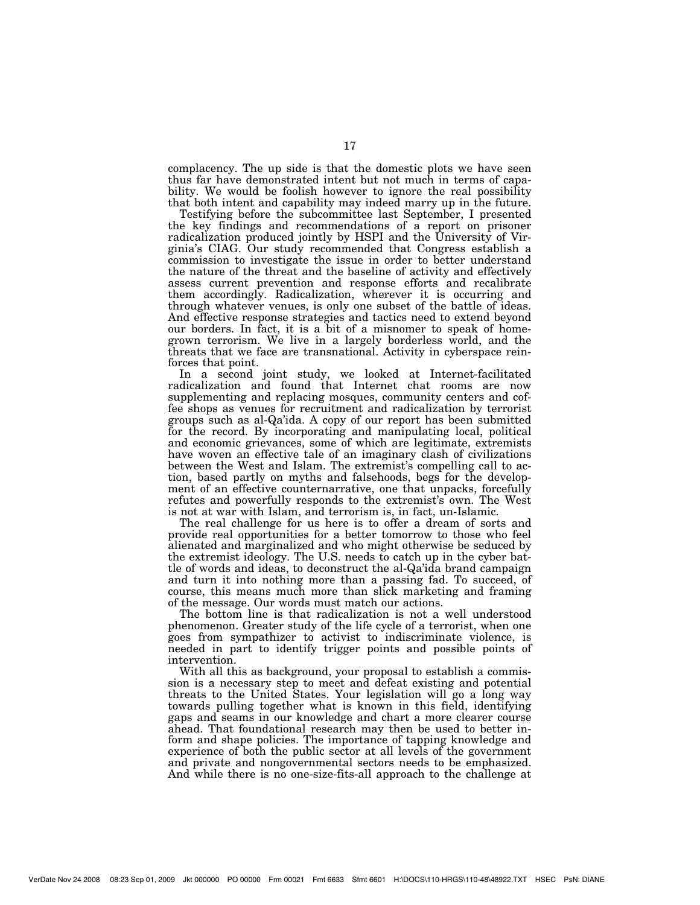complacency. The up side is that the domestic plots we have seen thus far have demonstrated intent but not much in terms of capability. We would be foolish however to ignore the real possibility that both intent and capability may indeed marry up in the future.

Testifying before the subcommittee last September, I presented the key findings and recommendations of a report on prisoner radicalization produced jointly by HSPI and the University of Virginia's CIAG. Our study recommended that Congress establish a commission to investigate the issue in order to better understand the nature of the threat and the baseline of activity and effectively assess current prevention and response efforts and recalibrate them accordingly. Radicalization, wherever it is occurring and through whatever venues, is only one subset of the battle of ideas. And effective response strategies and tactics need to extend beyond our borders. In fact, it is a bit of a misnomer to speak of homegrown terrorism. We live in a largely borderless world, and the threats that we face are transnational. Activity in cyberspace reinforces that point.

In a second joint study, we looked at Internet-facilitated radicalization and found that Internet chat rooms are now supplementing and replacing mosques, community centers and coffee shops as venues for recruitment and radicalization by terrorist groups such as al-Qa'ida. A copy of our report has been submitted for the record. By incorporating and manipulating local, political and economic grievances, some of which are legitimate, extremists have woven an effective tale of an imaginary clash of civilizations between the West and Islam. The extremist's compelling call to action, based partly on myths and falsehoods, begs for the development of an effective counternarrative, one that unpacks, forcefully refutes and powerfully responds to the extremist's own. The West is not at war with Islam, and terrorism is, in fact, un-Islamic.

The real challenge for us here is to offer a dream of sorts and provide real opportunities for a better tomorrow to those who feel alienated and marginalized and who might otherwise be seduced by the extremist ideology. The U.S. needs to catch up in the cyber battle of words and ideas, to deconstruct the al-Qa'ida brand campaign and turn it into nothing more than a passing fad. To succeed, of course, this means much more than slick marketing and framing of the message. Our words must match our actions.

The bottom line is that radicalization is not a well understood phenomenon. Greater study of the life cycle of a terrorist, when one goes from sympathizer to activist to indiscriminate violence, is needed in part to identify trigger points and possible points of intervention.

With all this as background, your proposal to establish a commission is a necessary step to meet and defeat existing and potential threats to the United States. Your legislation will go a long way towards pulling together what is known in this field, identifying gaps and seams in our knowledge and chart a more clearer course ahead. That foundational research may then be used to better inform and shape policies. The importance of tapping knowledge and experience of both the public sector at all levels of the government and private and nongovernmental sectors needs to be emphasized. And while there is no one-size-fits-all approach to the challenge at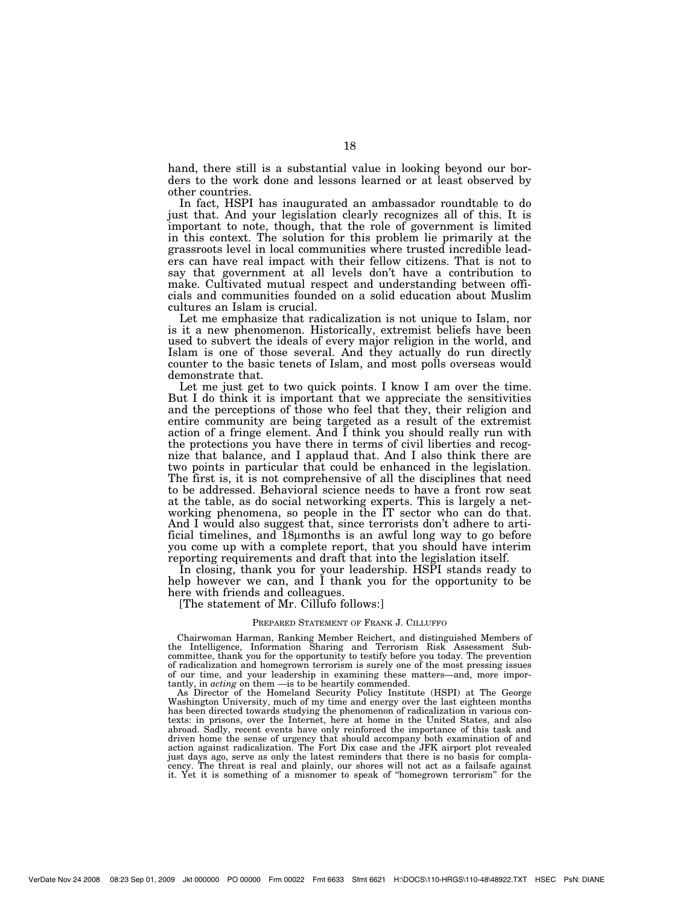hand, there still is a substantial value in looking beyond our borders to the work done and lessons learned or at least observed by other countries.

In fact, HSPI has inaugurated an ambassador roundtable to do just that. And your legislation clearly recognizes all of this. It is important to note, though, that the role of government is limited in this context. The solution for this problem lie primarily at the grassroots level in local communities where trusted incredible leaders can have real impact with their fellow citizens. That is not to say that government at all levels don't have a contribution to make. Cultivated mutual respect and understanding between officials and communities founded on a solid education about Muslim cultures an Islam is crucial.

Let me emphasize that radicalization is not unique to Islam, nor is it a new phenomenon. Historically, extremist beliefs have been used to subvert the ideals of every major religion in the world, and Islam is one of those several. And they actually do run directly counter to the basic tenets of Islam, and most polls overseas would demonstrate that.

Let me just get to two quick points. I know I am over the time. But I do think it is important that we appreciate the sensitivities and the perceptions of those who feel that they, their religion and entire community are being targeted as a result of the extremist action of a fringe element. And I think you should really run with the protections you have there in terms of civil liberties and recognize that balance, and I applaud that. And I also think there are two points in particular that could be enhanced in the legislation. The first is, it is not comprehensive of all the disciplines that need to be addressed. Behavioral science needs to have a front row seat at the table, as do social networking experts. This is largely a networking phenomena, so people in the IT sector who can do that. And I would also suggest that, since terrorists don't adhere to artificial timelines, and 18μmonths is an awful long way to go before you come up with a complete report, that you should have interim reporting requirements and draft that into the legislation itself.

In closing, thank you for your leadership. HSPI stands ready to help however we can, and I thank you for the opportunity to be here with friends and colleagues.

[The statement of Mr. Cillufo follows:]

#### PREPARED STATEMENT OF FRANK J. CILLUFFO

Chairwoman Harman, Ranking Member Reichert, and distinguished Members of the Intelligence, Information Sharing and Terrorism Risk Assessment Subcommittee, thank you for the opportunity to testify before you today. The prevention of radicalization and homegrown terrorism is surely one of the most pressing issues of our time, and your leadership in examining these matters—and, more importantly, in *acting* on them —is to be heartily commended.

As Director of the Homeland Security Policy Institute (HSPI) at The George Washington University, much of my time and energy over the last eighteen months has been directed towards studying the phenomenon of radicalization in various contexts: in prisons, over the Internet, here at home in the United States, and also abroad. Sadly, recent events have only reinforced the importance of this task and driven home the sense of urgency that should accompany both examination of and action against radicalization. The Fort Dix case and the JFK airport plot revealed just days ago, serve as only the latest reminders that there is no basis for complacency. The threat is real and plainly, our shores will not act as a failsafe against it. Yet it is something of a misnomer to speak of ''homegrown terrorism'' for the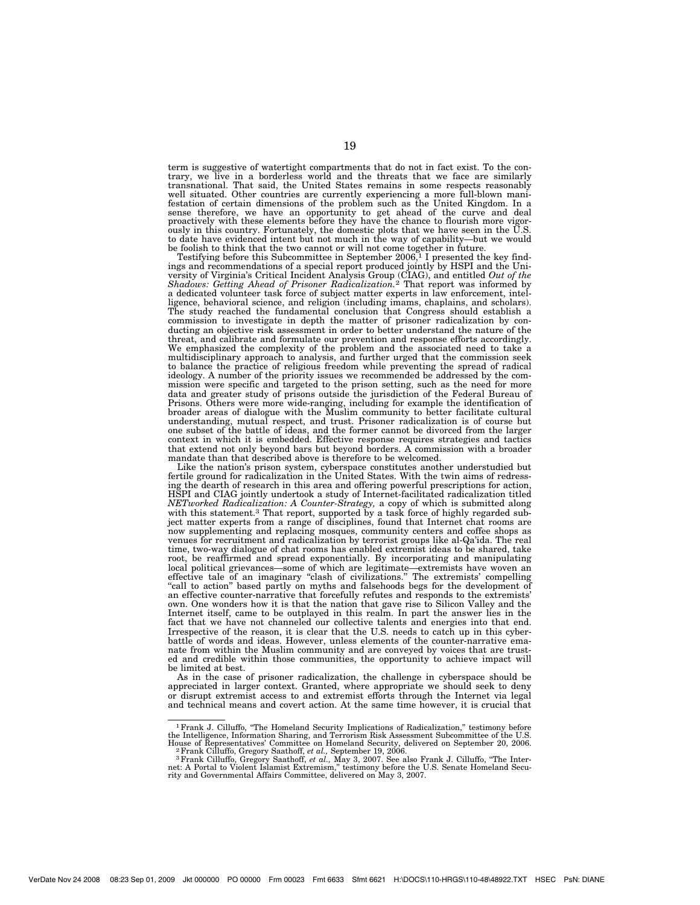term is suggestive of watertight compartments that do not in fact exist. To the contrary, we live in a borderless world and the threats that we face are similarly transnational. That said, the United States remains in some respects reasonably well situated. Other countries are currently experiencing a more full-blown manifestation of certain dimensions of the problem such as the United Kingdom. In a sense therefore, we have an opportunity to get ahead of the curve and deal proactively with these elements before they have the chance to flourish more vigorously in this country. Fortunately, the domestic plots that we have seen in the U.S. to date have evidenced intent but not much in the way of capability—but we would be foolish to think that the two cannot or will not come together in future.

Testifying before this Subcommittee in September 2006,<sup>1</sup> I presented the key findings and recommendations of a special report produced jointly by HSPI and the University of Virginia's Critical Incident Analysis Group (CIAG), and entitled *Out of the Shadows: Getting Ahead of Prisoner Radicalization.*<sup>2</sup> ligence, behavioral science, and religion (including imams, chaplains, and scholars). The study reached the fundamental conclusion that Congress should establish a commission to investigate in depth the matter of prisoner radicalization by conducting an objective risk assessment in order to better understand the nature of the threat, and calibrate and formulate our prevention and response efforts accordingly. We emphasized the complexity of the problem and the associated need to take a multidisciplinary approach to analysis, and further urged that the commission seek to balance the practice of religious freedom while preventing the spread of radical ideology. A number of the priority issues we recommended be addressed by the commission were specific and targeted to the prison setting, such as the need for more data and greater study of prisons outside the jurisdiction of the Federal Bureau of Prisons. Others were more wide-ranging, including for example the identification of broader areas of dialogue with the Muslim community to better facilitate cultural understanding, mutual respect, and trust. Prisoner radicalization is of course but one subset of the battle of ideas, and the former cannot be divorced from the larger context in which it is embedded. Effective response requires strategies and tactics that extend not only beyond bars but beyond borders. A commission with a broader mandate than that described above is therefore to be welcomed.

Like the nation's prison system, cyberspace constitutes another understudied but fertile ground for radicalization in the United States. With the twin aims of redressing the dearth of research in this area and offering powerful prescriptions for action, HSPI and CIAG jointly undertook a study of Internet-facilitated radicalization titled *NETworked Radicalization: A Counter-Strategy,* a copy of which is submitted along with this statement.<sup>3</sup> That report, supported by a task force of highly regarded subject matter experts from a range of disciplines, found that Internet chat rooms are now supplementing and replacing mosques, community centers and coffee shops as venues for recruitment and radicalization by terrorist groups like al-Qa'ida. The real time, two-way dialogue of chat rooms has enabled extremist ideas to be shared, take root, be reaffirmed and spread exponentially. By incorporating and manipulating local political grievances—some of which are legitimate—extremists have woven an effective tale of an imaginary ''clash of civilizations.'' The extremists' compelling ''call to action'' based partly on myths and falsehoods begs for the development of an effective counter-narrative that forcefully refutes and responds to the extremists' own. One wonders how it is that the nation that gave rise to Silicon Valley and the Internet itself, came to be outplayed in this realm. In part the answer lies in the fact that we have not channeled our collective talents and energies into that end. Irrespective of the reason, it is clear that the U.S. needs to catch up in this cyberbattle of words and ideas. However, unless elements of the counter-narrative emanate from within the Muslim community and are conveyed by voices that are trusted and credible within those communities, the opportunity to achieve impact will be limited at best.

As in the case of prisoner radicalization, the challenge in cyberspace should be appreciated in larger context. Granted, where appropriate we should seek to deny or disrupt extremist access to and extremist efforts through the Internet via legal and technical means and covert action. At the same time however, it is crucial that

<sup>1</sup>Frank J. Cilluffo, ''The Homeland Security Implications of Radicalization,'' testimony before the Intelligence, Information Sharing, and Terrorism Risk Assessment Subcommittee of the U.S.

House of Representatives' Committee on Homeland Security, delivered on September 20, 2006.<br><sup>2</sup> Frank Cilluffo, Gregory Saathoff, *et al.*, September 19, 2006.<br><sup>3</sup> Frank Cilluffo, Gregory Saathoff, *et al.*, May 3, 2007. S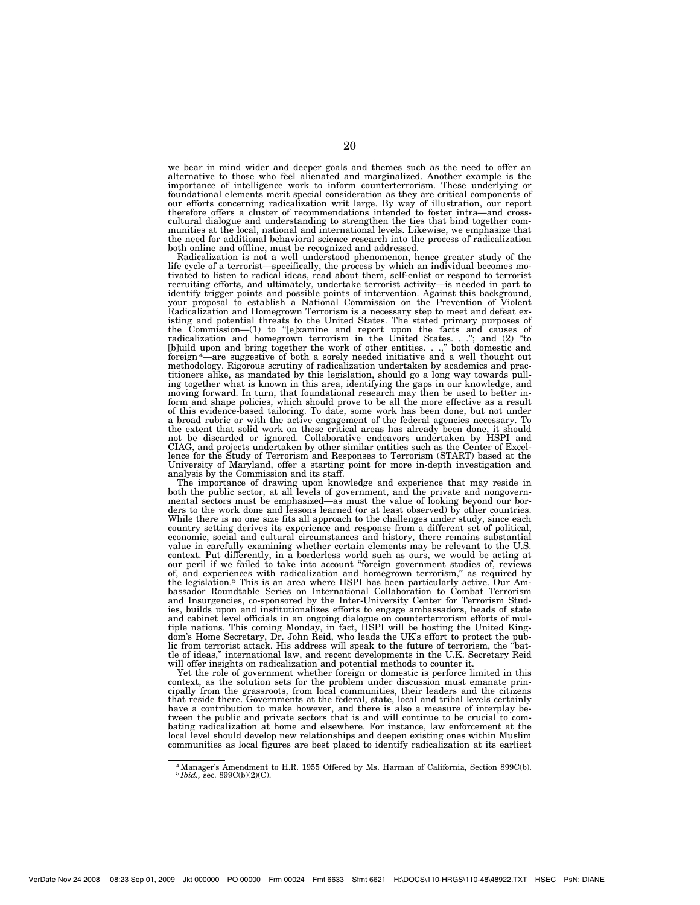we bear in mind wider and deeper goals and themes such as the need to offer an alternative to those who feel alienated and marginalized. Another example is the importance of intelligence work to inform counterterrorism. These underlying or foundational elements merit special consideration as they are critical components of our efforts concerning radicalization writ large. By way of illustration, our report<br>therefore offers a cluster of recommendations intended to foster intra—and cross-<br>cultural dialogue and understanding to strengthen the t munities at the local, national and international levels. Likewise, we emphasize that the need for additional behavioral science research into the process of radicalization both online and offline, must be recognized and addressed.

Radicalization is not a well understood phenomenon, hence greater study of the life cycle of a terrorist—specifically, the process by which an individual becomes mo-tivated to listen to radical ideas, read about them, self-enlist or respond to terrorist recruiting efforts, and ultimately, undertake terrorist activity—is needed in part to identify trigger points and possible points of intervention. Against this background, your proposal to establish a National Commission on the Prevention of Violent Radicalization and Homegrown Terrorism is a necessary step to meet and defeat existing and potential threats to the United States. The stated primary purposes of the Commission—(1) to ''[e]xamine and report upon the facts and causes of radicalization and homegrown terrorism in the United States. . ."; and (2) "to [b]uild upon and bring together the work of other entities. . .," both domestic and foreign <sup>4</sup>—are suggestive of both a sorely needed initiative and a well thought out methodology. Rigorous scrutiny of radicalization undertaken by academics and practitioners alike, as mandated by this legislation, should go a long way towards pull-ing together what is known in this area, identifying the gaps in our knowledge, and moving forward. In turn, that foundational research may then be used to better inform and shape policies, which should prove to be all the more effective as a result of this evidence-based tailoring. To date, some work has been done, but not under a broad rubric or with the active engagement of the federal agencies necessary. To the extent that solid work on these critical areas has already been done, it should<br>not be discarded or ignored. Collaborative endeavors undertaken by HSPI and<br>CIAG, and projects undertaken by other similar entities such a lence for the Study of Terrorism and Responses to Terrorism (START) based at the University of Maryland, offer a starting point for more in-depth investigation and analysis by the Commission and its staff.

The importance of drawing upon knowledge and experience that may reside in both the public sector, at all levels of government, and the private and nongovernmental sectors must be emphasized—as must the value of looking be ders to the work done and lessons learned (or at least observed) by other countries. While there is no one size fits all approach to the challenges under study, since each country setting derives its experience and response from a different set of political, economic, social and cultural circumstances and history, there remains substantial value in carefully examining whether certain elements may be relevant to the U.S. context. Put differently, in a borderless world such as ours, we would be acting at our peril if we failed to take into account ''foreign government studies of, reviews of, and experiences with radicalization and homegrown terrorism,'' as required by the legislation.5 This is an area where HSPI has been particularly active. Our Ambassador Roundtable Series on International Collaboration to Combat Terrorism and Insurgencies, co-sponsored by the Inter-University Center for Terrorism Studies, builds upon and institutionalizes efforts to engage ambassadors, heads of state and cabinet level officials in an ongoing dialogue on counterterrorism efforts of multiple nations. This coming Monday, in fact, HSPI will be hosting the United King-<br>dom's Home Secretary, Dr. John Reid, who leads the UK's lic from terrorist attack. His address will speak to the future of terrorism, the "battle of ideas,'' international law, and recent developments in the U.K. Secretary Reid will offer insights on radicalization and potential methods to counter it.

Yet the role of government whether foreign or domestic is perforce limited in this context, as the solution sets for the problem under discussion must emanate principally from the grassroots, from local communities, their leaders and the citizens that reside there. Governments at the federal, state, local and tribal levels certainly have a contribution to make however, and there is also a measure of interplay between the public and private sectors that is and will continue to be crucial to combating radicalization at home and elsewhere. For instance, law enforcement at the local level should develop new relationships and deepen existing ones within Muslim communities as local figures are best placed to identify radicalization at its earliest

<sup>4</sup>Manager's Amendment to H.R. 1955 Offered by Ms. Harman of California, Section 899C(b). 5 *Ibid.,* sec. 899C(b)(2)(C).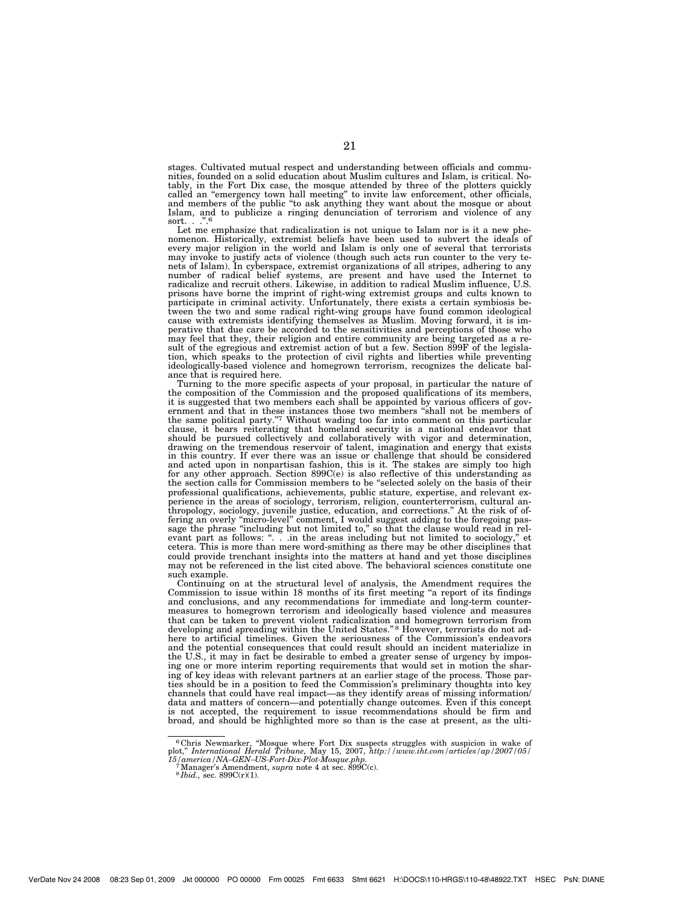stages. Cultivated mutual respect and understanding between officials and communities, founded on a solid education about Muslim cultures and Islam, is critical. Notably, in the Fort Dix case, the mosque attended by three of the plotters quickly called an ''emergency town hall meeting'' to invite law enforcement, other officials, and members of the public ''to ask anything they want about the mosque or about Islam, and to publicize a ringing denunciation of terrorism and violence of any sort.  $\ldots$ .".

Let me emphasize that radicalization is not unique to Islam nor is it a new phe-nomenon. Historically, extremist beliefs have been used to subvert the ideals of every major religion in the world and Islam is only one of several that terrorists may invoke to justify acts of violence (though such acts run counter to the very tenets of Islam). In cyberspace, extremist organizations of all stripes, adhering to any number of radical belief systems, are present and have used the Internet to radicalize and recruit others. Likewise, in addition to radical Muslim influence, U.S.<br>prisons have borne the imprint of right-wing extremist groups and cults known to<br>participate in criminal activity. Unfortunately, there cause with extremists identifying themselves as Muslim. Moving forward, it is im-perative that due care be accorded to the sensitivities and perceptions of those who may feel that they, their religion and entire community are being targeted as a re-sult of the egregious and extremist action of but a few. Section 899F of the legislation, which speaks to the protection of civil rights and liberties while preventing ideologically-based violence and homegrown terrorism, recognizes the delicate balance that is required here.

Turning to the more specific aspects of your proposal, in particular the nature of the composition of the Commission and the proposed qualifications of its members, it is suggested that two members each shall be appointed by various officers of government and that in these instances those two members "shall not be members of the same political party."<sup>7</sup> Without wading too far into comment on this particular clause, it bears reiterating that homeland security is a national endeavor that should be pursued collectively and collaboratively with vigor and determination, drawing on the tremendous reservoir of talent, imagination and energy that exists in this country. If ever there was an issue or challenge that should be considered and acted upon in nonpartisan fashion, this is it. The stakes are simply too high<br>for any other approach. Section 899C(e) is also reflective of this understanding as<br>the section calls for Commission members to be "selected professional qualifications, achievements, public stature, expertise, and relevant experience in the areas of sociology, terrorism, religion, counterterrorism, cultural anthropology, sociology, juvenile justice, education, and corrections.'' At the risk of offering an overly ''micro-level'' comment, I would suggest adding to the foregoing passage the phrase ''including but not limited to,'' so that the clause would read in relevant part as follows: ". . .in the areas including but not limited to sociology," et cetera. This is more than mere word-smithing as there may be other disciplines that could provide trenchant insights into the matters at hand and yet those disciplines may not be referenced in the list cited above. The behavioral sciences constitute one such example.

Continuing on at the structural level of analysis, the Amendment requires the Commission to issue within 18 months of its first meeting ''a report of its findings and conclusions, and any recommendations for immediate and long-term countermeasures to homegrown terrorism and ideologically based violence and measures that can be taken to prevent violent radicalization and homegrown terrorism from developing and spreading within the United States."<sup>8</sup> However, terrorists do not adhere to artificial timelines. Given the seriousness of the Commission's endeavors and the potential consequences that could result should an incident materialize in the U.S., it may in fact be desirable to embed a greater sense of urgency by imposing one or more interim reporting requirements that would set in motion the sharing of key ideas with relevant partners at an earlier stage of the process. Those parties should be in a position to feed the Commission's preliminary thoughts into key channels that could have real impact—as they identify areas of missing information/ data and matters of concern—and potentially change outcomes. Even if this concept is not accepted, the requirement to issue recommendations should be firm and broad, and should be highlighted more so than is the case at present, as the ulti-

<sup>6</sup> Chris Newmarker, ''Mosque where Fort Dix suspects struggles with suspicion in wake of plot,'' *International Herald Tribune,* May 15, 2007, *http://www.iht.com/articles/ap/2007/05/* 

*<sup>15/</sup>america/NA–GEN–US-Fort-Dix-Plot-Mosque.php.* 7Manager's Amendment, *supra* note 4 at sec. 899C(c). 8 *Ibid.,* sec. 899C(r)(1).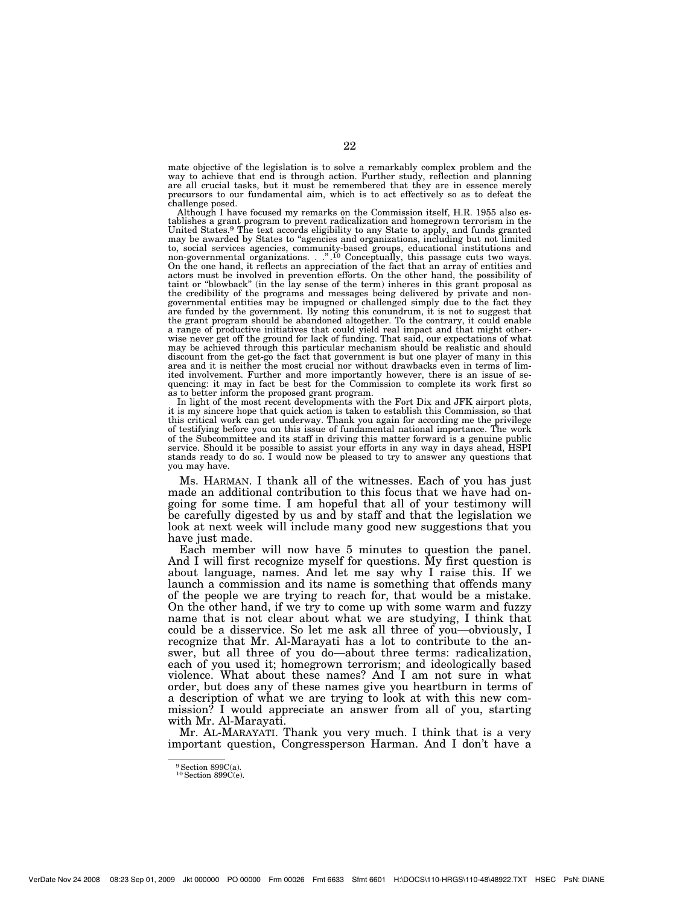mate objective of the legislation is to solve a remarkably complex problem and the way to achieve that end is through action. Further study, reflection and planning are all crucial tasks, but it must be remembered that they are in essence merely precursors to our fundamental aim, which is to act effectively so as to defeat the challenge posed.

Although I have focused my remarks on the Commission itself, H.R. 1955 also establishes a grant program to prevent radicalization and homegrown terrorism in the United States.9 The text accords eligibility to any State to apply, and funds granted may be awarded by States to ''agencies and organizations, including but not limited to, social services agencies, community-based groups, educational institutions and non-governmental organizations. . ."<sup>10</sup> Conceptually, this passage cuts two ways. On the one hand, it reflects an appreciation of the fact that an array of entities and actors must be involved in prevention efforts. On the other hand, the possibility of taint or ''blowback'' (in the lay sense of the term) inheres in this grant proposal as the credibility of the programs and messages being delivered by private and nongovernmental entities may be impugned or challenged simply due to the fact they are funded by the government. By noting this conundrum, it is not to suggest that the grant program should be abandoned altogether. To the contrary, it could enable a range of productive initiatives that could yield real impact and that might otherwise never get off the ground for lack of funding. That said, our expectations of what may be achieved through this particular mechanism should be realistic and should discount from the get-go the fact that government is but one player of many in this area and it is neither the most crucial nor without drawbacks even in terms of limited involvement. Further and more importantly however, there is an issue of se-quencing: it may in fact be best for the Commission to complete its work first so as to better inform the proposed grant program.

In light of the most recent developments with the Fort Dix and JFK airport plots, it is my sincere hope that quick action is taken to establish this Commission, so that this critical work can get underway. Thank you again for according me the privilege of testifying before you on this issue of fundamental national importance. The work of the Subcommittee and its staff in driving this matter forward is a genuine public service. Should it be possible to assist your efforts in any way in days ahead, HSPI stands ready to do so. I would now be pleased to try to answer any questions that you may have.

Ms. HARMAN. I thank all of the witnesses. Each of you has just made an additional contribution to this focus that we have had ongoing for some time. I am hopeful that all of your testimony will be carefully digested by us and by staff and that the legislation we look at next week will include many good new suggestions that you have just made.

Each member will now have 5 minutes to question the panel. And I will first recognize myself for questions. My first question is about language, names. And let me say why I raise this. If we launch a commission and its name is something that offends many of the people we are trying to reach for, that would be a mistake. On the other hand, if we try to come up with some warm and fuzzy name that is not clear about what we are studying, I think that could be a disservice. So let me ask all three of you—obviously, I recognize that Mr. Al-Marayati has a lot to contribute to the answer, but all three of you do—about three terms: radicalization, each of you used it; homegrown terrorism; and ideologically based violence. What about these names? And I am not sure in what order, but does any of these names give you heartburn in terms of a description of what we are trying to look at with this new commission? I would appreciate an answer from all of you, starting with Mr. Al-Marayati.

Mr. AL-MARAYATI. Thank you very much. I think that is a very important question, Congressperson Harman. And I don't have a

<sup>&</sup>lt;sup>9</sup>Section 899C(a).

 $10$  Section  $899C(e)$ .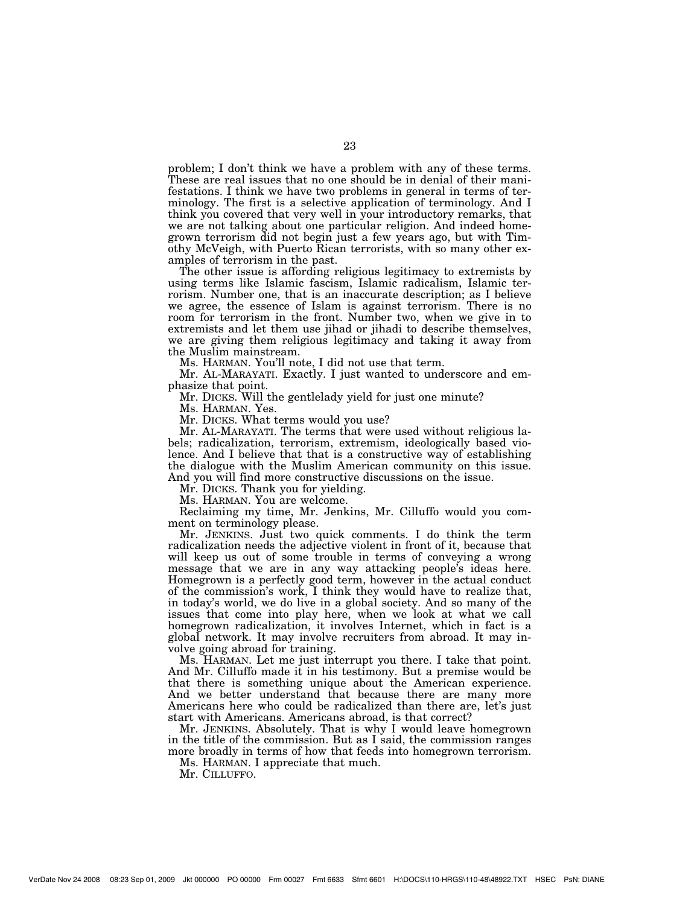problem; I don't think we have a problem with any of these terms. These are real issues that no one should be in denial of their manifestations. I think we have two problems in general in terms of terminology. The first is a selective application of terminology. And I think you covered that very well in your introductory remarks, that we are not talking about one particular religion. And indeed homegrown terrorism did not begin just a few years ago, but with Timothy McVeigh, with Puerto Rican terrorists, with so many other examples of terrorism in the past.

The other issue is affording religious legitimacy to extremists by using terms like Islamic fascism, Islamic radicalism, Islamic terrorism. Number one, that is an inaccurate description; as I believe we agree, the essence of Islam is against terrorism. There is no room for terrorism in the front. Number two, when we give in to extremists and let them use jihad or jihadi to describe themselves, we are giving them religious legitimacy and taking it away from the Muslim mainstream.

Ms. HARMAN. You'll note, I did not use that term.

Mr. AL-MARAYATI. Exactly. I just wanted to underscore and emphasize that point.

Mr. DICKS. Will the gentlelady yield for just one minute?

Ms. HARMAN. Yes.

Mr. DICKS. What terms would you use?

Mr. AL-MARAYATI. The terms that were used without religious labels; radicalization, terrorism, extremism, ideologically based violence. And I believe that that is a constructive way of establishing the dialogue with the Muslim American community on this issue. And you will find more constructive discussions on the issue.

Mr. DICKS. Thank you for yielding.

Ms. HARMAN. You are welcome.

Reclaiming my time, Mr. Jenkins, Mr. Cilluffo would you comment on terminology please.

Mr. JENKINS. Just two quick comments. I do think the term radicalization needs the adjective violent in front of it, because that will keep us out of some trouble in terms of conveying a wrong message that we are in any way attacking people's ideas here. Homegrown is a perfectly good term, however in the actual conduct of the commission's work, I think they would have to realize that, in today's world, we do live in a global society. And so many of the issues that come into play here, when we look at what we call homegrown radicalization, it involves Internet, which in fact is a global network. It may involve recruiters from abroad. It may involve going abroad for training.

Ms. HARMAN. Let me just interrupt you there. I take that point. And Mr. Cilluffo made it in his testimony. But a premise would be that there is something unique about the American experience. And we better understand that because there are many more Americans here who could be radicalized than there are, let's just start with Americans. Americans abroad, is that correct?

Mr. JENKINS. Absolutely. That is why I would leave homegrown in the title of the commission. But as I said, the commission ranges more broadly in terms of how that feeds into homegrown terrorism.

Ms. HARMAN. I appreciate that much.

Mr. CILLUFFO.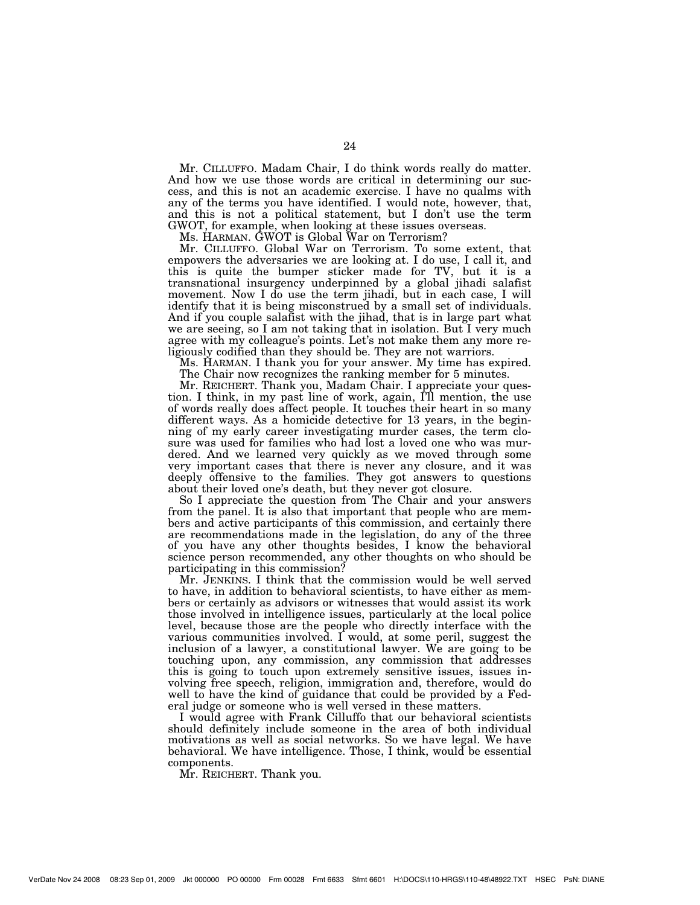Mr. CILLUFFO. Madam Chair, I do think words really do matter. And how we use those words are critical in determining our success, and this is not an academic exercise. I have no qualms with any of the terms you have identified. I would note, however, that, and this is not a political statement, but I don't use the term GWOT, for example, when looking at these issues overseas.

Ms. HARMAN. GWOT is Global War on Terrorism?

Mr. CILLUFFO. Global War on Terrorism. To some extent, that empowers the adversaries we are looking at. I do use, I call it, and this is quite the bumper sticker made for TV, but it is a transnational insurgency underpinned by a global jihadi salafist movement. Now I do use the term jihadi, but in each case, I will identify that it is being misconstrued by a small set of individuals. And if you couple salafist with the jihad, that is in large part what we are seeing, so I am not taking that in isolation. But I very much agree with my colleague's points. Let's not make them any more religiously codified than they should be. They are not warriors.

Ms. HARMAN. I thank you for your answer. My time has expired. The Chair now recognizes the ranking member for 5 minutes.

Mr. REICHERT. Thank you, Madam Chair. I appreciate your question. I think, in my past line of work, again, I'll mention, the use of words really does affect people. It touches their heart in so many different ways. As a homicide detective for 13 years, in the beginning of my early career investigating murder cases, the term closure was used for families who had lost a loved one who was murdered. And we learned very quickly as we moved through some very important cases that there is never any closure, and it was deeply offensive to the families. They got answers to questions about their loved one's death, but they never got closure.

So I appreciate the question from The Chair and your answers from the panel. It is also that important that people who are members and active participants of this commission, and certainly there are recommendations made in the legislation, do any of the three of you have any other thoughts besides, I know the behavioral science person recommended, any other thoughts on who should be participating in this commission?

Mr. JENKINS. I think that the commission would be well served to have, in addition to behavioral scientists, to have either as members or certainly as advisors or witnesses that would assist its work those involved in intelligence issues, particularly at the local police level, because those are the people who directly interface with the various communities involved. I would, at some peril, suggest the inclusion of a lawyer, a constitutional lawyer. We are going to be touching upon, any commission, any commission that addresses this is going to touch upon extremely sensitive issues, issues involving free speech, religion, immigration and, therefore, would do well to have the kind of guidance that could be provided by a Federal judge or someone who is well versed in these matters.

I would agree with Frank Cilluffo that our behavioral scientists should definitely include someone in the area of both individual motivations as well as social networks. So we have legal. We have behavioral. We have intelligence. Those, I think, would be essential components.

Mr. REICHERT. Thank you.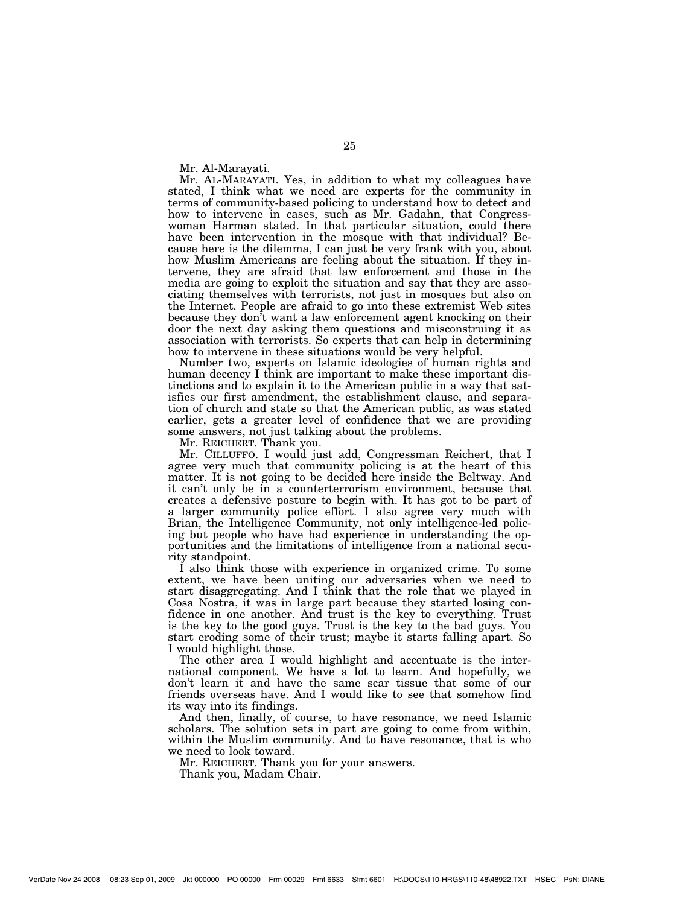Mr. Al-Marayati.

Mr. AL-MARAYATI. Yes, in addition to what my colleagues have stated, I think what we need are experts for the community in terms of community-based policing to understand how to detect and how to intervene in cases, such as Mr. Gadahn, that Congresswoman Harman stated. In that particular situation, could there have been intervention in the mosque with that individual? Because here is the dilemma, I can just be very frank with you, about how Muslim Americans are feeling about the situation. If they intervene, they are afraid that law enforcement and those in the media are going to exploit the situation and say that they are associating themselves with terrorists, not just in mosques but also on the Internet. People are afraid to go into these extremist Web sites because they don't want a law enforcement agent knocking on their door the next day asking them questions and misconstruing it as association with terrorists. So experts that can help in determining how to intervene in these situations would be very helpful.

Number two, experts on Islamic ideologies of human rights and human decency I think are important to make these important distinctions and to explain it to the American public in a way that satisfies our first amendment, the establishment clause, and separation of church and state so that the American public, as was stated earlier, gets a greater level of confidence that we are providing some answers, not just talking about the problems.

Mr. REICHERT. Thank you.

Mr. CILLUFFO. I would just add, Congressman Reichert, that I agree very much that community policing is at the heart of this matter. It is not going to be decided here inside the Beltway. And it can't only be in a counterterrorism environment, because that creates a defensive posture to begin with. It has got to be part of a larger community police effort. I also agree very much with Brian, the Intelligence Community, not only intelligence-led policing but people who have had experience in understanding the opportunities and the limitations of intelligence from a national security standpoint.

I also think those with experience in organized crime. To some extent, we have been uniting our adversaries when we need to start disaggregating. And I think that the role that we played in Cosa Nostra, it was in large part because they started losing confidence in one another. And trust is the key to everything. Trust is the key to the good guys. Trust is the key to the bad guys. You start eroding some of their trust; maybe it starts falling apart. So I would highlight those.

The other area I would highlight and accentuate is the international component. We have a lot to learn. And hopefully, we don't learn it and have the same scar tissue that some of our friends overseas have. And I would like to see that somehow find its way into its findings.

And then, finally, of course, to have resonance, we need Islamic scholars. The solution sets in part are going to come from within, within the Muslim community. And to have resonance, that is who we need to look toward.

Mr. REICHERT. Thank you for your answers. Thank you, Madam Chair.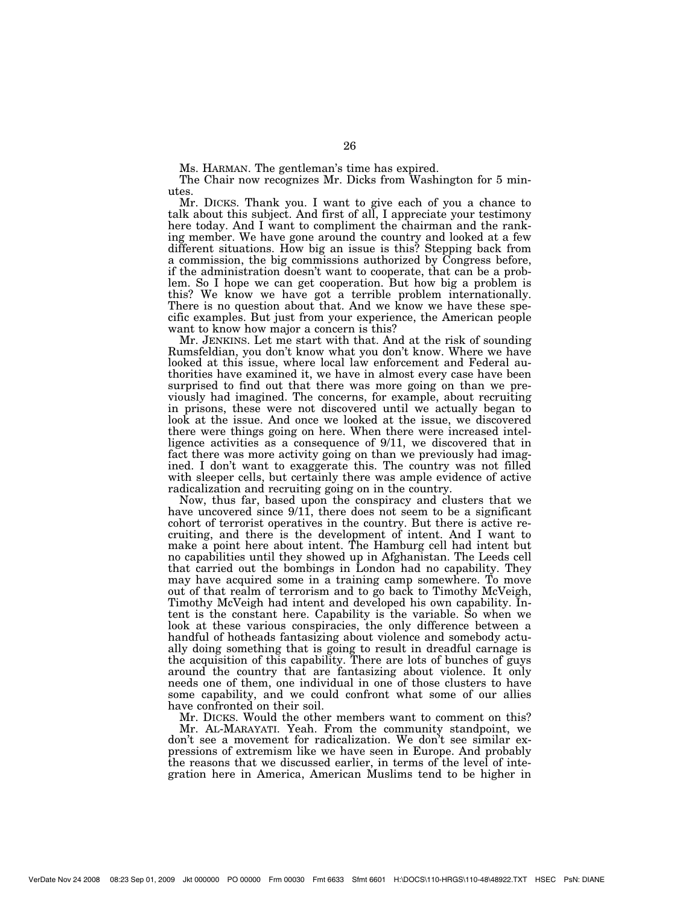Ms. HARMAN. The gentleman's time has expired.

The Chair now recognizes Mr. Dicks from Washington for 5 minutes.

Mr. DICKS. Thank you. I want to give each of you a chance to talk about this subject. And first of all, I appreciate your testimony here today. And I want to compliment the chairman and the ranking member. We have gone around the country and looked at a few different situations. How big an issue is this? Stepping back from a commission, the big commissions authorized by Congress before, if the administration doesn't want to cooperate, that can be a problem. So I hope we can get cooperation. But how big a problem is this? We know we have got a terrible problem internationally. There is no question about that. And we know we have these specific examples. But just from your experience, the American people want to know how major a concern is this?

Mr. JENKINS. Let me start with that. And at the risk of sounding Rumsfeldian, you don't know what you don't know. Where we have looked at this issue, where local law enforcement and Federal authorities have examined it, we have in almost every case have been surprised to find out that there was more going on than we previously had imagined. The concerns, for example, about recruiting in prisons, these were not discovered until we actually began to look at the issue. And once we looked at the issue, we discovered there were things going on here. When there were increased intelligence activities as a consequence of 9/11, we discovered that in fact there was more activity going on than we previously had imagined. I don't want to exaggerate this. The country was not filled with sleeper cells, but certainly there was ample evidence of active radicalization and recruiting going on in the country.

Now, thus far, based upon the conspiracy and clusters that we have uncovered since 9/11, there does not seem to be a significant cohort of terrorist operatives in the country. But there is active recruiting, and there is the development of intent. And I want to make a point here about intent. The Hamburg cell had intent but no capabilities until they showed up in Afghanistan. The Leeds cell that carried out the bombings in London had no capability. They may have acquired some in a training camp somewhere. To move out of that realm of terrorism and to go back to Timothy McVeigh, Timothy McVeigh had intent and developed his own capability. Intent is the constant here. Capability is the variable. So when we look at these various conspiracies, the only difference between a handful of hotheads fantasizing about violence and somebody actually doing something that is going to result in dreadful carnage is the acquisition of this capability. There are lots of bunches of guys around the country that are fantasizing about violence. It only needs one of them, one individual in one of those clusters to have some capability, and we could confront what some of our allies have confronted on their soil.

Mr. DICKS. Would the other members want to comment on this? Mr. AL-MARAYATI. Yeah. From the community standpoint, we don't see a movement for radicalization. We don't see similar expressions of extremism like we have seen in Europe. And probably the reasons that we discussed earlier, in terms of the level of integration here in America, American Muslims tend to be higher in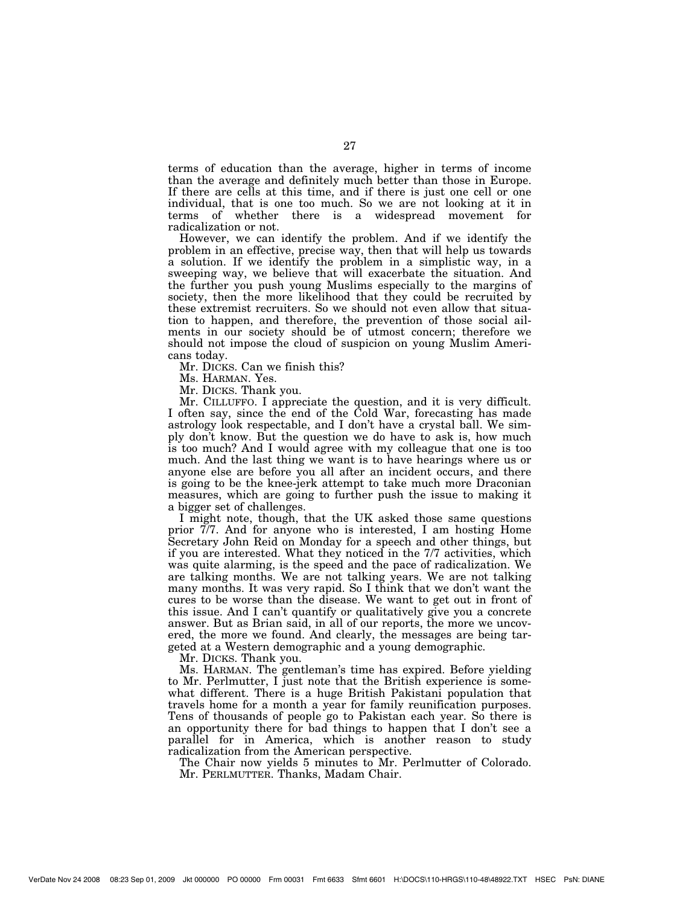terms of education than the average, higher in terms of income than the average and definitely much better than those in Europe. If there are cells at this time, and if there is just one cell or one individual, that is one too much. So we are not looking at it in terms of whether there is a widespread movement for radicalization or not.

However, we can identify the problem. And if we identify the problem in an effective, precise way, then that will help us towards a solution. If we identify the problem in a simplistic way, in a sweeping way, we believe that will exacerbate the situation. And the further you push young Muslims especially to the margins of society, then the more likelihood that they could be recruited by these extremist recruiters. So we should not even allow that situation to happen, and therefore, the prevention of those social ailments in our society should be of utmost concern; therefore we should not impose the cloud of suspicion on young Muslim Americans today.

Mr. DICKS. Can we finish this?

Ms. HARMAN. Yes.

Mr. DICKS. Thank you.

Mr. CILLUFFO. I appreciate the question, and it is very difficult. I often say, since the end of the Cold War, forecasting has made astrology look respectable, and I don't have a crystal ball. We simply don't know. But the question we do have to ask is, how much is too much? And I would agree with my colleague that one is too much. And the last thing we want is to have hearings where us or anyone else are before you all after an incident occurs, and there is going to be the knee-jerk attempt to take much more Draconian measures, which are going to further push the issue to making it a bigger set of challenges.

I might note, though, that the UK asked those same questions prior 7/7. And for anyone who is interested, I am hosting Home Secretary John Reid on Monday for a speech and other things, but if you are interested. What they noticed in the 7/7 activities, which was quite alarming, is the speed and the pace of radicalization. We are talking months. We are not talking years. We are not talking many months. It was very rapid. So I think that we don't want the cures to be worse than the disease. We want to get out in front of this issue. And I can't quantify or qualitatively give you a concrete answer. But as Brian said, in all of our reports, the more we uncovered, the more we found. And clearly, the messages are being targeted at a Western demographic and a young demographic.

Mr. DICKS. Thank you.

Ms. HARMAN. The gentleman's time has expired. Before yielding to Mr. Perlmutter, I just note that the British experience is somewhat different. There is a huge British Pakistani population that travels home for a month a year for family reunification purposes. Tens of thousands of people go to Pakistan each year. So there is an opportunity there for bad things to happen that I don't see a parallel for in America, which is another reason to study radicalization from the American perspective.

The Chair now yields 5 minutes to Mr. Perlmutter of Colorado. Mr. PERLMUTTER. Thanks, Madam Chair.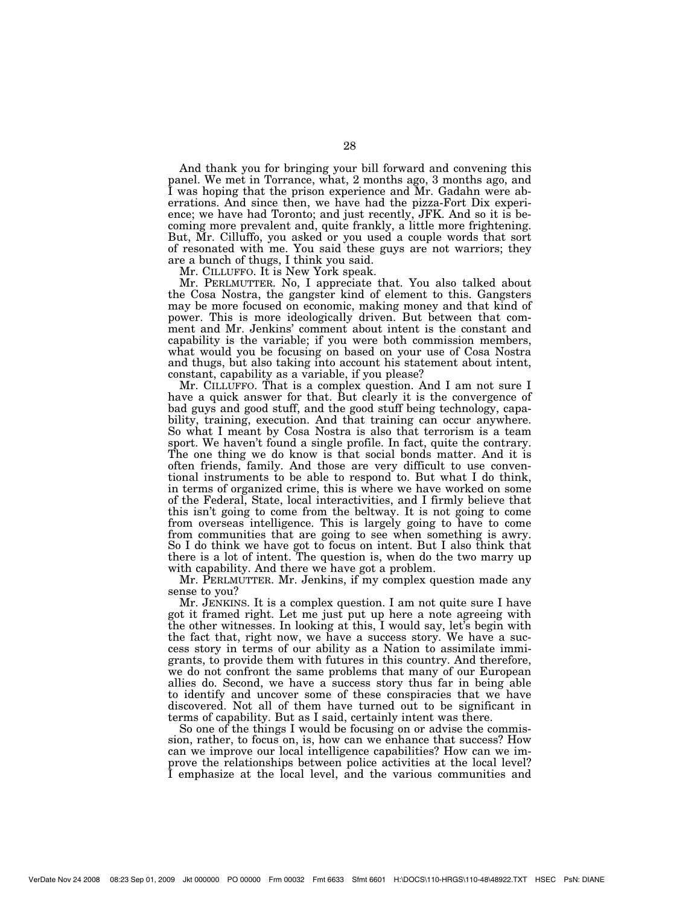And thank you for bringing your bill forward and convening this panel. We met in Torrance, what, 2 months ago, 3 months ago, and I was hoping that the prison experience and Mr. Gadahn were aberrations. And since then, we have had the pizza-Fort Dix experience; we have had Toronto; and just recently, JFK. And so it is becoming more prevalent and, quite frankly, a little more frightening. But, Mr. Cilluffo, you asked or you used a couple words that sort of resonated with me. You said these guys are not warriors; they are a bunch of thugs, I think you said.

Mr. CILLUFFO. It is New York speak.

Mr. PERLMUTTER. No, I appreciate that. You also talked about the Cosa Nostra, the gangster kind of element to this. Gangsters may be more focused on economic, making money and that kind of power. This is more ideologically driven. But between that comment and Mr. Jenkins' comment about intent is the constant and capability is the variable; if you were both commission members, what would you be focusing on based on your use of Cosa Nostra and thugs, but also taking into account his statement about intent, constant, capability as a variable, if you please?

Mr. CILLUFFO. That is a complex question. And I am not sure I have a quick answer for that. But clearly it is the convergence of bad guys and good stuff, and the good stuff being technology, capability, training, execution. And that training can occur anywhere. So what I meant by Cosa Nostra is also that terrorism is a team sport. We haven't found a single profile. In fact, quite the contrary. The one thing we do know is that social bonds matter. And it is often friends, family. And those are very difficult to use conventional instruments to be able to respond to. But what I do think, in terms of organized crime, this is where we have worked on some of the Federal, State, local interactivities, and I firmly believe that this isn't going to come from the beltway. It is not going to come from overseas intelligence. This is largely going to have to come from communities that are going to see when something is awry. So I do think we have got to focus on intent. But I also think that there is a lot of intent. The question is, when do the two marry up with capability. And there we have got a problem.

Mr. PERLMUTTER. Mr. Jenkins, if my complex question made any sense to you?

Mr. JENKINS. It is a complex question. I am not quite sure I have got it framed right. Let me just put up here a note agreeing with the other witnesses. In looking at this, I would say, let's begin with the fact that, right now, we have a success story. We have a success story in terms of our ability as a Nation to assimilate immigrants, to provide them with futures in this country. And therefore, we do not confront the same problems that many of our European allies do. Second, we have a success story thus far in being able to identify and uncover some of these conspiracies that we have discovered. Not all of them have turned out to be significant in terms of capability. But as I said, certainly intent was there.

So one of the things I would be focusing on or advise the commission, rather, to focus on, is, how can we enhance that success? How can we improve our local intelligence capabilities? How can we improve the relationships between police activities at the local level? I emphasize at the local level, and the various communities and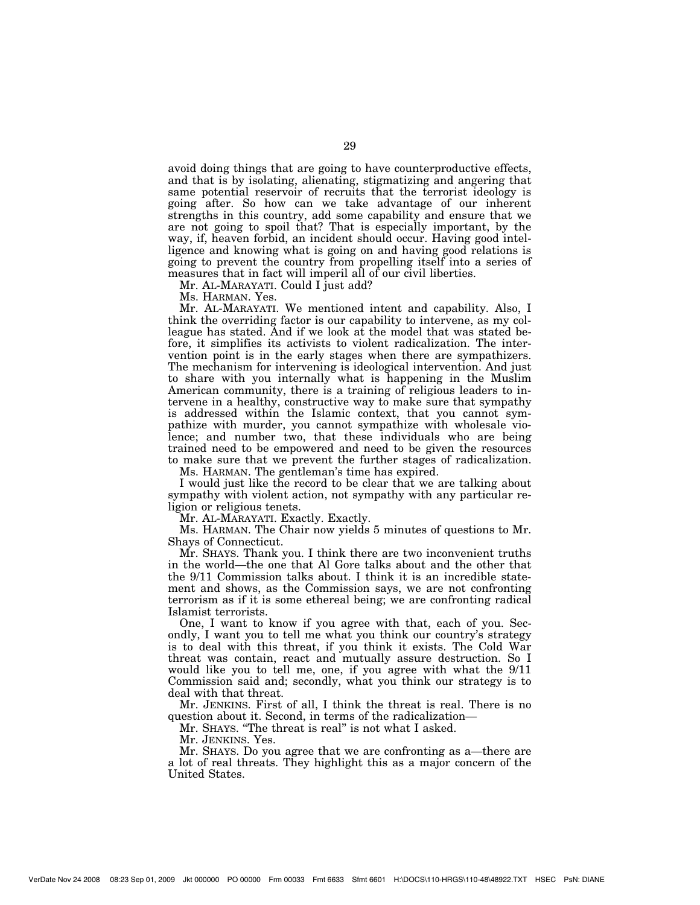avoid doing things that are going to have counterproductive effects, and that is by isolating, alienating, stigmatizing and angering that same potential reservoir of recruits that the terrorist ideology is going after. So how can we take advantage of our inherent strengths in this country, add some capability and ensure that we are not going to spoil that? That is especially important, by the way, if, heaven forbid, an incident should occur. Having good intelligence and knowing what is going on and having good relations is going to prevent the country from propelling itself into a series of measures that in fact will imperil all of our civil liberties.

Mr. AL-MARAYATI. Could I just add?

Ms. HARMAN. Yes.

Mr. AL-MARAYATI. We mentioned intent and capability. Also, I think the overriding factor is our capability to intervene, as my colleague has stated. And if we look at the model that was stated before, it simplifies its activists to violent radicalization. The intervention point is in the early stages when there are sympathizers. The mechanism for intervening is ideological intervention. And just to share with you internally what is happening in the Muslim American community, there is a training of religious leaders to intervene in a healthy, constructive way to make sure that sympathy is addressed within the Islamic context, that you cannot sympathize with murder, you cannot sympathize with wholesale violence; and number two, that these individuals who are being trained need to be empowered and need to be given the resources to make sure that we prevent the further stages of radicalization.

Ms. HARMAN. The gentleman's time has expired.

I would just like the record to be clear that we are talking about sympathy with violent action, not sympathy with any particular religion or religious tenets.

Mr. AL-MARAYATI. Exactly. Exactly.

Ms. HARMAN. The Chair now yields 5 minutes of questions to Mr. Shays of Connecticut.

Mr. SHAYS. Thank you. I think there are two inconvenient truths in the world—the one that Al Gore talks about and the other that the 9/11 Commission talks about. I think it is an incredible statement and shows, as the Commission says, we are not confronting terrorism as if it is some ethereal being; we are confronting radical Islamist terrorists.

One, I want to know if you agree with that, each of you. Secondly, I want you to tell me what you think our country's strategy is to deal with this threat, if you think it exists. The Cold War threat was contain, react and mutually assure destruction. So I would like you to tell me, one, if you agree with what the 9/11 Commission said and; secondly, what you think our strategy is to deal with that threat.

Mr. JENKINS. First of all, I think the threat is real. There is no question about it. Second, in terms of the radicalization—

Mr. SHAYS. ''The threat is real'' is not what I asked.

Mr. JENKINS. Yes.

Mr. SHAYS. Do you agree that we are confronting as a—there are a lot of real threats. They highlight this as a major concern of the United States.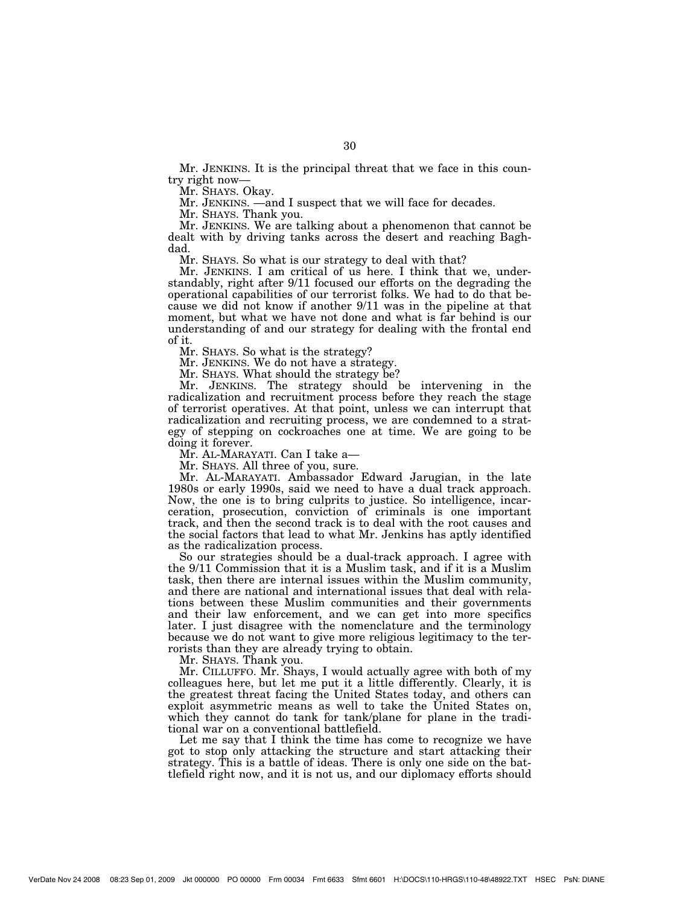Mr. JENKINS. It is the principal threat that we face in this country right now—

Mr. SHAYS. Okay.

Mr. JENKINS. —and I suspect that we will face for decades.

Mr. SHAYS. Thank you.

Mr. JENKINS. We are talking about a phenomenon that cannot be dealt with by driving tanks across the desert and reaching Baghdad.

Mr. SHAYS. So what is our strategy to deal with that?

Mr. JENKINS. I am critical of us here. I think that we, understandably, right after 9/11 focused our efforts on the degrading the operational capabilities of our terrorist folks. We had to do that because we did not know if another 9/11 was in the pipeline at that moment, but what we have not done and what is far behind is our understanding of and our strategy for dealing with the frontal end of it.

Mr. SHAYS. So what is the strategy?

Mr. JENKINS. We do not have a strategy.

Mr. SHAYS. What should the strategy be?

Mr. JENKINS. The strategy should be intervening in the radicalization and recruitment process before they reach the stage of terrorist operatives. At that point, unless we can interrupt that radicalization and recruiting process, we are condemned to a strategy of stepping on cockroaches one at time. We are going to be doing it forever.

Mr. AL-MARAYATI. Can I take a—

Mr. SHAYS. All three of you, sure.

Mr. AL-MARAYATI. Ambassador Edward Jarugian, in the late 1980s or early 1990s, said we need to have a dual track approach. Now, the one is to bring culprits to justice. So intelligence, incarceration, prosecution, conviction of criminals is one important track, and then the second track is to deal with the root causes and the social factors that lead to what Mr. Jenkins has aptly identified as the radicalization process.

So our strategies should be a dual-track approach. I agree with the 9/11 Commission that it is a Muslim task, and if it is a Muslim task, then there are internal issues within the Muslim community, and there are national and international issues that deal with relations between these Muslim communities and their governments and their law enforcement, and we can get into more specifics later. I just disagree with the nomenclature and the terminology because we do not want to give more religious legitimacy to the terrorists than they are already trying to obtain.

Mr. SHAYS. Thank you.

Mr. CILLUFFO. Mr. Shays, I would actually agree with both of my colleagues here, but let me put it a little differently. Clearly, it is the greatest threat facing the United States today, and others can exploit asymmetric means as well to take the United States on, which they cannot do tank for tank/plane for plane in the traditional war on a conventional battlefield.

Let me say that I think the time has come to recognize we have got to stop only attacking the structure and start attacking their strategy. This is a battle of ideas. There is only one side on the battlefield right now, and it is not us, and our diplomacy efforts should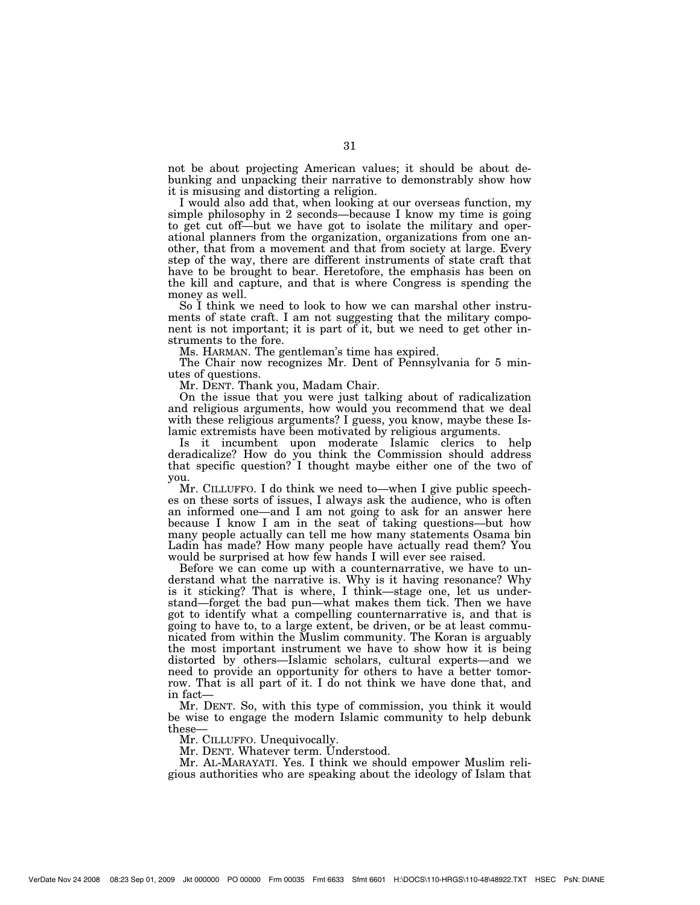not be about projecting American values; it should be about debunking and unpacking their narrative to demonstrably show how it is misusing and distorting a religion.

I would also add that, when looking at our overseas function, my simple philosophy in 2 seconds—because I know my time is going to get cut off—but we have got to isolate the military and operational planners from the organization, organizations from one another, that from a movement and that from society at large. Every step of the way, there are different instruments of state craft that have to be brought to bear. Heretofore, the emphasis has been on the kill and capture, and that is where Congress is spending the money as well.

So I think we need to look to how we can marshal other instruments of state craft. I am not suggesting that the military component is not important; it is part of it, but we need to get other instruments to the fore.

Ms. HARMAN. The gentleman's time has expired.

The Chair now recognizes Mr. Dent of Pennsylvania for 5 minutes of questions.

Mr. DENT. Thank you, Madam Chair.

On the issue that you were just talking about of radicalization and religious arguments, how would you recommend that we deal with these religious arguments? I guess, you know, maybe these Islamic extremists have been motivated by religious arguments.

Is it incumbent upon moderate Islamic clerics to help deradicalize? How do you think the Commission should address that specific question? I thought maybe either one of the two of you.

Mr. CILLUFFO. I do think we need to—when I give public speeches on these sorts of issues, I always ask the audience, who is often an informed one—and I am not going to ask for an answer here because I know I am in the seat of taking questions—but how many people actually can tell me how many statements Osama bin Ladin has made? How many people have actually read them? You would be surprised at how few hands I will ever see raised.

Before we can come up with a counternarrative, we have to understand what the narrative is. Why is it having resonance? Why is it sticking? That is where, I think—stage one, let us understand—forget the bad pun—what makes them tick. Then we have got to identify what a compelling counternarrative is, and that is going to have to, to a large extent, be driven, or be at least communicated from within the Muslim community. The Koran is arguably the most important instrument we have to show how it is being distorted by others—Islamic scholars, cultural experts—and we need to provide an opportunity for others to have a better tomorrow. That is all part of it. I do not think we have done that, and in fact—

Mr. DENT. So, with this type of commission, you think it would be wise to engage the modern Islamic community to help debunk these—

Mr. CILLUFFO. Unequivocally.

Mr. DENT. Whatever term. Understood.

Mr. AL-MARAYATI. Yes. I think we should empower Muslim religious authorities who are speaking about the ideology of Islam that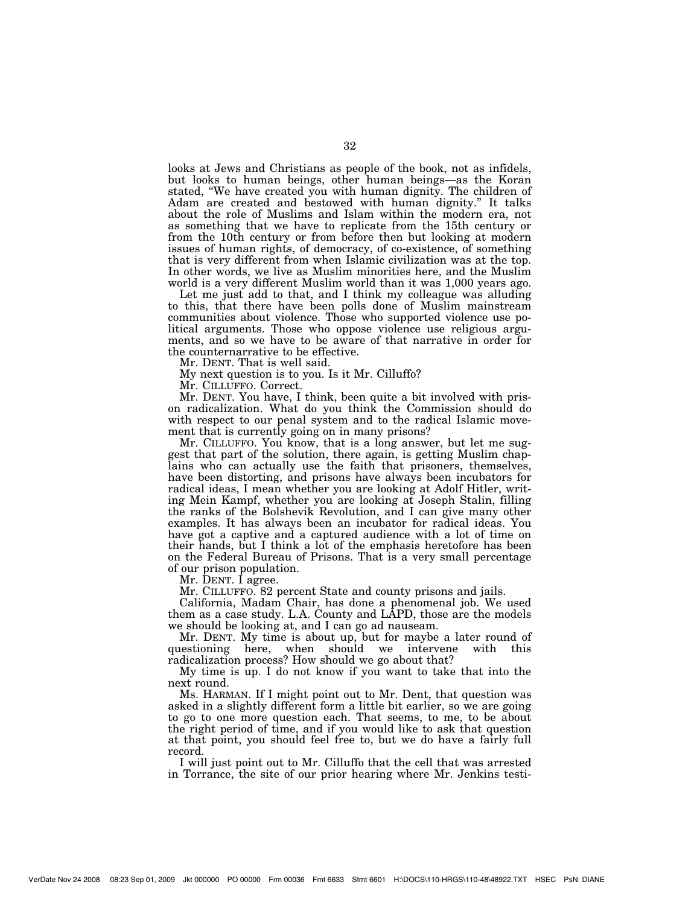looks at Jews and Christians as people of the book, not as infidels, but looks to human beings, other human beings—as the Koran stated, ''We have created you with human dignity. The children of Adam are created and bestowed with human dignity." It talks about the role of Muslims and Islam within the modern era, not as something that we have to replicate from the 15th century or from the 10th century or from before then but looking at modern issues of human rights, of democracy, of co-existence, of something that is very different from when Islamic civilization was at the top. In other words, we live as Muslim minorities here, and the Muslim world is a very different Muslim world than it was 1,000 years ago.

Let me just add to that, and I think my colleague was alluding to this, that there have been polls done of Muslim mainstream communities about violence. Those who supported violence use political arguments. Those who oppose violence use religious arguments, and so we have to be aware of that narrative in order for the counternarrative to be effective.

Mr. DENT. That is well said.

My next question is to you. Is it Mr. Cilluffo?

Mr. CILLUFFO. Correct.

Mr. DENT. You have, I think, been quite a bit involved with prison radicalization. What do you think the Commission should do with respect to our penal system and to the radical Islamic movement that is currently going on in many prisons?

Mr. CILLUFFO. You know, that is a long answer, but let me suggest that part of the solution, there again, is getting Muslim chaplains who can actually use the faith that prisoners, themselves, have been distorting, and prisons have always been incubators for radical ideas, I mean whether you are looking at Adolf Hitler, writing Mein Kampf, whether you are looking at Joseph Stalin, filling the ranks of the Bolshevik Revolution, and I can give many other examples. It has always been an incubator for radical ideas. You have got a captive and a captured audience with a lot of time on their hands, but I think a lot of the emphasis heretofore has been on the Federal Bureau of Prisons. That is a very small percentage of our prison population.

Mr. DENT. I agree.

Mr. CILLUFFO. 82 percent State and county prisons and jails.

California, Madam Chair, has done a phenomenal job. We used them as a case study. L.A. County and LAPD, those are the models we should be looking at, and I can go ad nauseam.

Mr. DENT. My time is about up, but for maybe a later round of questioning here, when should we intervene with this radicalization process? How should we go about that?

My time is up. I do not know if you want to take that into the next round.

Ms. HARMAN. If I might point out to Mr. Dent, that question was asked in a slightly different form a little bit earlier, so we are going to go to one more question each. That seems, to me, to be about the right period of time, and if you would like to ask that question at that point, you should feel free to, but we do have a fairly full record.

I will just point out to Mr. Cilluffo that the cell that was arrested in Torrance, the site of our prior hearing where Mr. Jenkins testi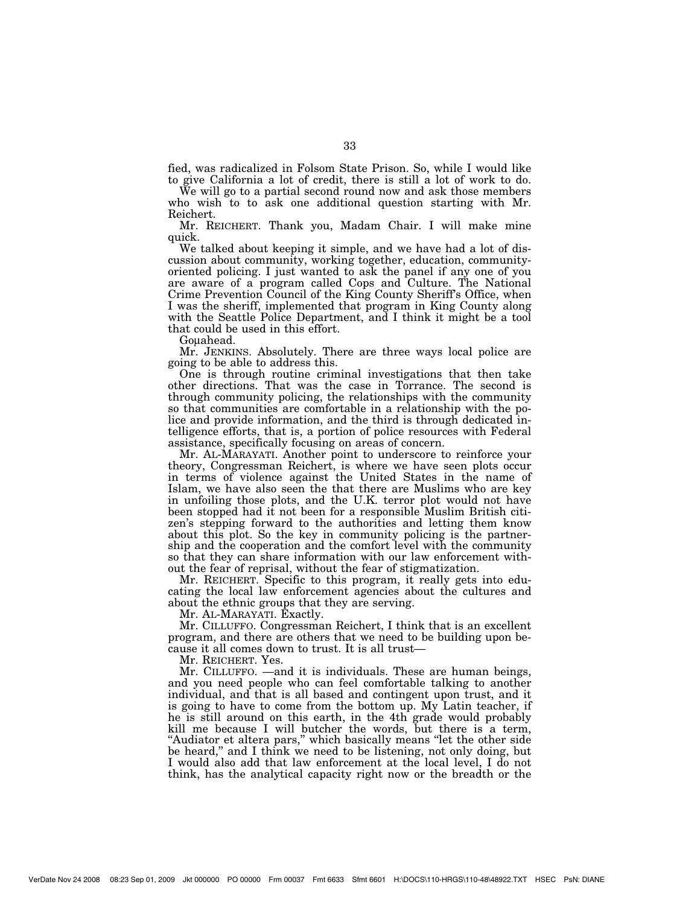fied, was radicalized in Folsom State Prison. So, while I would like to give California a lot of credit, there is still a lot of work to do.

We will go to a partial second round now and ask those members who wish to to ask one additional question starting with Mr. Reichert.

Mr. REICHERT. Thank you, Madam Chair. I will make mine quick.

We talked about keeping it simple, and we have had a lot of discussion about community, working together, education, communityoriented policing. I just wanted to ask the panel if any one of you are aware of a program called Cops and Culture. The National Crime Prevention Council of the King County Sheriff's Office, when I was the sheriff, implemented that program in King County along with the Seattle Police Department, and I think it might be a tool that could be used in this effort.

Goμahead.

Mr. JENKINS. Absolutely. There are three ways local police are going to be able to address this.

One is through routine criminal investigations that then take other directions. That was the case in Torrance. The second is through community policing, the relationships with the community so that communities are comfortable in a relationship with the police and provide information, and the third is through dedicated intelligence efforts, that is, a portion of police resources with Federal assistance, specifically focusing on areas of concern.

Mr. AL-MARAYATI. Another point to underscore to reinforce your theory, Congressman Reichert, is where we have seen plots occur in terms of violence against the United States in the name of Islam, we have also seen the that there are Muslims who are key in unfoiling those plots, and the U.K. terror plot would not have been stopped had it not been for a responsible Muslim British citizen's stepping forward to the authorities and letting them know about this plot. So the key in community policing is the partnership and the cooperation and the comfort level with the community so that they can share information with our law enforcement without the fear of reprisal, without the fear of stigmatization.

Mr. REICHERT. Specific to this program, it really gets into educating the local law enforcement agencies about the cultures and about the ethnic groups that they are serving.

Mr. AL-MARAYATI. Exactly.

Mr. CILLUFFO. Congressman Reichert, I think that is an excellent program, and there are others that we need to be building upon because it all comes down to trust. It is all trust—

Mr. REICHERT. Yes.

Mr. CILLUFFO. —and it is individuals. These are human beings, and you need people who can feel comfortable talking to another individual, and that is all based and contingent upon trust, and it is going to have to come from the bottom up. My Latin teacher, if he is still around on this earth, in the 4th grade would probably kill me because I will butcher the words, but there is a term, "Audiator et altera pars," which basically means "let the other side be heard,'' and I think we need to be listening, not only doing, but I would also add that law enforcement at the local level, I do not think, has the analytical capacity right now or the breadth or the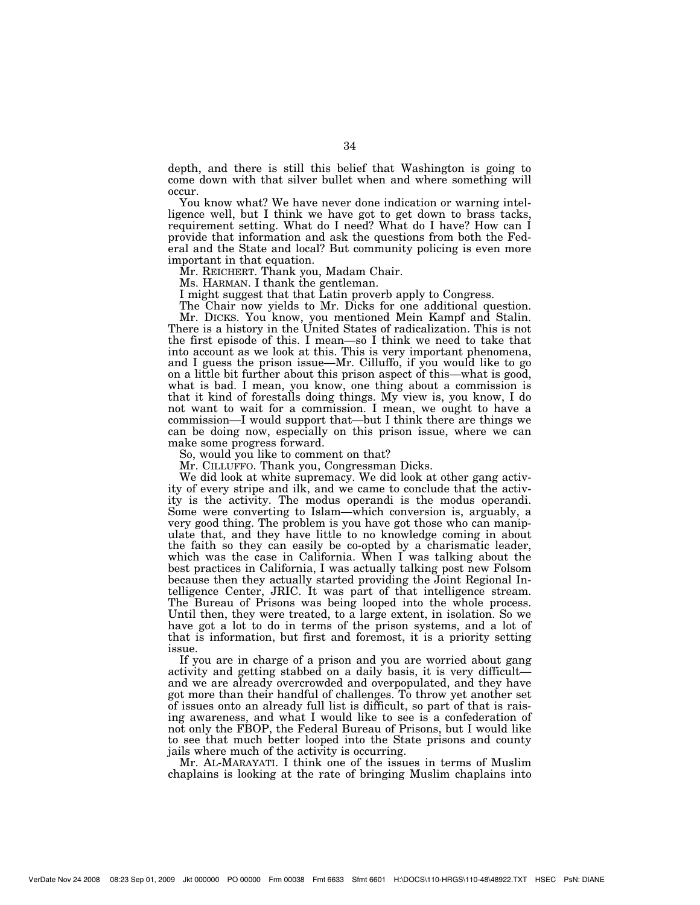depth, and there is still this belief that Washington is going to come down with that silver bullet when and where something will occur.

You know what? We have never done indication or warning intelligence well, but I think we have got to get down to brass tacks, requirement setting. What do I need? What do I have? How can I provide that information and ask the questions from both the Federal and the State and local? But community policing is even more important in that equation.

Mr. REICHERT. Thank you, Madam Chair.

Ms. HARMAN. I thank the gentleman.

I might suggest that that Latin proverb apply to Congress.

The Chair now yields to Mr. Dicks for one additional question.

Mr. DICKS. You know, you mentioned Mein Kampf and Stalin. There is a history in the United States of radicalization. This is not the first episode of this. I mean—so I think we need to take that into account as we look at this. This is very important phenomena, and I guess the prison issue—Mr. Cilluffo, if you would like to go on a little bit further about this prison aspect of this—what is good, what is bad. I mean, you know, one thing about a commission is that it kind of forestalls doing things. My view is, you know, I do not want to wait for a commission. I mean, we ought to have a commission—I would support that—but I think there are things we can be doing now, especially on this prison issue, where we can make some progress forward.

So, would you like to comment on that?

Mr. CILLUFFO. Thank you, Congressman Dicks.

We did look at white supremacy. We did look at other gang activity of every stripe and ilk, and we came to conclude that the activity is the activity. The modus operandi is the modus operandi. Some were converting to Islam—which conversion is, arguably, a very good thing. The problem is you have got those who can manipulate that, and they have little to no knowledge coming in about the faith so they can easily be co-opted by a charismatic leader, which was the case in California. When I was talking about the best practices in California, I was actually talking post new Folsom because then they actually started providing the Joint Regional Intelligence Center, JRIC. It was part of that intelligence stream. The Bureau of Prisons was being looped into the whole process. Until then, they were treated, to a large extent, in isolation. So we have got a lot to do in terms of the prison systems, and a lot of that is information, but first and foremost, it is a priority setting issue.

If you are in charge of a prison and you are worried about gang activity and getting stabbed on a daily basis, it is very difficult and we are already overcrowded and overpopulated, and they have got more than their handful of challenges. To throw yet another set of issues onto an already full list is difficult, so part of that is raising awareness, and what I would like to see is a confederation of not only the FBOP, the Federal Bureau of Prisons, but I would like to see that much better looped into the State prisons and county jails where much of the activity is occurring.

Mr. AL-MARAYATI. I think one of the issues in terms of Muslim chaplains is looking at the rate of bringing Muslim chaplains into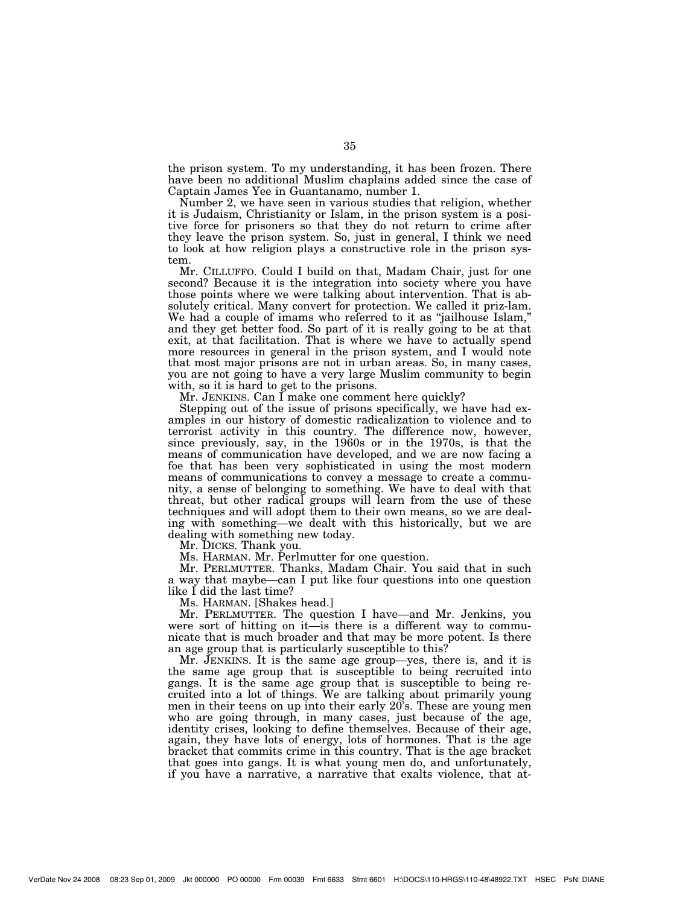the prison system. To my understanding, it has been frozen. There have been no additional Muslim chaplains added since the case of Captain James Yee in Guantanamo, number 1.

Number 2, we have seen in various studies that religion, whether it is Judaism, Christianity or Islam, in the prison system is a positive force for prisoners so that they do not return to crime after they leave the prison system. So, just in general, I think we need to look at how religion plays a constructive role in the prison system.

Mr. CILLUFFO. Could I build on that, Madam Chair, just for one second? Because it is the integration into society where you have those points where we were talking about intervention. That is absolutely critical. Many convert for protection. We called it priz-lam. We had a couple of imams who referred to it as "jailhouse Islam," and they get better food. So part of it is really going to be at that exit, at that facilitation. That is where we have to actually spend more resources in general in the prison system, and I would note that most major prisons are not in urban areas. So, in many cases, you are not going to have a very large Muslim community to begin with, so it is hard to get to the prisons.

Mr. JENKINS. Can I make one comment here quickly?

Stepping out of the issue of prisons specifically, we have had examples in our history of domestic radicalization to violence and to terrorist activity in this country. The difference now, however, since previously, say, in the 1960s or in the 1970s, is that the means of communication have developed, and we are now facing a foe that has been very sophisticated in using the most modern means of communications to convey a message to create a community, a sense of belonging to something. We have to deal with that threat, but other radical groups will learn from the use of these techniques and will adopt them to their own means, so we are dealing with something—we dealt with this historically, but we are dealing with something new today.

Mr. DICKS. Thank you.

Ms. HARMAN. Mr. Perlmutter for one question.

Mr. PERLMUTTER. Thanks, Madam Chair. You said that in such a way that maybe—can I put like four questions into one question like I did the last time?

Ms. HARMAN. [Shakes head.]

Mr. PERLMUTTER. The question I have—and Mr. Jenkins, you were sort of hitting on it—is there is a different way to communicate that is much broader and that may be more potent. Is there an age group that is particularly susceptible to this?

Mr. JENKINS. It is the same age group—yes, there is, and it is the same age group that is susceptible to being recruited into gangs. It is the same age group that is susceptible to being recruited into a lot of things. We are talking about primarily young men in their teens on up into their early 20's. These are young men who are going through, in many cases, just because of the age, identity crises, looking to define themselves. Because of their age, again, they have lots of energy, lots of hormones. That is the age bracket that commits crime in this country. That is the age bracket that goes into gangs. It is what young men do, and unfortunately, if you have a narrative, a narrative that exalts violence, that at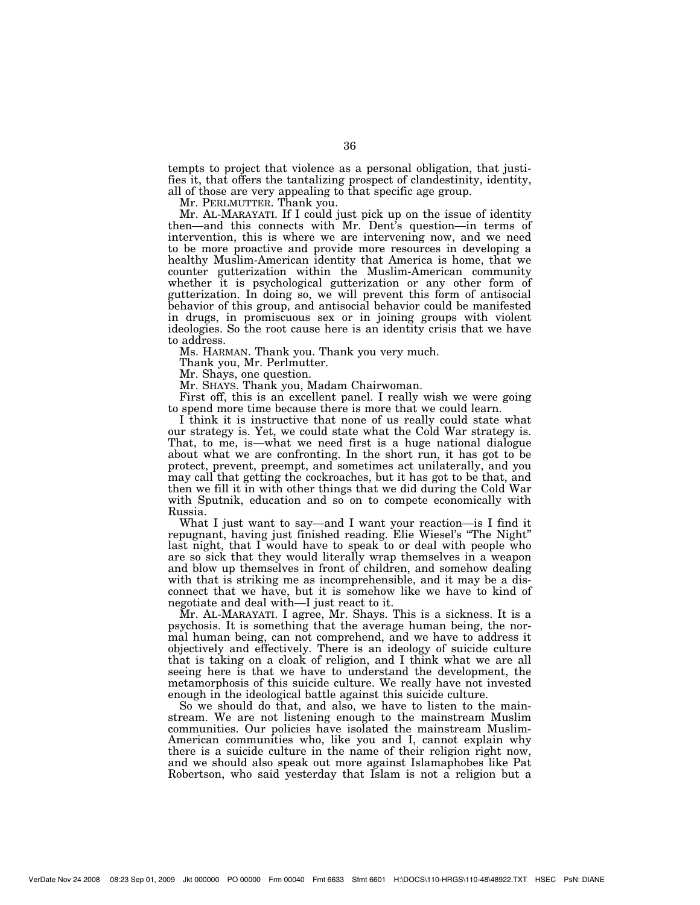tempts to project that violence as a personal obligation, that justifies it, that offers the tantalizing prospect of clandestinity, identity, all of those are very appealing to that specific age group.

Mr. PERLMUTTER. Thank you.

Mr. AL-MARAYATI. If I could just pick up on the issue of identity then—and this connects with Mr. Dent's question—in terms of intervention, this is where we are intervening now, and we need to be more proactive and provide more resources in developing a healthy Muslim-American identity that America is home, that we counter gutterization within the Muslim-American community whether it is psychological gutterization or any other form of gutterization. In doing so, we will prevent this form of antisocial behavior of this group, and antisocial behavior could be manifested in drugs, in promiscuous sex or in joining groups with violent ideologies. So the root cause here is an identity crisis that we have to address.

Ms. HARMAN. Thank you. Thank you very much.

Thank you, Mr. Perlmutter.

Mr. Shays, one question.

Mr. SHAYS. Thank you, Madam Chairwoman.

First off, this is an excellent panel. I really wish we were going to spend more time because there is more that we could learn.

I think it is instructive that none of us really could state what our strategy is. Yet, we could state what the Cold War strategy is. That, to me, is—what we need first is a huge national dialogue about what we are confronting. In the short run, it has got to be protect, prevent, preempt, and sometimes act unilaterally, and you may call that getting the cockroaches, but it has got to be that, and then we fill it in with other things that we did during the Cold War with Sputnik, education and so on to compete economically with Russia.

What I just want to say—and I want your reaction—is I find it repugnant, having just finished reading. Elie Wiesel's ''The Night'' last night, that I would have to speak to or deal with people who are so sick that they would literally wrap themselves in a weapon and blow up themselves in front of children, and somehow dealing with that is striking me as incomprehensible, and it may be a disconnect that we have, but it is somehow like we have to kind of negotiate and deal with—I just react to it.

Mr. AL-MARAYATI. I agree, Mr. Shays. This is a sickness. It is a psychosis. It is something that the average human being, the normal human being, can not comprehend, and we have to address it objectively and effectively. There is an ideology of suicide culture that is taking on a cloak of religion, and I think what we are all seeing here is that we have to understand the development, the metamorphosis of this suicide culture. We really have not invested enough in the ideological battle against this suicide culture.

So we should do that, and also, we have to listen to the mainstream. We are not listening enough to the mainstream Muslim communities. Our policies have isolated the mainstream Muslim-American communities who, like you and I, cannot explain why there is a suicide culture in the name of their religion right now, and we should also speak out more against Islamaphobes like Pat Robertson, who said yesterday that Islam is not a religion but a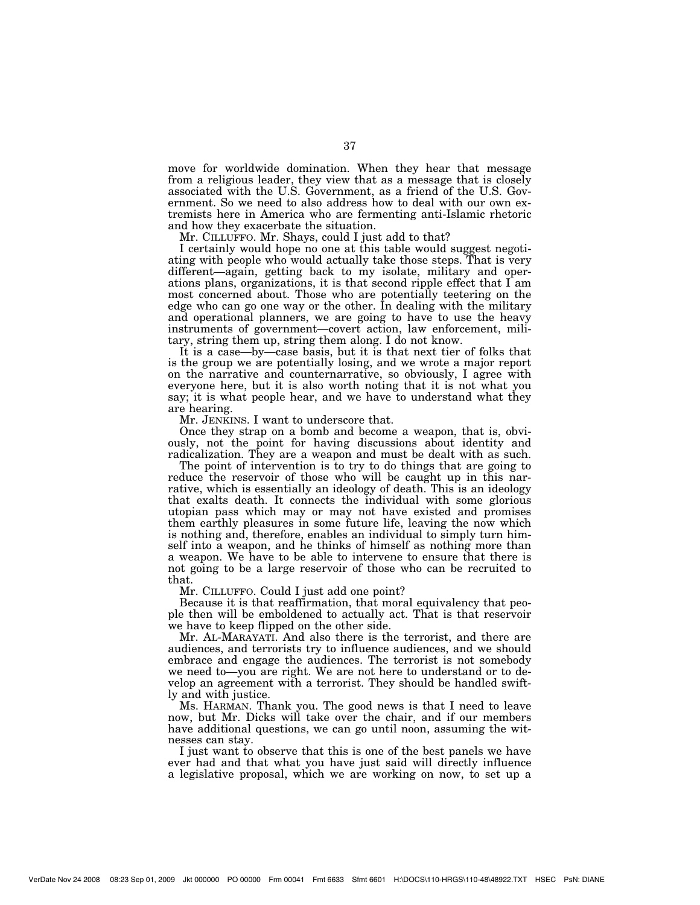move for worldwide domination. When they hear that message from a religious leader, they view that as a message that is closely associated with the U.S. Government, as a friend of the U.S. Government. So we need to also address how to deal with our own extremists here in America who are fermenting anti-Islamic rhetoric and how they exacerbate the situation.

Mr. CILLUFFO. Mr. Shays, could I just add to that?

I certainly would hope no one at this table would suggest negotiating with people who would actually take those steps. That is very different—again, getting back to my isolate, military and operations plans, organizations, it is that second ripple effect that I am most concerned about. Those who are potentially teetering on the edge who can go one way or the other. In dealing with the military and operational planners, we are going to have to use the heavy instruments of government—covert action, law enforcement, military, string them up, string them along. I do not know.

It is a case—by—case basis, but it is that next tier of folks that is the group we are potentially losing, and we wrote a major report on the narrative and counternarrative, so obviously, I agree with everyone here, but it is also worth noting that it is not what you say; it is what people hear, and we have to understand what they are hearing.

Mr. JENKINS. I want to underscore that.

Once they strap on a bomb and become a weapon, that is, obviously, not the point for having discussions about identity and radicalization. They are a weapon and must be dealt with as such.

The point of intervention is to try to do things that are going to reduce the reservoir of those who will be caught up in this narrative, which is essentially an ideology of death. This is an ideology that exalts death. It connects the individual with some glorious utopian pass which may or may not have existed and promises them earthly pleasures in some future life, leaving the now which is nothing and, therefore, enables an individual to simply turn himself into a weapon, and he thinks of himself as nothing more than a weapon. We have to be able to intervene to ensure that there is not going to be a large reservoir of those who can be recruited to that.

Mr. CILLUFFO. Could I just add one point?

Because it is that reaffirmation, that moral equivalency that people then will be emboldened to actually act. That is that reservoir we have to keep flipped on the other side.

Mr. AL-MARAYATI. And also there is the terrorist, and there are audiences, and terrorists try to influence audiences, and we should embrace and engage the audiences. The terrorist is not somebody we need to—you are right. We are not here to understand or to develop an agreement with a terrorist. They should be handled swiftly and with justice.

Ms. HARMAN. Thank you. The good news is that I need to leave now, but Mr. Dicks will take over the chair, and if our members have additional questions, we can go until noon, assuming the witnesses can stay.

I just want to observe that this is one of the best panels we have ever had and that what you have just said will directly influence a legislative proposal, which we are working on now, to set up a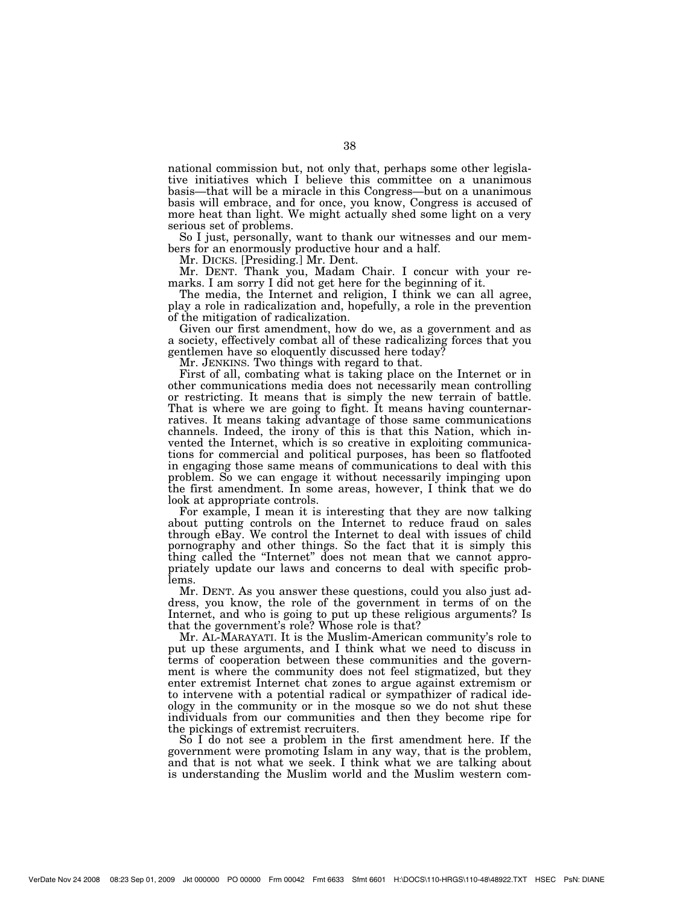national commission but, not only that, perhaps some other legislative initiatives which I believe this committee on a unanimous basis—that will be a miracle in this Congress—but on a unanimous basis will embrace, and for once, you know, Congress is accused of more heat than light. We might actually shed some light on a very serious set of problems.

So I just, personally, want to thank our witnesses and our members for an enormously productive hour and a half.

Mr. DICKS. [Presiding.] Mr. Dent.

Mr. DENT. Thank you, Madam Chair. I concur with your remarks. I am sorry I did not get here for the beginning of it.

The media, the Internet and religion, I think we can all agree, play a role in radicalization and, hopefully, a role in the prevention of the mitigation of radicalization.

Given our first amendment, how do we, as a government and as a society, effectively combat all of these radicalizing forces that you gentlemen have so eloquently discussed here today?

Mr. JENKINS. Two things with regard to that.

First of all, combating what is taking place on the Internet or in other communications media does not necessarily mean controlling or restricting. It means that is simply the new terrain of battle. That is where we are going to fight. It means having counternarratives. It means taking advantage of those same communications channels. Indeed, the irony of this is that this Nation, which invented the Internet, which is so creative in exploiting communications for commercial and political purposes, has been so flatfooted in engaging those same means of communications to deal with this problem. So we can engage it without necessarily impinging upon the first amendment. In some areas, however, I think that we do look at appropriate controls.

For example, I mean it is interesting that they are now talking about putting controls on the Internet to reduce fraud on sales through eBay. We control the Internet to deal with issues of child pornography and other things. So the fact that it is simply this thing called the ''Internet'' does not mean that we cannot appropriately update our laws and concerns to deal with specific problems.

Mr. DENT. As you answer these questions, could you also just address, you know, the role of the government in terms of on the Internet, and who is going to put up these religious arguments? Is that the government's role? Whose role is that?

Mr. AL-MARAYATI. It is the Muslim-American community's role to put up these arguments, and I think what we need to discuss in terms of cooperation between these communities and the government is where the community does not feel stigmatized, but they enter extremist Internet chat zones to argue against extremism or to intervene with a potential radical or sympathizer of radical ideology in the community or in the mosque so we do not shut these individuals from our communities and then they become ripe for the pickings of extremist recruiters.

So I do not see a problem in the first amendment here. If the government were promoting Islam in any way, that is the problem, and that is not what we seek. I think what we are talking about is understanding the Muslim world and the Muslim western com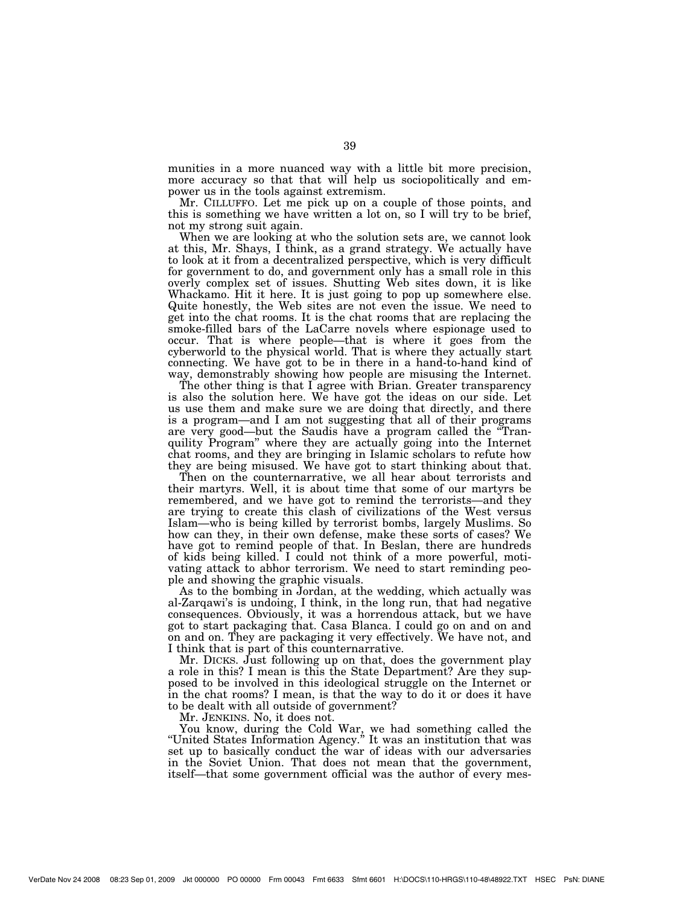munities in a more nuanced way with a little bit more precision, more accuracy so that that will help us sociopolitically and empower us in the tools against extremism.

Mr. CILLUFFO. Let me pick up on a couple of those points, and this is something we have written a lot on, so I will try to be brief, not my strong suit again.

When we are looking at who the solution sets are, we cannot look at this, Mr. Shays, I think, as a grand strategy. We actually have to look at it from a decentralized perspective, which is very difficult for government to do, and government only has a small role in this overly complex set of issues. Shutting Web sites down, it is like Whackamo. Hit it here. It is just going to pop up somewhere else. Quite honestly, the Web sites are not even the issue. We need to get into the chat rooms. It is the chat rooms that are replacing the smoke-filled bars of the LaCarre novels where espionage used to occur. That is where people—that is where it goes from the cyberworld to the physical world. That is where they actually start connecting. We have got to be in there in a hand-to-hand kind of way, demonstrably showing how people are misusing the Internet.

The other thing is that I agree with Brian. Greater transparency is also the solution here. We have got the ideas on our side. Let us use them and make sure we are doing that directly, and there is a program—and I am not suggesting that all of their programs are very good—but the Saudis have a program called the ''Tranquility Program'' where they are actually going into the Internet chat rooms, and they are bringing in Islamic scholars to refute how they are being misused. We have got to start thinking about that.

Then on the counternarrative, we all hear about terrorists and their martyrs. Well, it is about time that some of our martyrs be remembered, and we have got to remind the terrorists—and they are trying to create this clash of civilizations of the West versus Islam—who is being killed by terrorist bombs, largely Muslims. So how can they, in their own defense, make these sorts of cases? We have got to remind people of that. In Beslan, there are hundreds of kids being killed. I could not think of a more powerful, motivating attack to abhor terrorism. We need to start reminding people and showing the graphic visuals.

As to the bombing in Jordan, at the wedding, which actually was al-Zarqawi's is undoing, I think, in the long run, that had negative consequences. Obviously, it was a horrendous attack, but we have got to start packaging that. Casa Blanca. I could go on and on and on and on. They are packaging it very effectively. We have not, and I think that is part of this counternarrative.

Mr. DICKS. Just following up on that, does the government play a role in this? I mean is this the State Department? Are they supposed to be involved in this ideological struggle on the Internet or in the chat rooms? I mean, is that the way to do it or does it have to be dealt with all outside of government?

Mr. JENKINS. No, it does not.

You know, during the Cold War, we had something called the ''United States Information Agency.'' It was an institution that was set up to basically conduct the war of ideas with our adversaries in the Soviet Union. That does not mean that the government, itself—that some government official was the author of every mes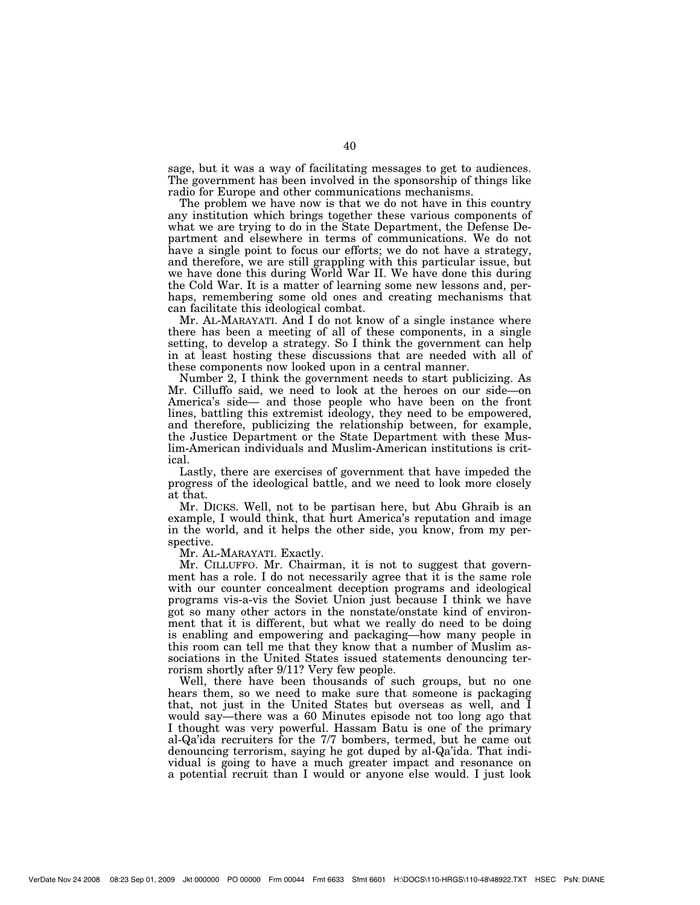sage, but it was a way of facilitating messages to get to audiences. The government has been involved in the sponsorship of things like radio for Europe and other communications mechanisms.

The problem we have now is that we do not have in this country any institution which brings together these various components of what we are trying to do in the State Department, the Defense Department and elsewhere in terms of communications. We do not have a single point to focus our efforts; we do not have a strategy, and therefore, we are still grappling with this particular issue, but we have done this during World War II. We have done this during the Cold War. It is a matter of learning some new lessons and, perhaps, remembering some old ones and creating mechanisms that can facilitate this ideological combat.

Mr. AL-MARAYATI. And I do not know of a single instance where there has been a meeting of all of these components, in a single setting, to develop a strategy. So I think the government can help in at least hosting these discussions that are needed with all of these components now looked upon in a central manner.

Number 2, I think the government needs to start publicizing. As Mr. Cilluffo said, we need to look at the heroes on our side—on America's side— and those people who have been on the front lines, battling this extremist ideology, they need to be empowered, and therefore, publicizing the relationship between, for example, the Justice Department or the State Department with these Muslim-American individuals and Muslim-American institutions is critical.

Lastly, there are exercises of government that have impeded the progress of the ideological battle, and we need to look more closely at that.

Mr. DICKS. Well, not to be partisan here, but Abu Ghraib is an example, I would think, that hurt America's reputation and image in the world, and it helps the other side, you know, from my perspective.

Mr. AL-MARAYATI. Exactly.

Mr. CILLUFFO. Mr. Chairman, it is not to suggest that government has a role. I do not necessarily agree that it is the same role with our counter concealment deception programs and ideological programs vis-a-vis the Soviet Union just because I think we have got so many other actors in the nonstate/onstate kind of environment that it is different, but what we really do need to be doing is enabling and empowering and packaging—how many people in this room can tell me that they know that a number of Muslim associations in the United States issued statements denouncing terrorism shortly after 9/11? Very few people.

Well, there have been thousands of such groups, but no one hears them, so we need to make sure that someone is packaging that, not just in the United States but overseas as well, and I would say—there was a 60 Minutes episode not too long ago that I thought was very powerful. Hassam Batu is one of the primary al-Qa'ida recruiters for the 7/7 bombers, termed, but he came out denouncing terrorism, saying he got duped by al-Qa'ida. That individual is going to have a much greater impact and resonance on a potential recruit than I would or anyone else would. I just look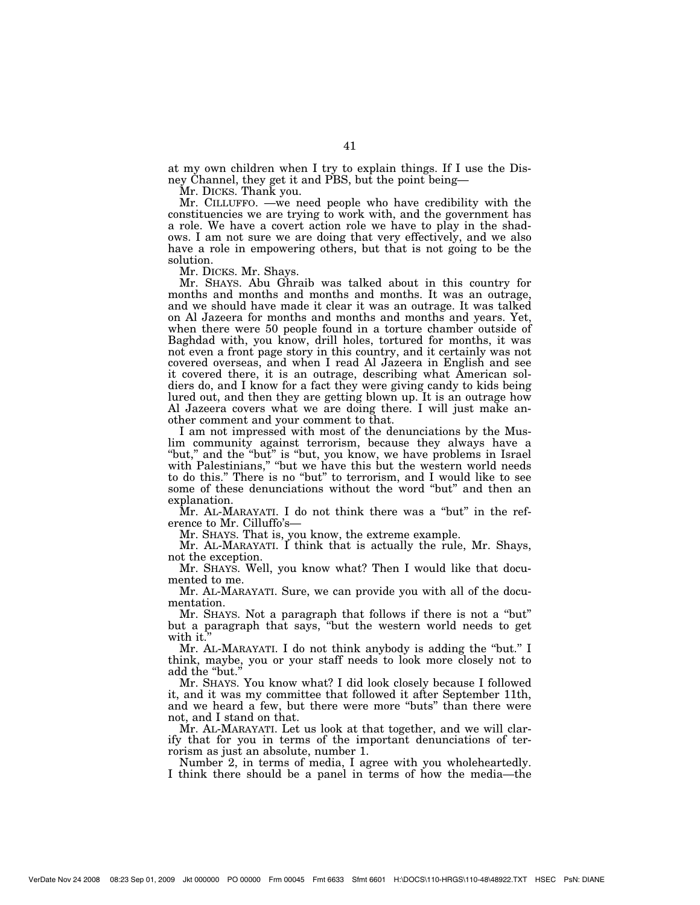at my own children when I try to explain things. If I use the Disney Channel, they get it and PBS, but the point being—

Mr. DICKS. Thank you.

Mr. CILLUFFO. —we need people who have credibility with the constituencies we are trying to work with, and the government has a role. We have a covert action role we have to play in the shadows. I am not sure we are doing that very effectively, and we also have a role in empowering others, but that is not going to be the solution.

Mr. DICKS. Mr. Shays.

Mr. SHAYS. Abu Ghraib was talked about in this country for months and months and months and months. It was an outrage, and we should have made it clear it was an outrage. It was talked on Al Jazeera for months and months and months and years. Yet, when there were 50 people found in a torture chamber outside of Baghdad with, you know, drill holes, tortured for months, it was not even a front page story in this country, and it certainly was not covered overseas, and when I read Al Jazeera in English and see it covered there, it is an outrage, describing what American soldiers do, and I know for a fact they were giving candy to kids being lured out, and then they are getting blown up. It is an outrage how Al Jazeera covers what we are doing there. I will just make another comment and your comment to that.

I am not impressed with most of the denunciations by the Muslim community against terrorism, because they always have a "but," and the "but" is "but, you know, we have problems in Israel with Palestinians," "but we have this but the western world needs to do this.'' There is no ''but'' to terrorism, and I would like to see some of these denunciations without the word ''but'' and then an explanation.

Mr. AL-MARAYATI. I do not think there was a ''but'' in the reference to Mr. Cilluffo's—

Mr. SHAYS. That is, you know, the extreme example.

Mr. AL-MARAYATI. I think that is actually the rule, Mr. Shays, not the exception.

Mr. SHAYS. Well, you know what? Then I would like that documented to me.

Mr. AL-MARAYATI. Sure, we can provide you with all of the documentation.

Mr. SHAYS. Not a paragraph that follows if there is not a "but" but a paragraph that says, ''but the western world needs to get with it.

Mr. AL-MARAYATI. I do not think anybody is adding the "but." I think, maybe, you or your staff needs to look more closely not to add the ''but.''

Mr. SHAYS. You know what? I did look closely because I followed it, and it was my committee that followed it after September 11th, and we heard a few, but there were more ''buts'' than there were not, and I stand on that.

Mr. AL-MARAYATI. Let us look at that together, and we will clarify that for you in terms of the important denunciations of terrorism as just an absolute, number 1.

Number 2, in terms of media, I agree with you wholeheartedly. I think there should be a panel in terms of how the media—the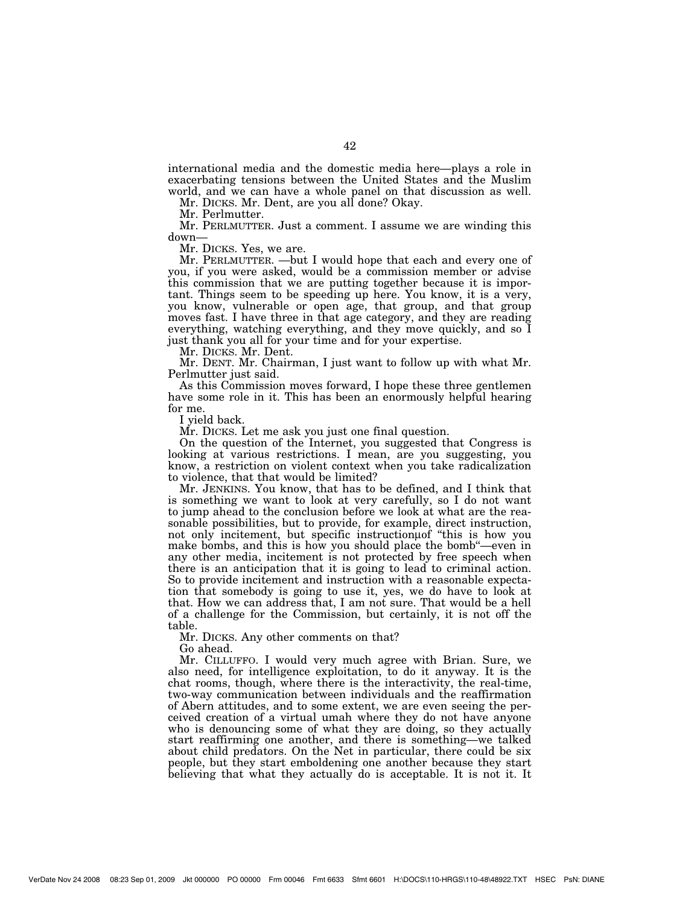international media and the domestic media here—plays a role in exacerbating tensions between the United States and the Muslim world, and we can have a whole panel on that discussion as well.

Mr. DICKS. Mr. Dent, are you all done? Okay.

Mr. Perlmutter.

Mr. PERLMUTTER. Just a comment. I assume we are winding this down—

Mr. DICKS. Yes, we are.

Mr. PERLMUTTER. —but I would hope that each and every one of you, if you were asked, would be a commission member or advise this commission that we are putting together because it is important. Things seem to be speeding up here. You know, it is a very, you know, vulnerable or open age, that group, and that group moves fast. I have three in that age category, and they are reading everything, watching everything, and they move quickly, and so I just thank you all for your time and for your expertise.

Mr. DICKS. Mr. Dent.

Mr. DENT. Mr. Chairman, I just want to follow up with what Mr. Perlmutter just said.

As this Commission moves forward, I hope these three gentlemen have some role in it. This has been an enormously helpful hearing for me.

I yield back.

Mr. DICKS. Let me ask you just one final question.

On the question of the Internet, you suggested that Congress is looking at various restrictions. I mean, are you suggesting, you know, a restriction on violent context when you take radicalization to violence, that that would be limited?

Mr. JENKINS. You know, that has to be defined, and I think that is something we want to look at very carefully, so I do not want to jump ahead to the conclusion before we look at what are the reasonable possibilities, but to provide, for example, direct instruction, not only incitement, but specific instructionμof ''this is how you make bombs, and this is how you should place the bomb''—even in any other media, incitement is not protected by free speech when there is an anticipation that it is going to lead to criminal action. So to provide incitement and instruction with a reasonable expectation that somebody is going to use it, yes, we do have to look at that. How we can address that, I am not sure. That would be a hell of a challenge for the Commission, but certainly, it is not off the table.

Mr. DICKS. Any other comments on that?

Go ahead.

Mr. CILLUFFO. I would very much agree with Brian. Sure, we also need, for intelligence exploitation, to do it anyway. It is the chat rooms, though, where there is the interactivity, the real-time, two-way communication between individuals and the reaffirmation of Abern attitudes, and to some extent, we are even seeing the perceived creation of a virtual umah where they do not have anyone who is denouncing some of what they are doing, so they actually start reaffirming one another, and there is something—we talked about child predators. On the Net in particular, there could be six people, but they start emboldening one another because they start believing that what they actually do is acceptable. It is not it. It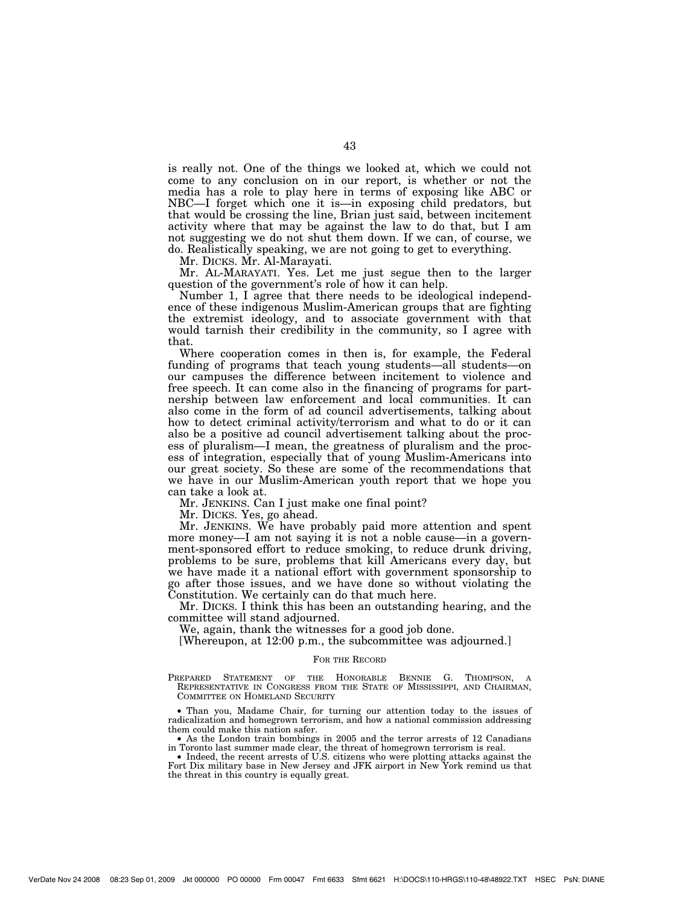is really not. One of the things we looked at, which we could not come to any conclusion on in our report, is whether or not the media has a role to play here in terms of exposing like ABC or NBC—I forget which one it is—in exposing child predators, but that would be crossing the line, Brian just said, between incitement activity where that may be against the law to do that, but I am not suggesting we do not shut them down. If we can, of course, we do. Realistically speaking, we are not going to get to everything.

Mr. DICKS. Mr. Al-Marayati.

Mr. AL-MARAYATI. Yes. Let me just segue then to the larger question of the government's role of how it can help.

Number 1, I agree that there needs to be ideological independence of these indigenous Muslim-American groups that are fighting the extremist ideology, and to associate government with that would tarnish their credibility in the community, so I agree with that.

Where cooperation comes in then is, for example, the Federal funding of programs that teach young students—all students—on our campuses the difference between incitement to violence and free speech. It can come also in the financing of programs for partnership between law enforcement and local communities. It can also come in the form of ad council advertisements, talking about how to detect criminal activity/terrorism and what to do or it can also be a positive ad council advertisement talking about the process of pluralism—I mean, the greatness of pluralism and the process of integration, especially that of young Muslim-Americans into our great society. So these are some of the recommendations that we have in our Muslim-American youth report that we hope you can take a look at.

Mr. JENKINS. Can I just make one final point?

Mr. DICKS. Yes, go ahead.

Mr. JENKINS. We have probably paid more attention and spent more money—I am not saying it is not a noble cause—in a government-sponsored effort to reduce smoking, to reduce drunk driving, problems to be sure, problems that kill Americans every day, but we have made it a national effort with government sponsorship to go after those issues, and we have done so without violating the Constitution. We certainly can do that much here.

Mr. DICKS. I think this has been an outstanding hearing, and the committee will stand adjourned.

We, again, thank the witnesses for a good job done.

[Whereupon, at 12:00 p.m., the subcommittee was adjourned.]

#### FOR THE RECORD

PREPARED STATEMENT OF THE HONORABLE BENNIE G. THOMPSON, REPRESENTATIVE IN CONGRESS FROM THE STATE OF MISSISSIPPI, AND CHAIRMAN, COMMITTEE ON HOMELAND SECURITY

• Than you, Madame Chair, for turning our attention today to the issues of radicalization and homegrown terrorism, and how a national commission addressing them could make this nation safer.

• As the London train bombings in 2005 and the terror arrests of 12 Canadians in Toronto last summer made clear, the threat of homegrown terrorism is real.

• Indeed, the recent arrests of U.S. citizens who were plotting attacks against the Fort Dix military base in New Jersey and JFK airport in New York remind us that the threat in this country is equally great.